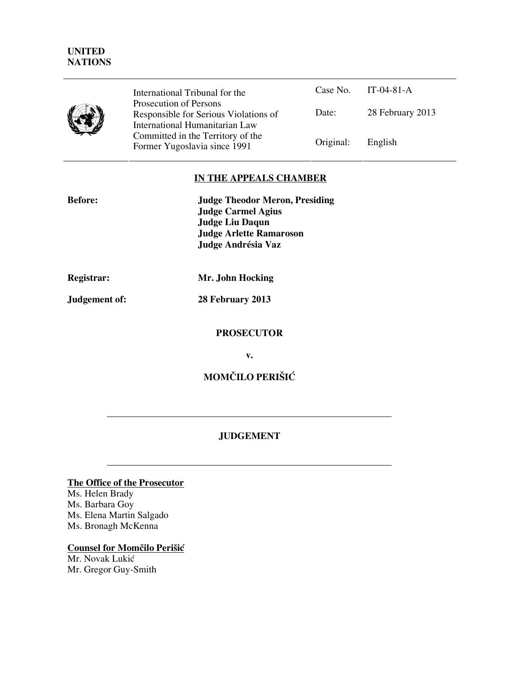| International Tribunal for the                                                                    |           | Case No. IT-04-81-A |
|---------------------------------------------------------------------------------------------------|-----------|---------------------|
| Prosecution of Persons<br>Responsible for Serious Violations of<br>International Humanitarian Law | Date:     | 28 February 2013    |
| Committed in the Territory of the<br>Former Yugoslavia since 1991                                 | Original: | English             |

# IN THE APPEALS CHAMBER

| <b>Before:</b> | <b>Judge Theodor Meron, Presiding</b> |
|----------------|---------------------------------------|
|                | <b>Judge Carmel Agius</b>             |
|                | <b>Judge Liu Daqun</b>                |
|                | <b>Judge Arlette Ramaroson</b>        |
|                | Judge Andrésia Vaz                    |

Registrar: Mr. John Hocking

Judgement of: 28 February 2013

# PROSECUTOR

v.

MOMČILO PERIŠIĆ

# JUDGEMENT

# The Office of the Prosecutor

Ms. Helen Brady Ms. Barbara Goy Ms. Elena Martin Salgado Ms. Bronagh McKenna

# Counsel for Momčilo Perišić

Mr. Novak Lukić Mr. Gregor Guy-Smith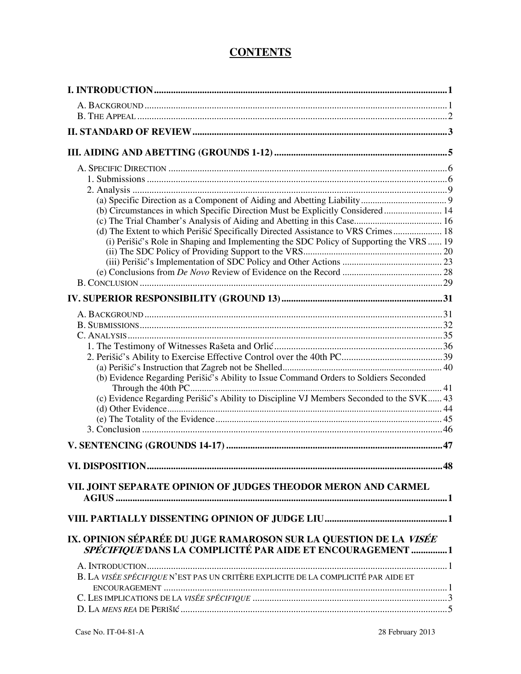# **CONTENTS**

| (b) Circumstances in which Specific Direction Must be Explicitly Considered 14                                                 |  |
|--------------------------------------------------------------------------------------------------------------------------------|--|
|                                                                                                                                |  |
| (d) The Extent to which Perišić Specifically Directed Assistance to VRS Crimes 18                                              |  |
| (i) Perišić's Role in Shaping and Implementing the SDC Policy of Supporting the VRS  19                                        |  |
|                                                                                                                                |  |
|                                                                                                                                |  |
|                                                                                                                                |  |
|                                                                                                                                |  |
|                                                                                                                                |  |
|                                                                                                                                |  |
|                                                                                                                                |  |
|                                                                                                                                |  |
|                                                                                                                                |  |
|                                                                                                                                |  |
| (b) Evidence Regarding Perišić's Ability to Issue Command Orders to Soldiers Seconded                                          |  |
|                                                                                                                                |  |
| (c) Evidence Regarding Perišić's Ability to Discipline VJ Members Seconded to the SVK 43                                       |  |
|                                                                                                                                |  |
|                                                                                                                                |  |
|                                                                                                                                |  |
|                                                                                                                                |  |
|                                                                                                                                |  |
| VII. JOINT SEPARATE OPINION OF JUDGES THEODOR MERON AND CARMEL                                                                 |  |
|                                                                                                                                |  |
| IX. OPINION SÉPARÉE DU JUGE RAMAROSON SUR LA QUESTION DE LA VISÉE<br>SPÉCIFIQUE DANS LA COMPLICITÉ PAR AIDE ET ENCOURAGEMENT 1 |  |
|                                                                                                                                |  |
| B. LA VISÉE SPÉCIFIQUE N'EST PAS UN CRITÈRE EXPLICITE DE LA COMPLICITÉ PAR AIDE ET                                             |  |
|                                                                                                                                |  |
|                                                                                                                                |  |
|                                                                                                                                |  |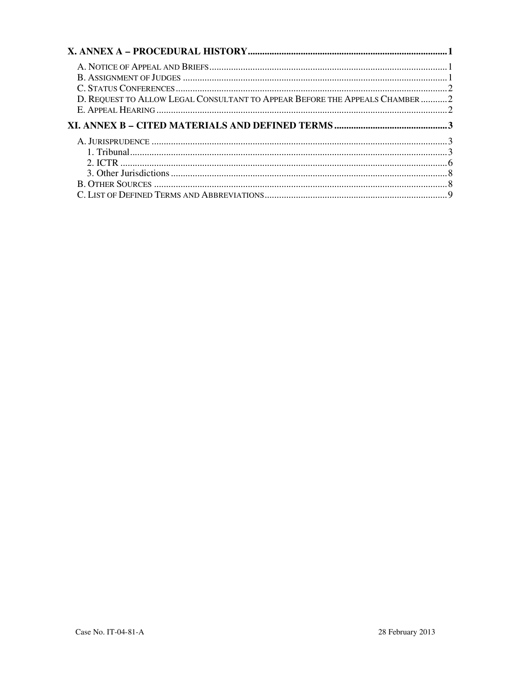| D. REQUEST TO ALLOW LEGAL CONSULTANT TO APPEAR BEFORE THE APPEALS CHAMBER 2 |  |
|-----------------------------------------------------------------------------|--|
|                                                                             |  |
|                                                                             |  |
|                                                                             |  |
|                                                                             |  |
|                                                                             |  |
|                                                                             |  |
|                                                                             |  |
|                                                                             |  |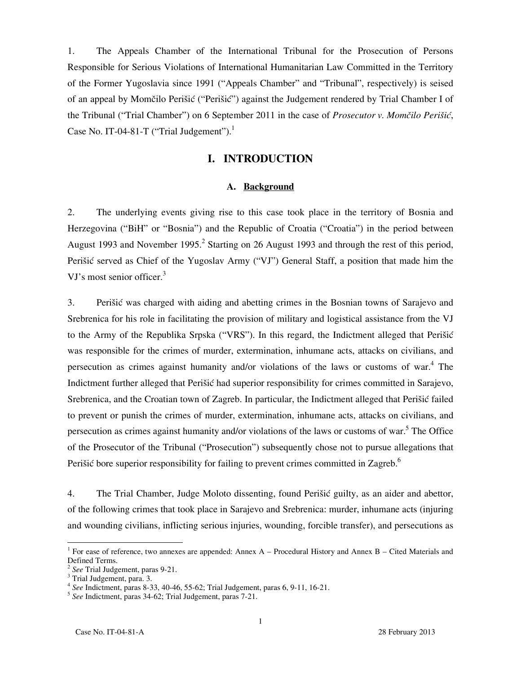1. The Appeals Chamber of the International Tribunal for the Prosecution of Persons Responsible for Serious Violations of International Humanitarian Law Committed in the Territory of the Former Yugoslavia since 1991 ("Appeals Chamber" and "Tribunal", respectively) is seised of an appeal by Momčilo Perišić ("Perišić") against the Judgement rendered by Trial Chamber I of the Tribunal ("Trial Chamber") on 6 September 2011 in the case of *Prosecutor v. Momčilo Perišić*, Case No. IT-04-81-T ("Trial Judgement"). $1$ 

# I. INTRODUCTION

#### A. Background

2. The underlying events giving rise to this case took place in the territory of Bosnia and Herzegovina ("BiH" or "Bosnia") and the Republic of Croatia ("Croatia") in the period between August 1993 and November 1995.<sup>2</sup> Starting on 26 August 1993 and through the rest of this period, Peri<sub>sic</sub> served as Chief of the Yugoslav Army ("VJ") General Staff, a position that made him the VJ's most senior officer.<sup>3</sup>

3. Perišić was charged with aiding and abetting crimes in the Bosnian towns of Sarajevo and Srebrenica for his role in facilitating the provision of military and logistical assistance from the VJ to the Army of the Republika Srpska ("VRS"). In this regard, the Indictment alleged that Perišić was responsible for the crimes of murder, extermination, inhumane acts, attacks on civilians, and persecution as crimes against humanity and/or violations of the laws or customs of war.<sup>4</sup> The Indictment further alleged that Perišić had superior responsibility for crimes committed in Sarajevo, Srebrenica, and the Croatian town of Zagreb. In particular, the Indictment alleged that Perišić failed to prevent or punish the crimes of murder, extermination, inhumane acts, attacks on civilians, and persecution as crimes against humanity and/or violations of the laws or customs of war.<sup>5</sup> The Office of the Prosecutor of the Tribunal ("Prosecution") subsequently chose not to pursue allegations that Perišić bore superior responsibility for failing to prevent crimes committed in Zagreb.<sup>6</sup>

4. The Trial Chamber, Judge Moloto dissenting, found Perišić guilty, as an aider and abettor, of the following crimes that took place in Sarajevo and Srebrenica: murder, inhumane acts (injuring and wounding civilians, inflicting serious injuries, wounding, forcible transfer), and persecutions as

<sup>&</sup>lt;sup>1</sup> For ease of reference, two annexes are appended: Annex  $A -$  Procedural History and Annex  $B -$ Cited Materials and Defined Terms.

 $^2$  *See* Trial Judgement, paras 9-21.<br> $^3$  Trial Judgement, para. 3.

<sup>4</sup> See Indictment, paras 8-33, 40-46, 55-62; Trial Judgement, paras 6, 9-11, 16-21.

<sup>5</sup> See Indictment, paras 34-62; Trial Judgement, paras 7-21.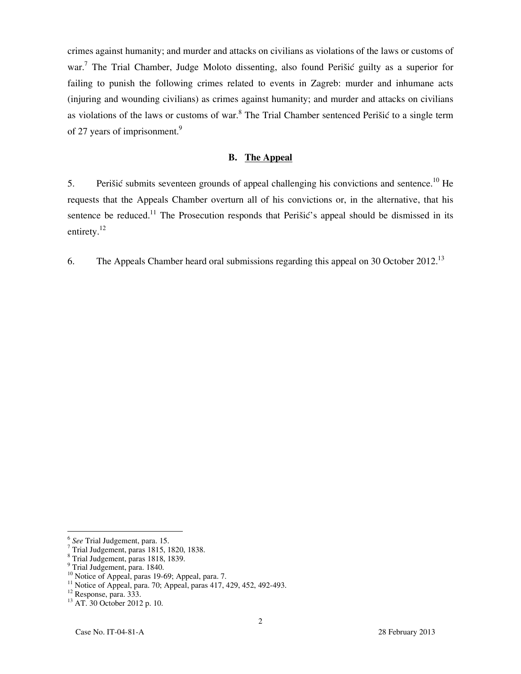crimes against humanity; and murder and attacks on civilians as violations of the laws or customs of war.<sup>7</sup> The Trial Chamber, Judge Moloto dissenting, also found Perišić guilty as a superior for failing to punish the following crimes related to events in Zagreb: murder and inhumane acts (injuring and wounding civilians) as crimes against humanity; and murder and attacks on civilians as violations of the laws or customs of war. $8$  The Trial Chamber sentenced Peri $\delta$ ić to a single term of 27 years of imprisonment.<sup>9</sup>

#### B. The Appeal

5. Perišić submits seventeen grounds of appeal challenging his convictions and sentence.<sup>10</sup> He requests that the Appeals Chamber overturn all of his convictions or, in the alternative, that his sentence be reduced.<sup>11</sup> The Prosecution responds that Perišić's appeal should be dismissed in its entirety.<sup>12</sup>

6. The Appeals Chamber heard oral submissions regarding this appeal on 30 October 2012.<sup>13</sup>

<sup>&</sup>lt;sup>6</sup> See Trial Judgement, para. 15.

<sup>7</sup> Trial Judgement, paras 1815, 1820, 1838.

<sup>8</sup> Trial Judgement, paras 1818, 1839.

<sup>9</sup> Trial Judgement, para. 1840.

<sup>&</sup>lt;sup>10</sup> Notice of Appeal, paras 19-69; Appeal, para. 7.

<sup>&</sup>lt;sup>11</sup> Notice of Appeal, para. 70; Appeal, paras 417, 429, 452, 492-493.

<sup>12</sup> Response, para. 333.

<sup>13</sup> AT. 30 October 2012 p. 10.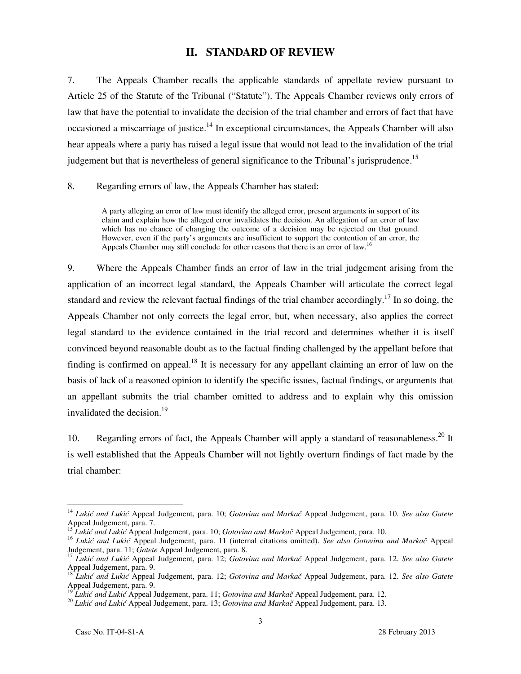# II. STANDARD OF REVIEW

7. The Appeals Chamber recalls the applicable standards of appellate review pursuant to Article 25 of the Statute of the Tribunal ("Statute"). The Appeals Chamber reviews only errors of law that have the potential to invalidate the decision of the trial chamber and errors of fact that have occasioned a miscarriage of justice.<sup>14</sup> In exceptional circumstances, the Appeals Chamber will also hear appeals where a party has raised a legal issue that would not lead to the invalidation of the trial judgement but that is nevertheless of general significance to the Tribunal's jurisprudence.<sup>15</sup>

8. Regarding errors of law, the Appeals Chamber has stated:

A party alleging an error of law must identify the alleged error, present arguments in support of its claim and explain how the alleged error invalidates the decision. An allegation of an error of law which has no chance of changing the outcome of a decision may be rejected on that ground. However, even if the party's arguments are insufficient to support the contention of an error, the Appeals Chamber may still conclude for other reasons that there is an error of law.<sup>16</sup>

9. Where the Appeals Chamber finds an error of law in the trial judgement arising from the application of an incorrect legal standard, the Appeals Chamber will articulate the correct legal standard and review the relevant factual findings of the trial chamber accordingly.<sup>17</sup> In so doing, the Appeals Chamber not only corrects the legal error, but, when necessary, also applies the correct legal standard to the evidence contained in the trial record and determines whether it is itself convinced beyond reasonable doubt as to the factual finding challenged by the appellant before that finding is confirmed on appeal.<sup>18</sup> It is necessary for any appellant claiming an error of law on the basis of lack of a reasoned opinion to identify the specific issues, factual findings, or arguments that an appellant submits the trial chamber omitted to address and to explain why this omission invalidated the decision.<sup>19</sup>

10. Regarding errors of fact, the Appeals Chamber will apply a standard of reasonableness.<sup>20</sup> It is well established that the Appeals Chamber will not lightly overturn findings of fact made by the trial chamber:

<sup>&</sup>lt;sup>14</sup> Lukić and Lukić Appeal Judgement, para. 10; Gotovina and Markač Appeal Judgement, para. 10. See also Gatete Appeal Judgement, para. 7.

 $\delta$  Lukić and Lukić Appeal Judgement, para. 10; Gotovina and Markač Appeal Judgement, para. 10.

<sup>&</sup>lt;sup>16</sup> Lukić and Lukić Appeal Judgement, para. 11 (internal citations omitted). See also Gotovina and Markač Appeal Judgement, para. 11; Gatete Appeal Judgement, para. 8.

<sup>&</sup>lt;sup>17</sup> Lukić and Lukić Appeal Judgement, para. 12; Gotovina and Markač Appeal Judgement, para. 12. See also Gatete Appeal Judgement, para. 9.

Lukić and Lukić Appeal Judgement, para. 12; Gotovina and Markač Appeal Judgement, para. 12. See also Gatete Appeal Judgement, para. 9.

 $\hat{L}$  Lukić and Lukić Appeal Judgement, para. 11; Gotovina and Markač Appeal Judgement, para. 12.

<sup>&</sup>lt;sup>20</sup> Lukić and Lukić Appeal Judgement, para. 13; Gotovina and Markač Appeal Judgement, para. 13.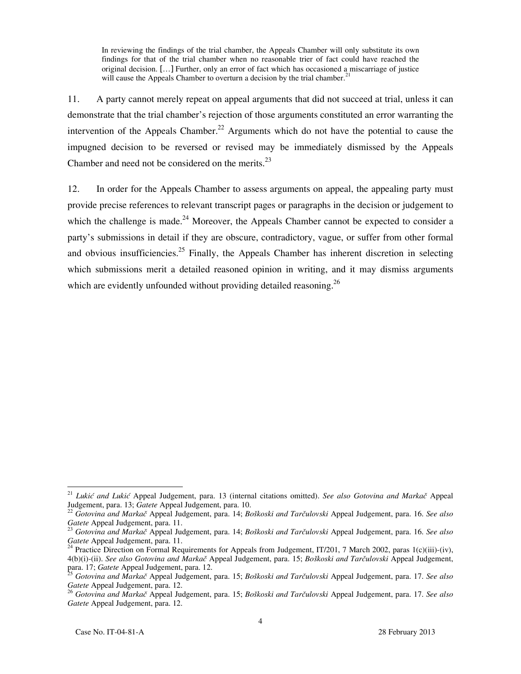In reviewing the findings of the trial chamber, the Appeals Chamber will only substitute its own findings for that of the trial chamber when no reasonable trier of fact could have reached the original decision. […] Further, only an error of fact which has occasioned a miscarriage of justice will cause the Appeals Chamber to overturn a decision by the trial chamber.<sup>21</sup>

11. A party cannot merely repeat on appeal arguments that did not succeed at trial, unless it can demonstrate that the trial chamber's rejection of those arguments constituted an error warranting the intervention of the Appeals Chamber.<sup>22</sup> Arguments which do not have the potential to cause the impugned decision to be reversed or revised may be immediately dismissed by the Appeals Chamber and need not be considered on the merits.<sup>23</sup>

12. In order for the Appeals Chamber to assess arguments on appeal, the appealing party must provide precise references to relevant transcript pages or paragraphs in the decision or judgement to which the challenge is made.<sup>24</sup> Moreover, the Appeals Chamber cannot be expected to consider a party's submissions in detail if they are obscure, contradictory, vague, or suffer from other formal and obvious insufficiencies.<sup>25</sup> Finally, the Appeals Chamber has inherent discretion in selecting which submissions merit a detailed reasoned opinion in writing, and it may dismiss arguments which are evidently unfounded without providing detailed reasoning.<sup>26</sup>

<sup>&</sup>lt;sup>21</sup> Lukić and Lukić Appeal Judgement, para. 13 (internal citations omitted). See also Gotovina and Markač Appeal Judgement, para. 13; Gatete Appeal Judgement, para. 10.

 $^{22}$  Gotovina and Markač Appeal Judgement, para. 14; Boškoski and Tarčulovski Appeal Judgement, para. 16. See also Gatete Appeal Judgement, para. 11.

 $^{23}$  Gotovina and Markač Appeal Judgement, para. 14; Boškoski and Tarčulovski Appeal Judgement, para. 16. See also Gatete Appeal Judgement, para. 11.

<sup>&</sup>lt;sup>24</sup> Practice Direction on Formal Requirements for Appeals from Judgement, IT/201, 7 March 2002, paras 1(c)(iii)-(iv), 4(b)(i)-(ii). See also Gotovina and Markač Appeal Judgement, para. 15; Boškoski and Tarčulovski Appeal Judgement, para. 17; Gatete Appeal Judgement, para. 12.

<sup>&</sup>lt;sup>5</sup> Gotovina and Markač Appeal Judgement, para. 15; Boškoski and Tarčulovski Appeal Judgement, para. 17. See also Gatete Appeal Judgement, para. 12.

<sup>&</sup>lt;sup>26</sup> Gotovina and Markač Appeal Judgement, para. 15; Boškoski and Tarčulovski Appeal Judgement, para. 17. See also Gatete Appeal Judgement, para. 12.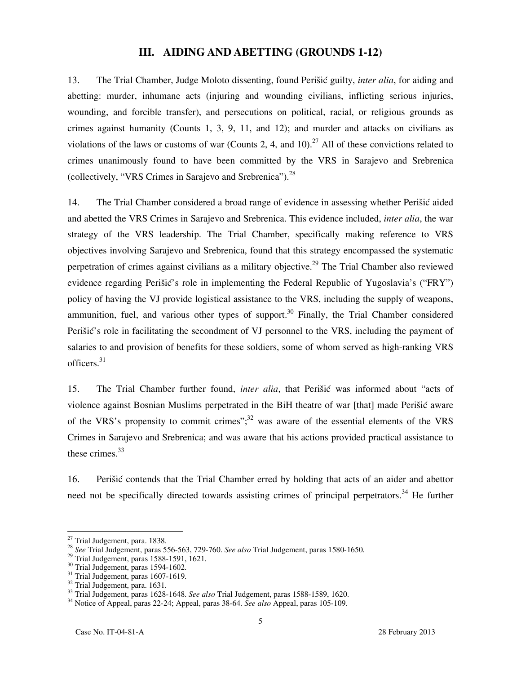# III. AIDING AND ABETTING (GROUNDS 1-12)

13. The Trial Chamber, Judge Moloto dissenting, found Perišić guilty, *inter alia*, for aiding and abetting: murder, inhumane acts (injuring and wounding civilians, inflicting serious injuries, wounding, and forcible transfer), and persecutions on political, racial, or religious grounds as crimes against humanity (Counts 1, 3, 9, 11, and 12); and murder and attacks on civilians as violations of the laws or customs of war (Counts 2, 4, and 10).<sup>27</sup> All of these convictions related to crimes unanimously found to have been committed by the VRS in Sarajevo and Srebrenica (collectively, "VRS Crimes in Sarajevo and Srebrenica").<sup>28</sup>

14. The Trial Chamber considered a broad range of evidence in assessing whether Perišić aided and abetted the VRS Crimes in Sarajevo and Srebrenica. This evidence included, *inter alia*, the war strategy of the VRS leadership. The Trial Chamber, specifically making reference to VRS objectives involving Sarajevo and Srebrenica, found that this strategy encompassed the systematic perpetration of crimes against civilians as a military objective.<sup>29</sup> The Trial Chamber also reviewed evidence regarding Perišić's role in implementing the Federal Republic of Yugoslavia's ("FRY") policy of having the VJ provide logistical assistance to the VRS, including the supply of weapons, ammunition, fuel, and various other types of support.<sup>30</sup> Finally, the Trial Chamber considered Perišić's role in facilitating the secondment of VJ personnel to the VRS, including the payment of salaries to and provision of benefits for these soldiers, some of whom served as high-ranking VRS officers.<sup>31</sup>

15. The Trial Chamber further found, inter alia, that Perišić was informed about "acts of violence against Bosnian Muslims perpetrated in the BiH theatre of war [that] made Perišić aware of the VRS's propensity to commit crimes";<sup>32</sup> was aware of the essential elements of the VRS Crimes in Sarajevo and Srebrenica; and was aware that his actions provided practical assistance to these crimes. $33$ 

16. Perišić contends that the Trial Chamber erred by holding that acts of an aider and abettor need not be specifically directed towards assisting crimes of principal perpetrators.<sup>34</sup> He further

 $27$  Trial Judgement, para. 1838.

<sup>&</sup>lt;sup>28</sup> See Trial Judgement, paras 556-563, 729-760. See also Trial Judgement, paras 1580-1650.

 $29$  Trial Judgement, paras 1588-1591, 1621.

<sup>&</sup>lt;sup>30</sup> Trial Judgement, paras 1594-1602.

<sup>&</sup>lt;sup>31</sup> Trial Judgement, paras 1607-1619.

<sup>&</sup>lt;sup>32</sup> Trial Judgement, para. 1631.

<sup>&</sup>lt;sup>33</sup> Trial Judgement, paras 1628-1648. See also Trial Judgement, paras 1588-1589, 1620.

<sup>&</sup>lt;sup>34</sup> Notice of Appeal, paras 22-24; Appeal, paras 38-64. See also Appeal, paras 105-109.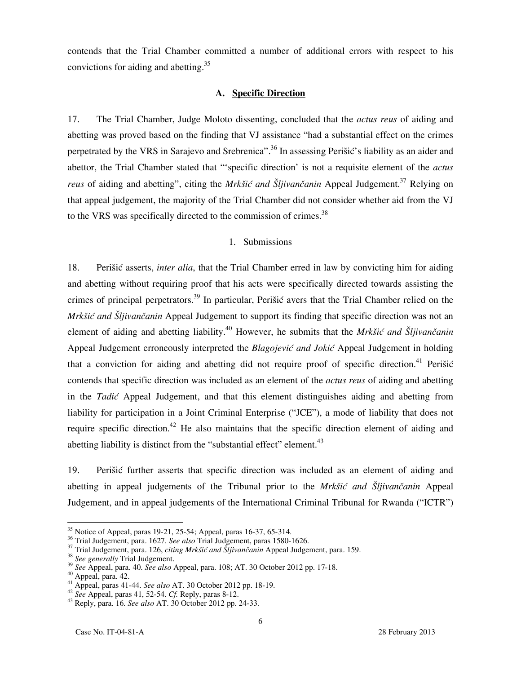contends that the Trial Chamber committed a number of additional errors with respect to his convictions for aiding and abetting. $35$ 

#### A. Specific Direction

17. The Trial Chamber, Judge Moloto dissenting, concluded that the actus reus of aiding and abetting was proved based on the finding that VJ assistance "had a substantial effect on the crimes perpetrated by the VRS in Sarajevo and Srebrenica".<sup>36</sup> In assessing Perišić's liability as an aider and abettor, the Trial Chamber stated that "'specific direction' is not a requisite element of the *actus* reus of aiding and abetting", citing the *Mrkšić and Šljivančanin* Appeal Judgement.<sup>37</sup> Relying on that appeal judgement, the majority of the Trial Chamber did not consider whether aid from the VJ to the VRS was specifically directed to the commission of crimes.<sup>38</sup>

#### 1. Submissions

18. Perišić asserts, *inter alia*, that the Trial Chamber erred in law by convicting him for aiding and abetting without requiring proof that his acts were specifically directed towards assisting the crimes of principal perpetrators.<sup>39</sup> In particular, Perišić avers that the Trial Chamber relied on the *Mrkšić and Šljivančanin* Appeal Judgement to support its finding that specific direction was not an element of aiding and abetting liability.<sup>40</sup> However, he submits that the *Mrkšić and Šljivančanin* Appeal Judgement erroneously interpreted the *Blagojević and Jokić* Appeal Judgement in holding that a conviction for aiding and abetting did not require proof of specific direction.<sup>41</sup> Perišić contends that specific direction was included as an element of the *actus reus* of aiding and abetting in the Tadić Appeal Judgement, and that this element distinguishes aiding and abetting from liability for participation in a Joint Criminal Enterprise ("JCE"), a mode of liability that does not require specific direction.<sup>42</sup> He also maintains that the specific direction element of aiding and abetting liability is distinct from the "substantial effect" element.<sup>43</sup>

19. Perišić further asserts that specific direction was included as an element of aiding and abetting in appeal judgements of the Tribunal prior to the Mrkšić and Šljivančanin Appeal Judgement, and in appeal judgements of the International Criminal Tribunal for Rwanda ("ICTR")

<sup>35</sup> Notice of Appeal, paras 19-21, 25-54; Appeal, paras 16-37, 65-314.

<sup>&</sup>lt;sup>36</sup> Trial Judgement, para. 1627. See also Trial Judgement, paras 1580-1626.

 $37$  Trial Judgement, para. 126, citing Mrkšić and Šljivančanin Appeal Judgement, para. 159.

<sup>&</sup>lt;sup>38</sup> See generally Trial Judgement.

<sup>&</sup>lt;sup>39</sup> See Appeal, para. 40. See also Appeal, para. 108; AT. 30 October 2012 pp. 17-18.

<sup>40</sup> Appeal, para. 42.

 $^{41}$  Appeal, paras 41-44. See also AT. 30 October 2012 pp. 18-19.

 $42$  See Appeal, paras 41, 52-54. Cf. Reply, paras 8-12.

 $43$  Reply, para. 16. See also AT. 30 October 2012 pp. 24-33.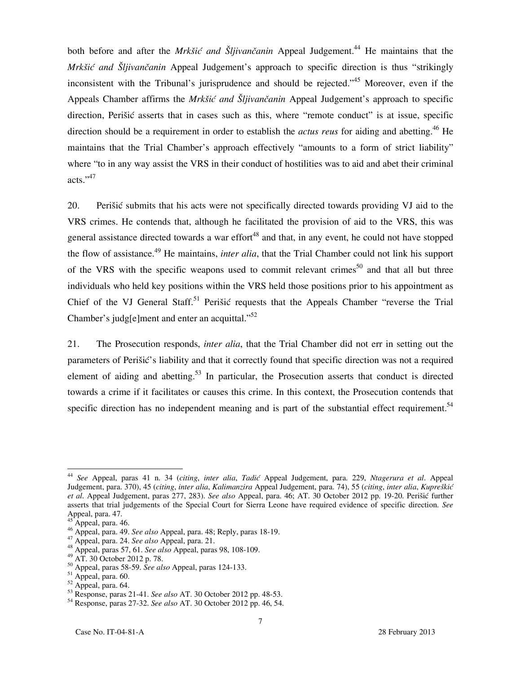both before and after the *Mrkšić and Šljivančanin* Appeal Judgement.<sup>44</sup> He maintains that the Mrkšić and Šljivančanin Appeal Judgement's approach to specific direction is thus "strikingly inconsistent with the Tribunal's jurisprudence and should be rejected."<sup>45</sup> Moreover, even if the Appeals Chamber affirms the *Mrk* $\delta i \partial \dot{\theta}$  *and*  $\delta f \dot{\theta}$  *and Appeal Judgement's approach to specific* direction, Perišić asserts that in cases such as this, where "remote conduct" is at issue, specific direction should be a requirement in order to establish the *actus reus* for aiding and abetting.<sup>46</sup> He maintains that the Trial Chamber's approach effectively "amounts to a form of strict liability" where "to in any way assist the VRS in their conduct of hostilities was to aid and abet their criminal acts." $47$ 

20. Perišić submits that his acts were not specifically directed towards providing VJ aid to the VRS crimes. He contends that, although he facilitated the provision of aid to the VRS, this was general assistance directed towards a war effort<sup>48</sup> and that, in any event, he could not have stopped the flow of assistance.<sup>49</sup> He maintains, *inter alia*, that the Trial Chamber could not link his support of the VRS with the specific weapons used to commit relevant crimes<sup>50</sup> and that all but three individuals who held key positions within the VRS held those positions prior to his appointment as Chief of the VJ General Staff.<sup>51</sup> Perišić requests that the Appeals Chamber "reverse the Trial" Chamber's judg[e]ment and enter an acquittal." $52$ 

21. The Prosecution responds, inter alia, that the Trial Chamber did not err in setting out the parameters of Perišić's liability and that it correctly found that specific direction was not a required element of aiding and abetting.<sup>53</sup> In particular, the Prosecution asserts that conduct is directed towards a crime if it facilitates or causes this crime. In this context, the Prosecution contends that specific direction has no independent meaning and is part of the substantial effect requirement.<sup>54</sup>

<sup>&</sup>lt;sup>44</sup> See Appeal, paras 41 n. 34 (citing, inter alia, Tadić Appeal Judgement, para. 229, Ntagerura et al. Appeal Judgement, para. 370), 45 (citing, inter alia, Kalimanzira Appeal Judgement, para. 74), 55 (citing, inter alia, Kupreškić et al. Appeal Judgement, paras 277, 283). See also Appeal, para. 46; AT. 30 October 2012 pp. 19-20. Perišić further asserts that trial judgements of the Special Court for Sierra Leone have required evidence of specific direction. See Appeal, para. 47.

 $\overline{5}$  Appeal, para. 46.

<sup>46</sup> Appeal, para. 49. See also Appeal, para. 48; Reply, paras 18-19.

<sup>&</sup>lt;sup>47</sup> Appeal, para. 24. See also Appeal, para. 21.

<sup>&</sup>lt;sup>48</sup> Appeal, paras 57, 61. See also Appeal, paras 98, 108-109.

<sup>49</sup> AT. 30 October 2012 p. 78.

<sup>50</sup> Appeal, paras 58-59. See also Appeal, paras 124-133.

<sup>51</sup> Appeal, para. 60.

<sup>52</sup> Appeal, para. 64.

 $^{53}$  Response, paras 21-41. See also AT. 30 October 2012 pp. 48-53.

<sup>54</sup> Response, paras 27-32. See also AT. 30 October 2012 pp. 46, 54.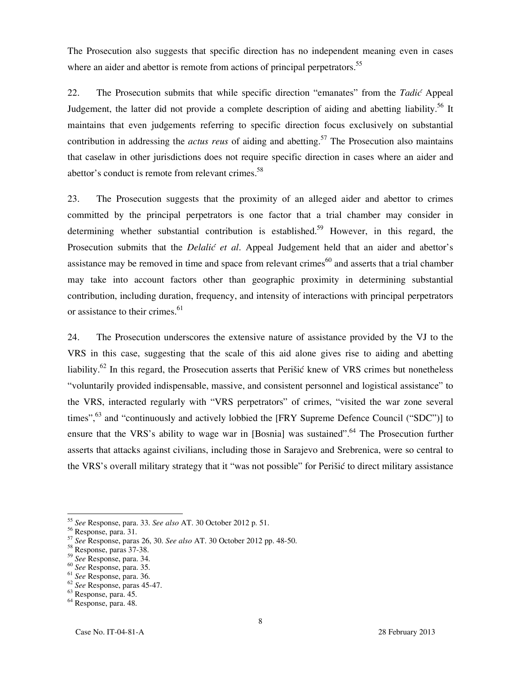The Prosecution also suggests that specific direction has no independent meaning even in cases where an aider and abettor is remote from actions of principal perpetrators.<sup>55</sup>

22. The Prosecution submits that while specific direction "emanates" from the Tadić Appeal Judgement, the latter did not provide a complete description of aiding and abetting liability.<sup>56</sup> It maintains that even judgements referring to specific direction focus exclusively on substantial contribution in addressing the *actus reus* of aiding and abetting.<sup>57</sup> The Prosecution also maintains that caselaw in other jurisdictions does not require specific direction in cases where an aider and abettor's conduct is remote from relevant crimes.<sup>58</sup>

23. The Prosecution suggests that the proximity of an alleged aider and abettor to crimes committed by the principal perpetrators is one factor that a trial chamber may consider in determining whether substantial contribution is established.<sup>59</sup> However, in this regard, the Prosecution submits that the *Delalić et al.* Appeal Judgement held that an aider and abettor's assistance may be removed in time and space from relevant crimes<sup>60</sup> and asserts that a trial chamber may take into account factors other than geographic proximity in determining substantial contribution, including duration, frequency, and intensity of interactions with principal perpetrators or assistance to their crimes.<sup>61</sup>

24. The Prosecution underscores the extensive nature of assistance provided by the VJ to the VRS in this case, suggesting that the scale of this aid alone gives rise to aiding and abetting liability.<sup>62</sup> In this regard, the Prosecution asserts that Peri $\delta$ ić knew of VRS crimes but nonetheless "voluntarily provided indispensable, massive, and consistent personnel and logistical assistance" to the VRS, interacted regularly with "VRS perpetrators" of crimes, "visited the war zone several times",<sup>63</sup> and "continuously and actively lobbied the [FRY Supreme Defence Council ("SDC")] to ensure that the VRS's ability to wage war in  $[Basnia]$  was sustained".<sup>64</sup> The Prosecution further asserts that attacks against civilians, including those in Sarajevo and Srebrenica, were so central to the VRS's overall military strategy that it "was not possible" for Perišić to direct military assistance

<sup>&</sup>lt;sup>55</sup> See Response, para. 33. See also AT. 30 October 2012 p. 51.

<sup>56</sup> Response, para. 31.

<sup>&</sup>lt;sup>57</sup> See Response, paras 26, 30. See also AT. 30 October 2012 pp. 48-50.

<sup>58</sup> Response, paras 37-38.

<sup>59</sup> See Response, para. 34.

<sup>60</sup> See Response, para. 35.

<sup>61</sup> See Response, para. 36.

<sup>62</sup> See Response, paras 45-47.

<sup>63</sup> Response, para. 45.

<sup>64</sup> Response, para. 48.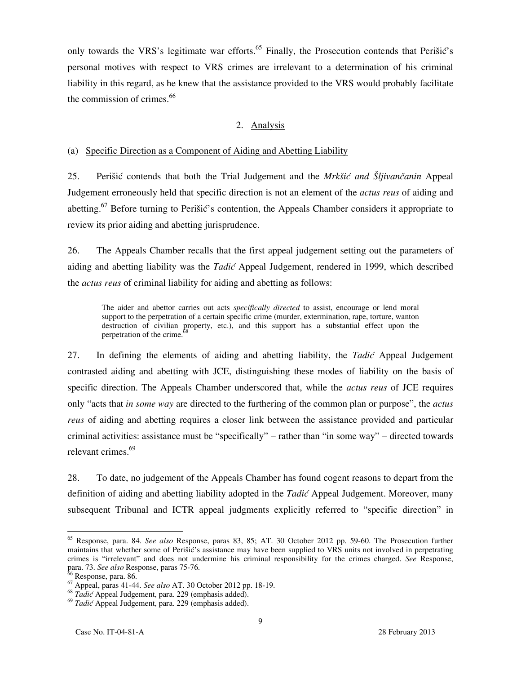only towards the VRS's legitimate war efforts.<sup>65</sup> Finally, the Prosecution contends that Perišić's personal motives with respect to VRS crimes are irrelevant to a determination of his criminal liability in this regard, as he knew that the assistance provided to the VRS would probably facilitate the commission of crimes. $66$ 

#### 2. Analysis

#### (a) Specific Direction as a Component of Aiding and Abetting Liability

25. Perišić contends that both the Trial Judgement and the *Mrkšić and Šljivančanin* Appeal Judgement erroneously held that specific direction is not an element of the *actus reus* of aiding and abetting.<sup>67</sup> Before turning to Perišić's contention, the Appeals Chamber considers it appropriate to review its prior aiding and abetting jurisprudence.

26. The Appeals Chamber recalls that the first appeal judgement setting out the parameters of aiding and abetting liability was the *Tadić* Appeal Judgement, rendered in 1999, which described the actus reus of criminal liability for aiding and abetting as follows:

The aider and abettor carries out acts *specifically directed* to assist, encourage or lend moral support to the perpetration of a certain specific crime (murder, extermination, rape, torture, wanton destruction of civilian property, etc.), and this support has a substantial effect upon the perpetration of the crime.<sup>1</sup>

27. In defining the elements of aiding and abetting liability, the Tadic Appeal Judgement contrasted aiding and abetting with JCE, distinguishing these modes of liability on the basis of specific direction. The Appeals Chamber underscored that, while the *actus reus* of JCE requires only "acts that in some way are directed to the furthering of the common plan or purpose", the *actus* reus of aiding and abetting requires a closer link between the assistance provided and particular criminal activities: assistance must be "specifically" – rather than "in some way" – directed towards relevant crimes.<sup>69</sup>

28. To date, no judgement of the Appeals Chamber has found cogent reasons to depart from the definition of aiding and abetting liability adopted in the *Tadić* Appeal Judgement. Moreover, many subsequent Tribunal and ICTR appeal judgments explicitly referred to "specific direction" in

<sup>&</sup>lt;sup>65</sup> Response, para. 84. See also Response, paras 83, 85; AT. 30 October 2012 pp. 59-60. The Prosecution further maintains that whether some of Peri<sub>s</sub>ic's assistance may have been supplied to VRS units not involved in perpetrating crimes is "irrelevant" and does not undermine his criminal responsibility for the crimes charged. See Response, para. 73. See also Response, paras 75-76.

<sup>&</sup>lt;sup>66</sup> Response, para. 86.

 $^{67}$  Appeal, paras 41-44. See also AT. 30 October 2012 pp. 18-19.

 $68 \text{ Tadic}$  Appeal Judgement, para. 229 (emphasis added).

 $69$  Tadić Appeal Judgement, para. 229 (emphasis added).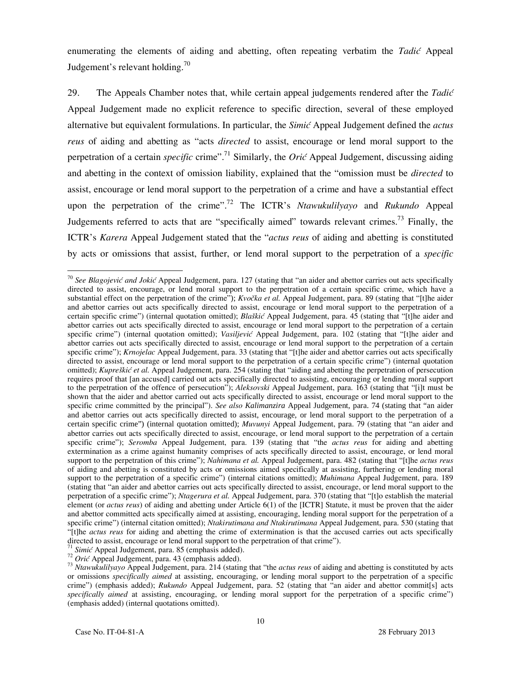enumerating the elements of aiding and abetting, often repeating verbatim the Tadić Appeal Judgement's relevant holding.<sup>70</sup>

29. The Appeals Chamber notes that, while certain appeal judgements rendered after the  $Tadi\acute{c}$ Appeal Judgement made no explicit reference to specific direction, several of these employed alternative but equivalent formulations. In particular, the *Simic* Appeal Judgement defined the *actus* reus of aiding and abetting as "acts directed to assist, encourage or lend moral support to the perpetration of a certain *specific* crime".<sup>71</sup> Similarly, the *Orić* Appeal Judgement, discussing aiding and abetting in the context of omission liability, explained that the "omission must be *directed* to assist, encourage or lend moral support to the perpetration of a crime and have a substantial effect upon the perpetration of the crime".<sup>72</sup> The ICTR's *Ntawukulilyayo* and *Rukundo* Appeal Judgements referred to acts that are "specifically aimed" towards relevant crimes.<sup>73</sup> Finally, the ICTR's Karera Appeal Judgement stated that the "actus reus of aiding and abetting is constituted by acts or omissions that assist, further, or lend moral support to the perpetration of a specific

 $71$  Simić Appeal Judgement, para. 85 (emphasis added).

 $72$  Oric Appeal Judgement, para. 43 (emphasis added).

<sup>&</sup>lt;sup>70</sup> See Blagojević and Jokić Appeal Judgement, para. 127 (stating that "an aider and abettor carries out acts specifically directed to assist, encourage, or lend moral support to the perpetration of a certain specific crime, which have a substantial effect on the perpetration of the crime"); Kvočka et al. Appeal Judgement, para. 89 (stating that "[t]he aider and abettor carries out acts specifically directed to assist, encourage or lend moral support to the perpetration of a certain specific crime") (internal quotation omitted); Blaškić Appeal Judgement, para. 45 (stating that "[t]he aider and abettor carries out acts specifically directed to assist, encourage or lend moral support to the perpetration of a certain specific crime") (internal quotation omitted); Vasiljević Appeal Judgement, para. 102 (stating that "[t]he aider and abettor carries out acts specifically directed to assist, encourage or lend moral support to the perpetration of a certain specific crime"); Krnojelac Appeal Judgement, para. 33 (stating that "[t]he aider and abettor carries out acts specifically directed to assist, encourage or lend moral support to the perpetration of a certain specific crime") (internal quotation omitted); Kupreškić et al. Appeal Judgement, para. 254 (stating that "aiding and abetting the perpetration of persecution requires proof that [an accused] carried out acts specifically directed to assisting, encouraging or lending moral support to the perpetration of the offence of persecution"); Aleksovski Appeal Judgement, para. 163 (stating that "[i]t must be shown that the aider and abettor carried out acts specifically directed to assist, encourage or lend moral support to the specific crime committed by the principal"). See also *Kalimanzira* Appeal Judgement, para. 74 (stating that "an aider and abettor carries out acts specifically directed to assist, encourage, or lend moral support to the perpetration of a certain specific crime") (internal quotation omitted); Muvunyi Appeal Judgement, para. 79 (stating that "an aider and abettor carries out acts specifically directed to assist, encourage, or lend moral support to the perpetration of a certain specific crime"); Seromba Appeal Judgement, para. 139 (stating that "the actus reus for aiding and abetting extermination as a crime against humanity comprises of acts specifically directed to assist, encourage, or lend moral support to the perpetration of this crime"); Nahimana et al. Appeal Judgement, para. 482 (stating that "[t]he actus reus of aiding and abetting is constituted by acts or omissions aimed specifically at assisting, furthering or lending moral support to the perpetration of a specific crime") (internal citations omitted); *Muhimana* Appeal Judgement, para. 189 (stating that "an aider and abettor carries out acts specifically directed to assist, encourage, or lend moral support to the perpetration of a specific crime"); Ntagerura et al. Appeal Judgement, para. 370 (stating that "[t]o establish the material element (or *actus reus*) of aiding and abetting under Article  $6(1)$  of the  $[ICTR]$  Statute, it must be proven that the aider and abettor committed acts specifically aimed at assisting, encouraging, lending moral support for the perpetration of a specific crime") (internal citation omitted); Ntakirutimana and Ntakirutimana Appeal Judgement, para. 530 (stating that "[t]he actus reus for aiding and abetting the crime of extermination is that the accused carries out acts specifically directed to assist, encourage or lend moral support to the perpetration of that crime").

 $^{73}$  Ntawukulilyayo Appeal Judgement, para. 214 (stating that "the actus reus of aiding and abetting is constituted by acts or omissions specifically aimed at assisting, encouraging, or lending moral support to the perpetration of a specific crime") (emphasis added); Rukundo Appeal Judgement, para. 52 (stating that "an aider and abettor commit[s] acts specifically aimed at assisting, encouraging, or lending moral support for the perpetration of a specific crime") (emphasis added) (internal quotations omitted).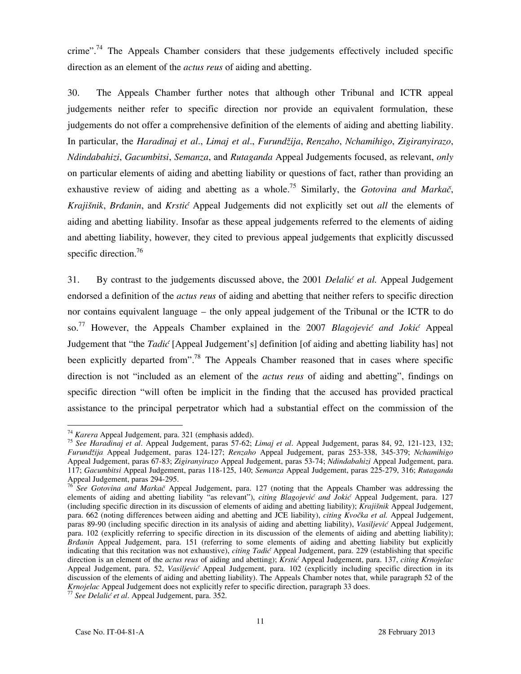crime".<sup>74</sup> The Appeals Chamber considers that these judgements effectively included specific direction as an element of the *actus reus* of aiding and abetting.

30. The Appeals Chamber further notes that although other Tribunal and ICTR appeal judgements neither refer to specific direction nor provide an equivalent formulation, these judgements do not offer a comprehensive definition of the elements of aiding and abetting liability. In particular, the Haradinaj et al., Limaj et al., Furundžija, Renzaho, Nchamihigo, Zigiranyirazo, Ndindabahizi, Gacumbitsi, Semanza, and Rutaganda Appeal Judgements focused, as relevant, only on particular elements of aiding and abetting liability or questions of fact, rather than providing an exhaustive review of aiding and abetting as a whole.<sup>75</sup> Similarly, the *Gotovina and Markač*, Krajišnik, Brđanin, and Krstić Appeal Judgements did not explicitly set out all the elements of aiding and abetting liability. Insofar as these appeal judgements referred to the elements of aiding and abetting liability, however, they cited to previous appeal judgements that explicitly discussed specific direction.<sup>76</sup>

31. By contrast to the judgements discussed above, the 2001 Delalić et al. Appeal Judgement endorsed a definition of the *actus reus* of aiding and abetting that neither refers to specific direction nor contains equivalent language – the only appeal judgement of the Tribunal or the ICTR to do so.<sup>77</sup> However, the Appeals Chamber explained in the 2007 Blagojević and Jokić Appeal Judgement that "the *Tadić* [Appeal Judgement's] definition [of aiding and abetting liability has] not been explicitly departed from".<sup>78</sup> The Appeals Chamber reasoned that in cases where specific direction is not "included as an element of the *actus reus* of aiding and abetting", findings on specific direction "will often be implicit in the finding that the accused has provided practical assistance to the principal perpetrator which had a substantial effect on the commission of the

<sup>&</sup>lt;sup>74</sup> Karera Appeal Judgement, para. 321 (emphasis added).

 $75$  See Haradinaj et al. Appeal Judgement, paras  $57-62$ ; Limaj et al. Appeal Judgement, paras 84, 92, 121-123, 132; Furundžija Appeal Judgement, paras 124-127; Renzaho Appeal Judgement, paras 253-338, 345-379; Nchamihigo Appeal Judgement, paras 67-83; Zigiranyirazo Appeal Judgement, paras 53-74; Ndindabahizi Appeal Judgement, para. 117; Gacumbitsi Appeal Judgement, paras 118-125, 140; Semanza Appeal Judgement, paras 225-279, 316; Rutaganda Appeal Judgement, paras 294-295.

See Gotovina and Markač Appeal Judgement, para. 127 (noting that the Appeals Chamber was addressing the elements of aiding and abetting liability "as relevant"), *citing Blagojević and Jokić* Appeal Judgement, para. 127 (including specific direction in its discussion of elements of aiding and abetting liability);  $\hat{K}r$ *ajišnik* Appeal Judgement, para. 662 (noting differences between aiding and abetting and JCE liability), citing Kvočka et al. Appeal Judgement, paras 89-90 (including specific direction in its analysis of aiding and abetting liability), Vasiljević Appeal Judgement, para. 102 (explicitly referring to specific direction in its discussion of the elements of aiding and abetting liability); Brdanin Appeal Judgement, para. 151 (referring to some elements of aiding and abetting liability but explicitly indicating that this recitation was not exhaustive), *citing Tadić* Appeal Judgement, para. 229 (establishing that specific direction is an element of the actus reus of aiding and abetting); Krstić Appeal Judgement, para. 137, citing Krnojelac Appeal Judgement, para. 52, Vasiljević Appeal Judgement, para. 102 (explicitly including specific direction in its discussion of the elements of aiding and abetting liability). The Appeals Chamber notes that, while paragraph 52 of the Krnojelac Appeal Judgement does not explicitly refer to specific direction, paragraph 33 does.

 $77$  See Delalic et al. Appeal Judgement, para. 352.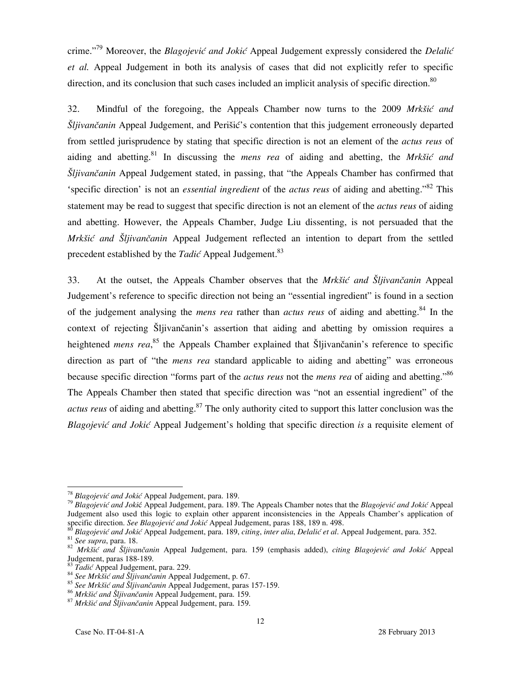crime."<sup>79</sup> Moreover, the *Blagojević and Jokić* Appeal Judgement expressly considered the *Delalić* et al. Appeal Judgement in both its analysis of cases that did not explicitly refer to specific direction, and its conclusion that such cases included an implicit analysis of specific direction. $80$ 

32. Mindful of the foregoing, the Appeals Chamber now turns to the 2009  $Mrk\ddot{s}i\acute{c}$  and Stijivančanin Appeal Judgement, and Perišić's contention that this judgement erroneously departed from settled jurisprudence by stating that specific direction is not an element of the actus reus of aiding and abetting.<sup>81</sup> In discussing the *mens rea* of aiding and abetting, the *Mrkšić and* Šljivančanin Appeal Judgement stated, in passing, that "the Appeals Chamber has confirmed that 'specific direction' is not an *essential ingredient* of the *actus reus* of aiding and abetting."<sup>82</sup> This statement may be read to suggest that specific direction is not an element of the *actus reus* of aiding and abetting. However, the Appeals Chamber, Judge Liu dissenting, is not persuaded that the Mrkšić and Šljivančanin Appeal Judgement reflected an intention to depart from the settled precedent established by the *Tadić* Appeal Judgement.<sup>83</sup>

33. At the outset, the Appeals Chamber observes that the Mrkšić and Šljivančanin Appeal Judgement's reference to specific direction not being an "essential ingredient" is found in a section of the judgement analysing the *mens rea* rather than *actus reus* of aiding and abetting.<sup>84</sup> In the context of rejecting Sljivančanin's assertion that aiding and abetting by omission requires a heightened *mens rea*,<sup>85</sup> the Appeals Chamber explained that Stijivančanin's reference to specific direction as part of "the *mens rea* standard applicable to aiding and abetting" was erroneous because specific direction "forms part of the *actus reus* not the *mens rea* of aiding and abetting."<sup>86</sup> The Appeals Chamber then stated that specific direction was "not an essential ingredient" of the *actus reus* of aiding and abetting.<sup>87</sup> The only authority cited to support this latter conclusion was the Blagojević and Jokić Appeal Judgement's holding that specific direction is a requisite element of

 $^{78}$  Blagojević and Jokić Appeal Judgement, para. 189.

<sup>&</sup>lt;sup>79</sup> Blagojević and Jokić Appeal Judgement, para. 189. The Appeals Chamber notes that the Blagojević and Jokić Appeal Judgement also used this logic to explain other apparent inconsistencies in the Appeals Chamber's application of specific direction. See Blagojević and Jokić Appeal Judgement, paras 188, 189 n. 498.<br><sup>80</sup> Blagojević and Jokić Appeal Judgement, paras 188, 189 n. 498.

Blagojević and Jokić Appeal Judgement, para. 189, citing, inter alia, Delalić et al. Appeal Judgement, para. 352.

<sup>81</sup> See supra, para. 18.

 $82$  Mrkšić and Šljivančanin Appeal Judgement, para. 159 (emphasis added), citing Blagojević and Jokić Appeal Judgement, paras 188-189.

 $83$  Tadić Appeal Judgement, para. 229.

 $84$  See Mrkšić and Šljivančanin Appeal Judgement, p. 67.

 $85$  See Mrkšić and Šljivančanin Appeal Judgement, paras 157-159.

 $86$  Mrkšić and Šljivančanin Appeal Judgement, para. 159.

 $87$  Mrkšić and Šljivančanin Appeal Judgement, para. 159.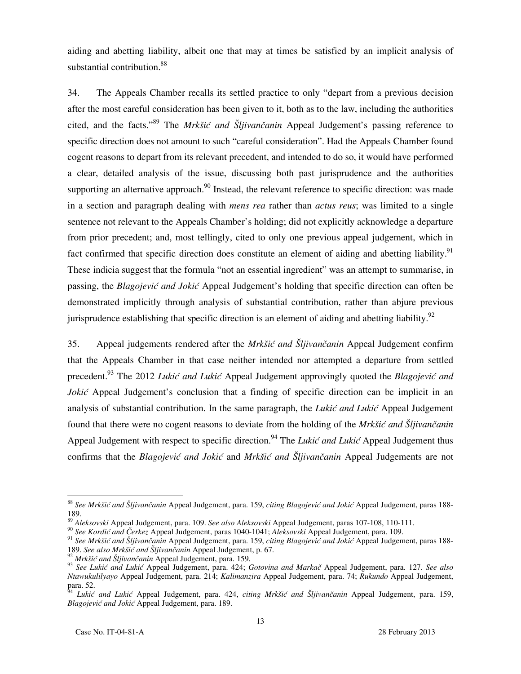aiding and abetting liability, albeit one that may at times be satisfied by an implicit analysis of substantial contribution.<sup>88</sup>

34. The Appeals Chamber recalls its settled practice to only "depart from a previous decision after the most careful consideration has been given to it, both as to the law, including the authorities cited, and the facts.<sup>89</sup> The *Mrkšić and Šljivančanin* Appeal Judgement's passing reference to specific direction does not amount to such "careful consideration". Had the Appeals Chamber found cogent reasons to depart from its relevant precedent, and intended to do so, it would have performed a clear, detailed analysis of the issue, discussing both past jurisprudence and the authorities supporting an alternative approach.<sup>90</sup> Instead, the relevant reference to specific direction: was made in a section and paragraph dealing with *mens rea* rather than *actus reus*; was limited to a single sentence not relevant to the Appeals Chamber's holding; did not explicitly acknowledge a departure from prior precedent; and, most tellingly, cited to only one previous appeal judgement, which in fact confirmed that specific direction does constitute an element of aiding and abetting liability.<sup>91</sup> These indicia suggest that the formula "not an essential ingredient" was an attempt to summarise, in passing, the *Blagojević and Jokić* Appeal Judgement's holding that specific direction can often be demonstrated implicitly through analysis of substantial contribution, rather than abjure previous jurisprudence establishing that specific direction is an element of aiding and abetting liability.<sup>92</sup>

35. Appeal judgements rendered after the *Mrkšić and Šljivančanin* Appeal Judgement confirm that the Appeals Chamber in that case neither intended nor attempted a departure from settled precedent.<sup>93</sup> The 2012 Lukić and Lukić Appeal Judgement approvingly quoted the Blagojević and Jokić Appeal Judgement's conclusion that a finding of specific direction can be implicit in an analysis of substantial contribution. In the same paragraph, the Lukić and Lukić Appeal Judgement found that there were no cogent reasons to deviate from the holding of the *Mrk* $\delta i$  *and*  $\delta i$  *jivančanin* Appeal Judgement with respect to specific direction.<sup>94</sup> The *Lukić and Lukić* Appeal Judgement thus confirms that the *Blagojević and Jokić* and *Mrkšić and Šljivančanin* Appeal Judgements are not

<sup>&</sup>lt;sup>88</sup> See Mrkšić and Šljivančanin Appeal Judgement, para. 159, citing Blagojević and Jokić Appeal Judgement, paras 188-189.

<sup>&</sup>lt;sup>89</sup> Aleksovski Appeal Judgement, para. 109. See also Aleksovski Appeal Judgement, paras 107-108, 110-111.

<sup>90</sup> See Kordić and Čerkez Appeal Judgement, paras 1040-1041; Aleksovski Appeal Judgement, para. 109.

<sup>91</sup> See Mrkšić and Šljivančanin Appeal Judgement, para. 159, citing Blagojević and Jokić Appeal Judgement, paras 188-189. See also Mrkšić and Šljivančanin Appeal Judgement, p. 67.

 $92$  Mrkšić and Šljivančanin Appeal Judgement, para. 159.

<sup>93</sup> See Lukić and Lukić Appeal Judgement, para. 424; Gotovina and Markač Appeal Judgement, para. 127. See also Ntawukulilyayo Appeal Judgement, para. 214; Kalimanzira Appeal Judgement, para. 74; Rukundo Appeal Judgement, para. 52.

<sup>&</sup>lt;sup>94</sup> Lukić and Lukić Appeal Judgement, para. 424, citing Mrkšić and Šljivančanin Appeal Judgement, para. 159, Blagojević and Jokić Appeal Judgement, para. 189.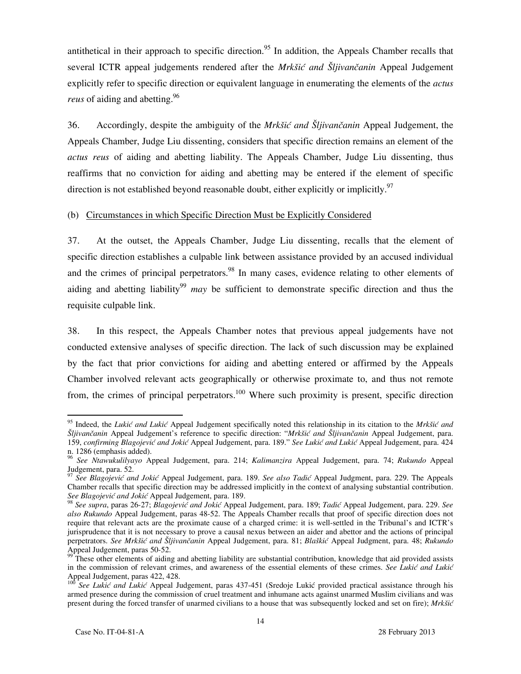antithetical in their approach to specific direction.<sup>95</sup> In addition, the Appeals Chamber recalls that several ICTR appeal judgements rendered after the *Mrk* $\delta i$  *and*  $\delta i$  *jivančanin* Appeal Judgement explicitly refer to specific direction or equivalent language in enumerating the elements of the *actus* reus of aiding and abetting.<sup>96</sup>

36. Accordingly, despite the ambiguity of the *Mrkšić and Šljivančanin* Appeal Judgement, the Appeals Chamber, Judge Liu dissenting, considers that specific direction remains an element of the actus reus of aiding and abetting liability. The Appeals Chamber, Judge Liu dissenting, thus reaffirms that no conviction for aiding and abetting may be entered if the element of specific direction is not established beyond reasonable doubt, either explicitly or implicitly.<sup>97</sup>

#### (b) Circumstances in which Specific Direction Must be Explicitly Considered

37. At the outset, the Appeals Chamber, Judge Liu dissenting, recalls that the element of specific direction establishes a culpable link between assistance provided by an accused individual and the crimes of principal perpetrators.<sup>98</sup> In many cases, evidence relating to other elements of aiding and abetting liability<sup>99</sup> may be sufficient to demonstrate specific direction and thus the requisite culpable link.

38. In this respect, the Appeals Chamber notes that previous appeal judgements have not conducted extensive analyses of specific direction. The lack of such discussion may be explained by the fact that prior convictions for aiding and abetting entered or affirmed by the Appeals Chamber involved relevant acts geographically or otherwise proximate to, and thus not remote from, the crimes of principal perpetrators.<sup>100</sup> Where such proximity is present, specific direction

<sup>&</sup>lt;sup>95</sup> Indeed, the Lukić and Lukić Appeal Judgement specifically noted this relationship in its citation to the Mrkšić and  $\delta$ ljivančanin Appeal Judgement's reference to specific direction: "Mrk $\delta i$  and  $\delta$ ljivančanin Appeal Judgement, para. 159, confirming Blagojević and Jokić Appeal Judgement, para. 189." See Lukić and Lukić Appeal Judgement, para. 424 n. 1286 (emphasis added).

<sup>96</sup> See Ntawukulilyayo Appeal Judgement, para. 214; Kalimanzira Appeal Judgement, para. 74; Rukundo Appeal Judgement, para. 52.

<sup>&</sup>lt;sup>97</sup> See Blagojević and Jokić Appeal Judgement, para. 189. See also Tadić Appeal Judgment, para. 229. The Appeals Chamber recalls that specific direction may be addressed implicitly in the context of analysing substantial contribution. See Blagojević and Jokić Appeal Judgement, para. 189.

<sup>&</sup>lt;sup>98</sup> See supra, paras 26-27; Blagojević and Jokić Appeal Judgement, para. 189; Tadić Appeal Judgement, para. 229. See also Rukundo Appeal Judgement, paras 48-52. The Appeals Chamber recalls that proof of specific direction does not require that relevant acts are the proximate cause of a charged crime: it is well-settled in the Tribunal's and ICTR's jurisprudence that it is not necessary to prove a causal nexus between an aider and abettor and the actions of principal perpetrators. See Mrkšić and Šljivančanin Appeal Judgement, para. 81; Blaškić Appeal Judgment, para. 48; Rukundo Appeal Judgement, paras 50-52.

<sup>&</sup>lt;sup>99</sup>These other elements of aiding and abetting liability are substantial contribution, knowledge that aid provided assists in the commission of relevant crimes, and awareness of the essential elements of these crimes. See Lukić and Lukić Appeal Judgement, paras 422, 428.

See Lukić and Lukić Appeal Judgement, paras 437-451 (Sredoje Lukić provided practical assistance through his armed presence during the commission of cruel treatment and inhumane acts against unarmed Muslim civilians and was present during the forced transfer of unarmed civilians to a house that was subsequently locked and set on fire); Mrkšić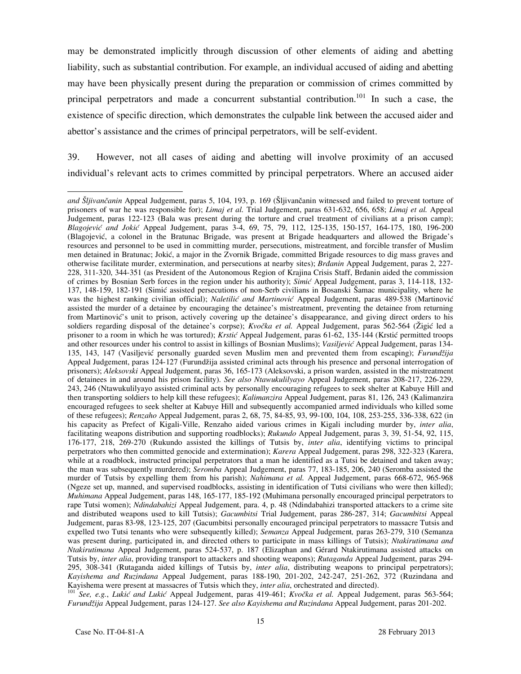may be demonstrated implicitly through discussion of other elements of aiding and abetting liability, such as substantial contribution. For example, an individual accused of aiding and abetting may have been physically present during the preparation or commission of crimes committed by principal perpetrators and made a concurrent substantial contribution.<sup>101</sup> In such a case, the existence of specific direction, which demonstrates the culpable link between the accused aider and abettor's assistance and the crimes of principal perpetrators, will be self-evident.

39. However, not all cases of aiding and abetting will involve proximity of an accused individual's relevant acts to crimes committed by principal perpetrators. Where an accused aider

<sup>101</sup> See, e.g., Lukić and Lukić Appeal Judgement, paras 419-461; Kvočka et al. Appeal Judgement, paras 563-564; Furundžija Appeal Judgement, paras 124-127. See also Kayishema and Ruzindana Appeal Judgement, paras 201-202.

and Šljivančanin Appeal Judgement, paras 5, 104, 193, p. 169 (Šljivančanin witnessed and failed to prevent torture of prisoners of war he was responsible for); Limaj et al. Trial Judgement, paras 631-632, 656, 658; Limaj et al. Appeal Judgement, paras 122-123 (Bala was present during the torture and cruel treatment of civilians at a prison camp); Blagojević and Jokić Appeal Judgement, paras 3-4, 69, 75, 79, 112, 125-135, 150-157, 164-175, 180, 196-200 (Blagojević, a colonel in the Bratunac Brigade, was present at Brigade headquarters and allowed the Brigade's resources and personnel to be used in committing murder, persecutions, mistreatment, and forcible transfer of Muslim men detained in Bratunac; Jokić, a major in the Zvornik Brigade, committed Brigade resources to dig mass graves and otherwise facilitate murder, extermination, and persecutions at nearby sites); Brdanin Appeal Judgement, paras 2, 227-228, 311-320, 344-351 (as President of the Autonomous Region of Krajina Crisis Staff, Brdanin aided the commission of crimes by Bosnian Serb forces in the region under his authority); Simić Appeal Judgement, paras 3, 114-118, 132-137, 148-159, 182-191 (Simić assisted persecutions of non-Serb civilians in Bosanski Šamac municipality, where he was the highest ranking civilian official); Naletilić and Martinović Appeal Judgement, paras 489-538 (Martinović assisted the murder of a detainee by encouraging the detainee's mistreatment, preventing the detainee from returning from Martinović's unit to prison, actively covering up the detainee's disappearance, and giving direct orders to his soldiers regarding disposal of the detainee's corpse); Kvočka et al. Appeal Judgement, paras 562-564 (Žigić led a prisoner to a room in which he was tortured); Krstić Appeal Judgement, paras 61-62, 135-144 (Krstić permitted troops and other resources under his control to assist in killings of Bosnian Muslims); Vasiljević Appeal Judgement, paras 134-135, 143, 147 (Vasiljević personally guarded seven Muslim men and prevented them from escaping); Furundžija Appeal Judgement, paras 124-127 (Furundžija assisted criminal acts through his presence and personal interrogation of prisoners); Aleksovski Appeal Judgement, paras 36, 165-173 (Aleksovski, a prison warden, assisted in the mistreatment of detainees in and around his prison facility). See also Ntawukulilyayo Appeal Judgement, paras 208-217, 226-229, 243, 246 (Ntawukulilyayo assisted criminal acts by personally encouraging refugees to seek shelter at Kabuye Hill and then transporting soldiers to help kill these refugees); Kalimanzira Appeal Judgement, paras 81, 126, 243 (Kalimanzira encouraged refugees to seek shelter at Kabuye Hill and subsequently accompanied armed individuals who killed some of these refugees); Renzaho Appeal Judgement, paras 2, 68, 75, 84-85, 93, 99-100, 104, 108, 253-255, 336-338, 622 (in his capacity as Prefect of Kigali-Ville, Renzaho aided various crimes in Kigali including murder by, *inter alia*, facilitating weapons distribution and supporting roadblocks); Rukundo Appeal Judgement, paras 3, 39, 51-54, 92, 115, 176-177, 218, 269-270 (Rukundo assisted the killings of Tutsis by, inter alia, identifying victims to principal perpetrators who then committed genocide and extermination); Karera Appeal Judgement, paras 298, 322-323 (Karera, while at a roadblock, instructed principal perpetrators that a man he identified as a Tutsi be detained and taken away; the man was subsequently murdered); Seromba Appeal Judgement, paras 77, 183-185, 206, 240 (Seromba assisted the murder of Tutsis by expelling them from his parish); Nahimana et al. Appeal Judgement, paras 668-672, 965-968 (Ngeze set up, manned, and supervised roadblocks, assisting in identification of Tutsi civilians who were then killed); Muhimana Appeal Judgement, paras 148, 165-177, 185-192 (Muhimana personally encouraged principal perpetrators to rape Tutsi women); Ndindabahizi Appeal Judgement, para. 4, p. 48 (Ndindabahizi transported attackers to a crime site and distributed weapons used to kill Tutsis); Gacumbitsi Trial Judgement, paras 286-287, 314; Gacumbitsi Appeal Judgement, paras 83-98, 123-125, 207 (Gacumbitsi personally encouraged principal perpetrators to massacre Tutsis and expelled two Tutsi tenants who were subsequently killed); Semanza Appeal Judgement, paras 263-279, 310 (Semanza was present during, participated in, and directed others to participate in mass killings of Tutsis); Ntakirutimana and Ntakirutimana Appeal Judgement, paras 524-537, p. 187 (Elizaphan and Gérard Ntakirutimana assisted attacks on Tutsis by, inter alia, providing transport to attackers and shooting weapons); Rutaganda Appeal Judgement, paras 294- 295, 308-341 (Rutaganda aided killings of Tutsis by, *inter alia*, distributing weapons to principal perpetrators); Kayishema and Ruzindana Appeal Judgement, paras 188-190, 201-202, 242-247, 251-262, 372 (Ruzindana and Kayishema were present at massacres of Tutsis which they, inter alia, orchestrated and directed).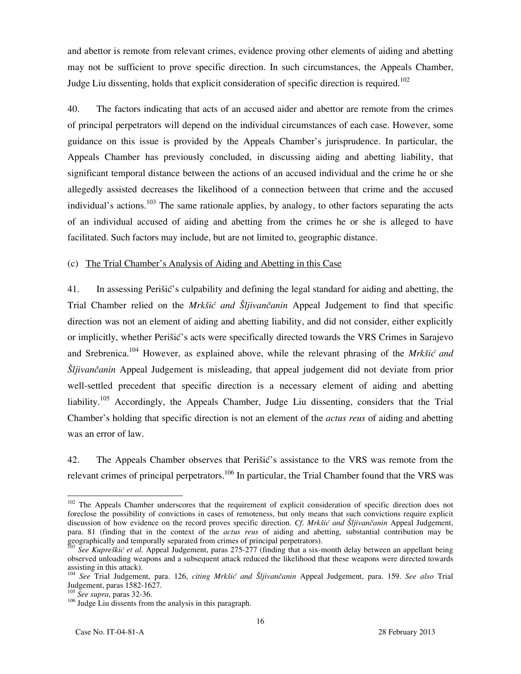and abettor is remote from relevant crimes, evidence proving other elements of aiding and abetting may not be sufficient to prove specific direction. In such circumstances, the Appeals Chamber, Judge Liu dissenting, holds that explicit consideration of specific direction is required.<sup>102</sup>

40. The factors indicating that acts of an accused aider and abettor are remote from the crimes of principal perpetrators will depend on the individual circumstances of each case. However, some guidance on this issue is provided by the Appeals Chamber's jurisprudence. In particular, the Appeals Chamber has previously concluded, in discussing aiding and abetting liability, that significant temporal distance between the actions of an accused individual and the crime he or she allegedly assisted decreases the likelihood of a connection between that crime and the accused individual's actions.<sup>103</sup> The same rationale applies, by analogy, to other factors separating the acts of an individual accused of aiding and abetting from the crimes he or she is alleged to have facilitated. Such factors may include, but are not limited to, geographic distance.

#### (c) The Trial Chamber's Analysis of Aiding and Abetting in this Case

41. In assessing Peri{i}'s culpability and defining the legal standard for aiding and abetting, the Trial Chamber relied on the *Mrkšić and Šljivančanin* Appeal Judgement to find that specific direction was not an element of aiding and abetting liability, and did not consider, either explicitly or implicitly, whether Perišić's acts were specifically directed towards the VRS Crimes in Sarajevo and Srebrenica.<sup>104</sup> However, as explained above, while the relevant phrasing of the *Mrkšić and* Stijivančanin Appeal Judgement is misleading, that appeal judgement did not deviate from prior well-settled precedent that specific direction is a necessary element of aiding and abetting liability.<sup>105</sup> Accordingly, the Appeals Chamber, Judge Liu dissenting, considers that the Trial Chamber's holding that specific direction is not an element of the actus reus of aiding and abetting was an error of law.

42. The Appeals Chamber observes that Peri<sub>stic</sub>'s assistance to the VRS was remote from the relevant crimes of principal perpetrators.<sup>106</sup> In particular, the Trial Chamber found that the VRS was

<sup>&</sup>lt;sup>102</sup> The Appeals Chamber underscores that the requirement of explicit consideration of specific direction does not foreclose the possibility of convictions in cases of remoteness, but only means that such convictions require explicit discussion of how evidence on the record proves specific direction. Cf. Mrkšić and Šljivančanin Appeal Judgement, para. 81 (finding that in the context of the actus reus of aiding and abetting, substantial contribution may be geographically and temporally separated from crimes of principal perpetrators).

 $^{103}$  See Kupreškić et al. Appeal Judgement, paras 275-277 (finding that a six-month delay between an appellant being observed unloading weapons and a subsequent attack reduced the likelihood that these weapons were directed towards assisting in this attack).

<sup>&</sup>lt;sup>104</sup> See Trial Judgement, para. 126, citing Mrkšić and Šljivančanin Appeal Judgement, para. 159. See also Trial Judgement, paras 1582-1627.

 $105$  See supra, paras 32-36.

<sup>&</sup>lt;sup>106</sup> Judge Liu dissents from the analysis in this paragraph.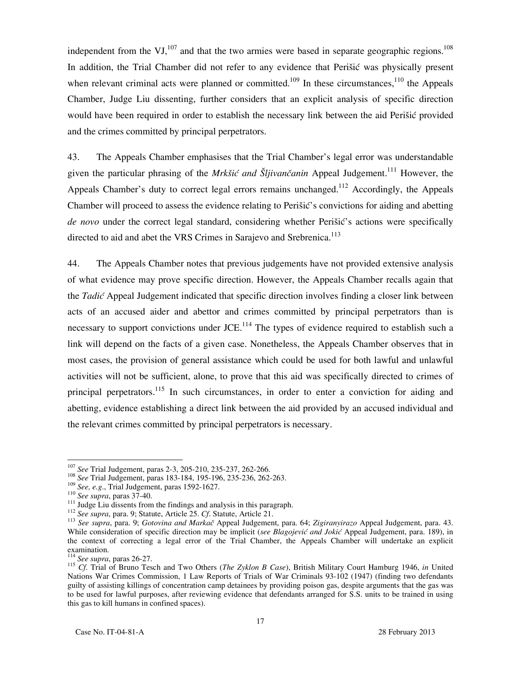independent from the VJ, $^{107}$  and that the two armies were based in separate geographic regions.<sup>108</sup> In addition, the Trial Chamber did not refer to any evidence that Perišić was physically present when relevant criminal acts were planned or committed.<sup>109</sup> In these circumstances,<sup>110</sup> the Appeals Chamber, Judge Liu dissenting, further considers that an explicit analysis of specific direction would have been required in order to establish the necessary link between the aid Perišić provided and the crimes committed by principal perpetrators.

43. The Appeals Chamber emphasises that the Trial Chamber's legal error was understandable given the particular phrasing of the *Mrkšić and Šljivančanin* Appeal Judgement.<sup>111</sup> However, the Appeals Chamber's duty to correct legal errors remains unchanged.<sup>112</sup> Accordingly, the Appeals Chamber will proceed to assess the evidence relating to Perišić's convictions for aiding and abetting de novo under the correct legal standard, considering whether Perišić's actions were specifically directed to aid and abet the VRS Crimes in Sarajevo and Srebrenica. $^{113}$ 

44. The Appeals Chamber notes that previous judgements have not provided extensive analysis of what evidence may prove specific direction. However, the Appeals Chamber recalls again that the *Tadić* Appeal Judgement indicated that specific direction involves finding a closer link between acts of an accused aider and abettor and crimes committed by principal perpetrators than is necessary to support convictions under  $JCE$ .<sup>114</sup> The types of evidence required to establish such a link will depend on the facts of a given case. Nonetheless, the Appeals Chamber observes that in most cases, the provision of general assistance which could be used for both lawful and unlawful activities will not be sufficient, alone, to prove that this aid was specifically directed to crimes of principal perpetrators.<sup>115</sup> In such circumstances, in order to enter a conviction for aiding and abetting, evidence establishing a direct link between the aid provided by an accused individual and the relevant crimes committed by principal perpetrators is necessary.

<sup>&</sup>lt;sup>107</sup> See Trial Judgement, paras 2-3, 205-210, 235-237, 262-266.

<sup>108</sup> See Trial Judgement, paras 183-184, 195-196, 235-236, 262-263.

<sup>109</sup> See, e.g., Trial Judgement, paras 1592-1627.

 $110$  See supra, paras 37-40.

<sup>&</sup>lt;sup>111</sup> Judge Liu dissents from the findings and analysis in this paragraph.

<sup>&</sup>lt;sup>112</sup> See supra, para. 9; Statute, Article 25. Cf. Statute, Article 21.

<sup>&</sup>lt;sup>113</sup> See supra, para. 9; Gotovina and Markač Appeal Judgement, para. 64; Zigiranyirazo Appeal Judgement, para. 43. While consideration of specific direction may be implicit (see Blagojević and Jokić Appeal Judgement, para. 189), in the context of correcting a legal error of the Trial Chamber, the Appeals Chamber will undertake an explicit examination.

<sup>&</sup>lt;sup>114</sup> See supra, paras 26-27.

<sup>&</sup>lt;sup>115</sup> Cf. Trial of Bruno Tesch and Two Others (*The Zyklon B Case*), British Military Court Hamburg 1946, *in* United Nations War Crimes Commission, 1 Law Reports of Trials of War Criminals 93-102 (1947) (finding two defendants guilty of assisting killings of concentration camp detainees by providing poison gas, despite arguments that the gas was to be used for lawful purposes, after reviewing evidence that defendants arranged for S.S. units to be trained in using this gas to kill humans in confined spaces).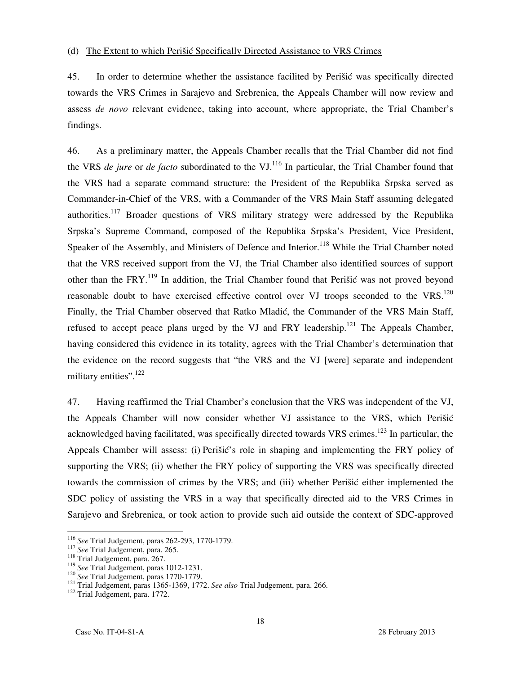## (d) The Extent to which Perišić Specifically Directed Assistance to VRS Crimes

45. In order to determine whether the assistance facilited by Perišić was specifically directed towards the VRS Crimes in Sarajevo and Srebrenica, the Appeals Chamber will now review and assess de novo relevant evidence, taking into account, where appropriate, the Trial Chamber's findings.

46. As a preliminary matter, the Appeals Chamber recalls that the Trial Chamber did not find the VRS de jure or de facto subordinated to the VJ.<sup>116</sup> In particular, the Trial Chamber found that the VRS had a separate command structure: the President of the Republika Srpska served as Commander-in-Chief of the VRS, with a Commander of the VRS Main Staff assuming delegated authorities.<sup>117</sup> Broader questions of VRS military strategy were addressed by the Republika Srpska's Supreme Command, composed of the Republika Srpska's President, Vice President, Speaker of the Assembly, and Ministers of Defence and Interior.<sup>118</sup> While the Trial Chamber noted that the VRS received support from the VJ, the Trial Chamber also identified sources of support other than the FRY.<sup>119</sup> In addition, the Trial Chamber found that Peristic was not proved beyond reasonable doubt to have exercised effective control over VJ troops seconded to the VRS.<sup>120</sup> Finally, the Trial Chamber observed that Ratko Mladić, the Commander of the VRS Main Staff, refused to accept peace plans urged by the VJ and FRY leadership.<sup>121</sup> The Appeals Chamber, having considered this evidence in its totality, agrees with the Trial Chamber's determination that the evidence on the record suggests that "the VRS and the VJ [were] separate and independent military entities".<sup>122</sup>

47. Having reaffirmed the Trial Chamber's conclusion that the VRS was independent of the VJ, the Appeals Chamber will now consider whether VJ assistance to the VRS, which Perišić acknowledged having facilitated, was specifically directed towards VRS crimes.<sup>123</sup> In particular, the Appeals Chamber will assess: (i) Perišić's role in shaping and implementing the FRY policy of supporting the VRS; (ii) whether the FRY policy of supporting the VRS was specifically directed towards the commission of crimes by the VRS; and (iii) whether Peri<sub>stic</sub> either implemented the SDC policy of assisting the VRS in a way that specifically directed aid to the VRS Crimes in Sarajevo and Srebrenica, or took action to provide such aid outside the context of SDC-approved

<sup>116</sup> See Trial Judgement, paras 262-293, 1770-1779.

<sup>&</sup>lt;sup>117</sup> See Trial Judgement, para. 265.

<sup>&</sup>lt;sup>118</sup> Trial Judgement, para. 267.

<sup>&</sup>lt;sup>119</sup> See Trial Judgement, paras 1012-1231.

<sup>&</sup>lt;sup>120</sup> See Trial Judgement, paras 1770-1779.

 $121$  Trial Judgement, paras  $1365-1369$ , 1772. See also Trial Judgement, para. 266.

<sup>&</sup>lt;sup>122</sup> Trial Judgement, para. 1772.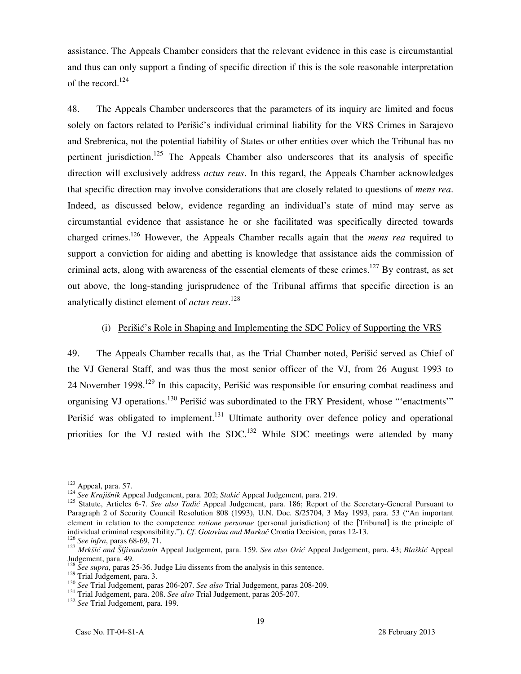assistance. The Appeals Chamber considers that the relevant evidence in this case is circumstantial and thus can only support a finding of specific direction if this is the sole reasonable interpretation of the record.<sup>124</sup>

48. The Appeals Chamber underscores that the parameters of its inquiry are limited and focus solely on factors related to Perišić's individual criminal liability for the VRS Crimes in Sarajevo and Srebrenica, not the potential liability of States or other entities over which the Tribunal has no pertinent jurisdiction.<sup>125</sup> The Appeals Chamber also underscores that its analysis of specific direction will exclusively address *actus reus*. In this regard, the Appeals Chamber acknowledges that specific direction may involve considerations that are closely related to questions of *mens rea*. Indeed, as discussed below, evidence regarding an individual's state of mind may serve as circumstantial evidence that assistance he or she facilitated was specifically directed towards charged crimes.<sup>126</sup> However, the Appeals Chamber recalls again that the *mens rea* required to support a conviction for aiding and abetting is knowledge that assistance aids the commission of criminal acts, along with awareness of the essential elements of these crimes.<sup>127</sup> By contrast, as set out above, the long-standing jurisprudence of the Tribunal affirms that specific direction is an analytically distinct element of *actus reus*.<sup>128</sup>

### (i) Perišić's Role in Shaping and Implementing the SDC Policy of Supporting the VRS

49. The Appeals Chamber recalls that, as the Trial Chamber noted, Perific served as Chief of the VJ General Staff, and was thus the most senior officer of the VJ, from 26 August 1993 to 24 November 1998.<sup>129</sup> In this capacity, Perišić was responsible for ensuring combat readiness and organising VJ operations.<sup>130</sup> Perišić was subordinated to the FRY President, whose "'enactments'" Perišić was obligated to implement.<sup>131</sup> Ultimate authority over defence policy and operational priorities for the VJ rested with the SDC.<sup>132</sup> While SDC meetings were attended by many

 $123$  Appeal, para. 57.

 $124$  See Krajišnik Appeal Judgement, para. 202; Stakić Appeal Judgement, para. 219.

<sup>125</sup> Statute, Articles 6-7. See also Tadić Appeal Judgement, para. 186; Report of the Secretary-General Pursuant to Paragraph 2 of Security Council Resolution 808 (1993), U.N. Doc. S/25704, 3 May 1993, para. 53 ("An important element in relation to the competence *ratione personae* (personal jurisdiction) of the [Tribunal] is the principle of individual criminal responsibility."). Cf. Gotovina and Markač Croatia Decision, paras 12-13.

 $126$  See infra, paras 68-69, 71.

<sup>&</sup>lt;sup>127</sup> Mrkšić and Šljivančanin Appeal Judgement, para. 159. See also Orić Appeal Judgement, para. 43; Blaškić Appeal Judgement, para. 49.

 $128$  See supra, paras 25-36. Judge Liu dissents from the analysis in this sentence.

<sup>&</sup>lt;sup>129</sup> Trial Judgement, para. 3.

<sup>&</sup>lt;sup>130</sup> See Trial Judgement, paras 206-207. See also Trial Judgement, paras 208-209.

<sup>&</sup>lt;sup>131</sup> Trial Judgement, para. 208. See also Trial Judgement, paras 205-207.

<sup>&</sup>lt;sup>132</sup> See Trial Judgement, para. 199.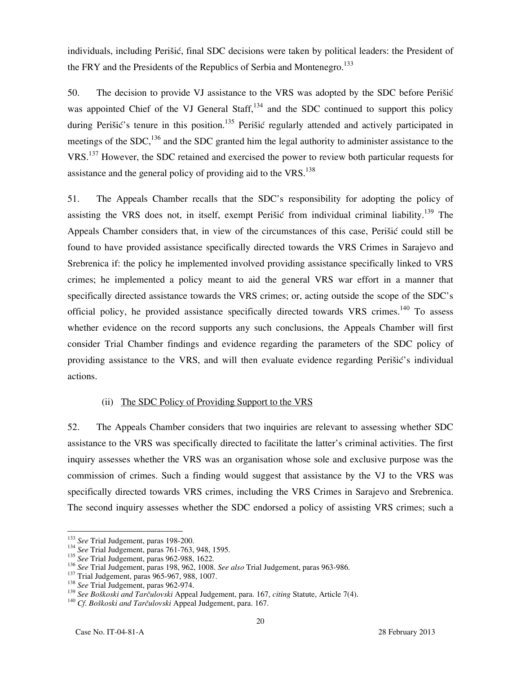individuals, including Perišić, final SDC decisions were taken by political leaders: the President of the FRY and the Presidents of the Republics of Serbia and Montenegro.<sup>133</sup>

50. The decision to provide VJ assistance to the VRS was adopted by the SDC before Perišić was appointed Chief of the VJ General Staff,  $134$  and the SDC continued to support this policy during Perišić's tenure in this position.<sup>135</sup> Perišić regularly attended and actively participated in meetings of the SDC,<sup>136</sup> and the SDC granted him the legal authority to administer assistance to the VRS.<sup>137</sup> However, the SDC retained and exercised the power to review both particular requests for assistance and the general policy of providing aid to the  $VRS$ .<sup>138</sup>

51. The Appeals Chamber recalls that the SDC's responsibility for adopting the policy of assisting the VRS does not, in itself, exempt Perišić from individual criminal liability.<sup>139</sup> The Appeals Chamber considers that, in view of the circumstances of this case, Perišić could still be found to have provided assistance specifically directed towards the VRS Crimes in Sarajevo and Srebrenica if: the policy he implemented involved providing assistance specifically linked to VRS crimes; he implemented a policy meant to aid the general VRS war effort in a manner that specifically directed assistance towards the VRS crimes; or, acting outside the scope of the SDC's official policy, he provided assistance specifically directed towards VRS crimes.<sup>140</sup> To assess whether evidence on the record supports any such conclusions, the Appeals Chamber will first consider Trial Chamber findings and evidence regarding the parameters of the SDC policy of providing assistance to the VRS, and will then evaluate evidence regarding Perišić's individual actions.

## (ii) The SDC Policy of Providing Support to the VRS

52. The Appeals Chamber considers that two inquiries are relevant to assessing whether SDC assistance to the VRS was specifically directed to facilitate the latter's criminal activities. The first inquiry assesses whether the VRS was an organisation whose sole and exclusive purpose was the commission of crimes. Such a finding would suggest that assistance by the VJ to the VRS was specifically directed towards VRS crimes, including the VRS Crimes in Sarajevo and Srebrenica. The second inquiry assesses whether the SDC endorsed a policy of assisting VRS crimes; such a

<sup>&</sup>lt;sup>133</sup> See Trial Judgement, paras 198-200.

<sup>134</sup> See Trial Judgement, paras 761-763, 948, 1595.

<sup>&</sup>lt;sup>135</sup> See Trial Judgement, paras 962-988, 1622.

<sup>&</sup>lt;sup>136</sup> See Trial Judgement, paras 198, 962, 1008. See also Trial Judgement, paras 963-986.

<sup>137</sup> Trial Judgement, paras 965-967, 988, 1007.

<sup>&</sup>lt;sup>138</sup> See Trial Judgement, paras 962-974.

 $^{139}$  See Boškoski and Tarčulovski Appeal Judgement, para. 167, citing Statute, Article 7(4).

 $140$  Cf. Boškoski and Tarčulovski Appeal Judgement, para. 167.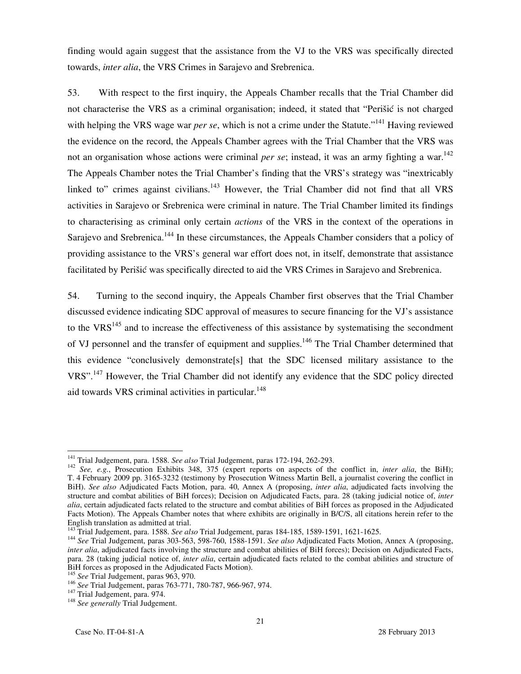finding would again suggest that the assistance from the VJ to the VRS was specifically directed towards, inter alia, the VRS Crimes in Sarajevo and Srebrenica.

53. With respect to the first inquiry, the Appeals Chamber recalls that the Trial Chamber did not characterise the VRS as a criminal organisation; indeed, it stated that "Perišić is not charged with helping the VRS wage war *per se*, which is not a crime under the Statute.<sup> $141$ </sup> Having reviewed the evidence on the record, the Appeals Chamber agrees with the Trial Chamber that the VRS was not an organisation whose actions were criminal *per se*; instead, it was an army fighting a war.<sup>142</sup> The Appeals Chamber notes the Trial Chamber's finding that the VRS's strategy was "inextricably linked to" crimes against civilians.<sup>143</sup> However, the Trial Chamber did not find that all VRS activities in Sarajevo or Srebrenica were criminal in nature. The Trial Chamber limited its findings to characterising as criminal only certain actions of the VRS in the context of the operations in Sarajevo and Srebrenica.<sup>144</sup> In these circumstances, the Appeals Chamber considers that a policy of providing assistance to the VRS's general war effort does not, in itself, demonstrate that assistance facilitated by Perišić was specifically directed to aid the VRS Crimes in Sarajevo and Srebrenica.

54. Turning to the second inquiry, the Appeals Chamber first observes that the Trial Chamber discussed evidence indicating SDC approval of measures to secure financing for the VJ's assistance to the  $VRS^{145}$  and to increase the effectiveness of this assistance by systematising the secondment of VJ personnel and the transfer of equipment and supplies.<sup>146</sup> The Trial Chamber determined that this evidence "conclusively demonstrate $[s]$  that the SDC licensed military assistance to the VRS".<sup>147</sup> However, the Trial Chamber did not identify any evidence that the SDC policy directed aid towards VRS criminal activities in particular.<sup>148</sup>

<sup>&</sup>lt;sup>141</sup> Trial Judgement, para. 1588. See also Trial Judgement, paras 172-194, 262-293.

 $142$  See, e.g., Prosecution Exhibits 348, 375 (expert reports on aspects of the conflict in, *inter alia*, the BiH); T. 4 February 2009 pp. 3165-3232 (testimony by Prosecution Witness Martin Bell, a journalist covering the conflict in BiH). See also Adjudicated Facts Motion, para. 40, Annex A (proposing, inter alia, adjudicated facts involving the structure and combat abilities of BiH forces); Decision on Adjudicated Facts, para. 28 (taking judicial notice of, inter alia, certain adjudicated facts related to the structure and combat abilities of BiH forces as proposed in the Adjudicated Facts Motion). The Appeals Chamber notes that where exhibits are originally in B/C/S, all citations herein refer to the English translation as admitted at trial.

<sup>&</sup>lt;sup>143</sup> Trial Judgement, para. 1588. See also Trial Judgement, paras 184-185, 1589-1591, 1621-1625.

<sup>&</sup>lt;sup>144</sup> See Trial Judgement, paras 303-563, 598-760, 1588-1591. See also Adjudicated Facts Motion, Annex A (proposing, inter alia, adjudicated facts involving the structure and combat abilities of BiH forces); Decision on Adjudicated Facts, para. 28 (taking judicial notice of, inter alia, certain adjudicated facts related to the combat abilities and structure of BiH forces as proposed in the Adjudicated Facts Motion).

<sup>&</sup>lt;sup>145</sup> See Trial Judgement, paras 963, 970.

<sup>146</sup> See Trial Judgement, paras 763-771, 780-787, 966-967, 974.

<sup>&</sup>lt;sup>147</sup> Trial Judgement, para. 974.

<sup>&</sup>lt;sup>148</sup> See generally Trial Judgement.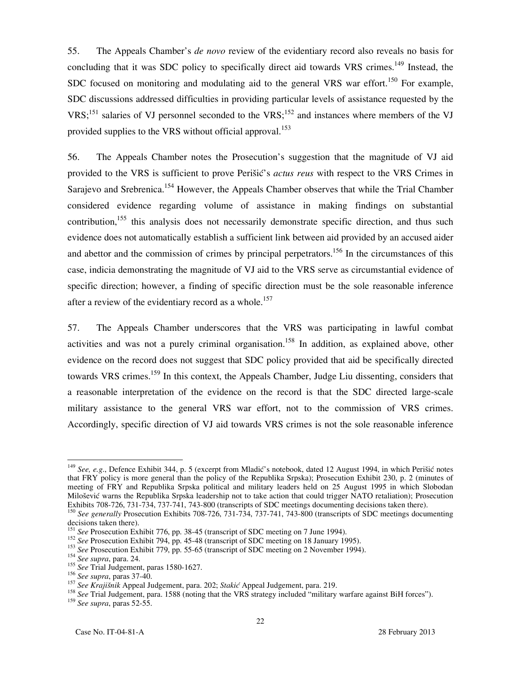55. The Appeals Chamber's de novo review of the evidentiary record also reveals no basis for concluding that it was SDC policy to specifically direct aid towards VRS crimes.<sup>149</sup> Instead, the SDC focused on monitoring and modulating aid to the general VRS war effort.<sup>150</sup> For example, SDC discussions addressed difficulties in providing particular levels of assistance requested by the  $VRS$ ;<sup>151</sup> salaries of VJ personnel seconded to the  $VRS$ <sup>52</sup> and instances where members of the VJ provided supplies to the VRS without official approval.<sup>153</sup>

56. The Appeals Chamber notes the Prosecution's suggestion that the magnitude of VJ aid provided to the VRS is sufficient to prove Perišić's *actus reus* with respect to the VRS Crimes in Sarajevo and Srebrenica.<sup>154</sup> However, the Appeals Chamber observes that while the Trial Chamber considered evidence regarding volume of assistance in making findings on substantial contribution,<sup>155</sup> this analysis does not necessarily demonstrate specific direction, and thus such evidence does not automatically establish a sufficient link between aid provided by an accused aider and abettor and the commission of crimes by principal perpetrators.<sup>156</sup> In the circumstances of this case, indicia demonstrating the magnitude of VJ aid to the VRS serve as circumstantial evidence of specific direction; however, a finding of specific direction must be the sole reasonable inference after a review of the evidentiary record as a whole.<sup>157</sup>

57. The Appeals Chamber underscores that the VRS was participating in lawful combat activities and was not a purely criminal organisation.<sup>158</sup> In addition, as explained above, other evidence on the record does not suggest that SDC policy provided that aid be specifically directed towards VRS crimes.<sup>159</sup> In this context, the Appeals Chamber, Judge Liu dissenting, considers that a reasonable interpretation of the evidence on the record is that the SDC directed large-scale military assistance to the general VRS war effort, not to the commission of VRS crimes. Accordingly, specific direction of VJ aid towards VRS crimes is not the sole reasonable inference

<sup>&</sup>lt;sup>149</sup> See, e.g., Defence Exhibit 344, p. 5 (excerpt from Mladić's notebook, dated 12 August 1994, in which Perišić notes that FRY policy is more general than the policy of the Republika Srpska); Prosecution Exhibit 230, p. 2 (minutes of meeting of FRY and Republika Srpska political and military leaders held on 25 August 1995 in which Slobodan Milo{evi} warns the Republika Srpska leadership not to take action that could trigger NATO retaliation); Prosecution Exhibits 708-726, 731-734, 737-741, 743-800 (transcripts of SDC meetings documenting decisions taken there).

<sup>&</sup>lt;sup>150</sup> See generally Prosecution Exhibits 708-726, 731-734, 737-741, 743-800 (transcripts of SDC meetings documenting decisions taken there).

 $151$  See Prosecution Exhibit 776, pp. 38-45 (transcript of SDC meeting on 7 June 1994).

<sup>&</sup>lt;sup>152</sup> See Prosecution Exhibit 794, pp. 45-48 (transcript of SDC meeting on 18 January 1995).

<sup>&</sup>lt;sup>153</sup> See Prosecution Exhibit 779, pp. 55-65 (transcript of SDC meeting on 2 November 1994).

<sup>&</sup>lt;sup>154</sup> See supra, para. 24.

 $155$  See Trial Judgement, paras 1580-1627.

 $156$  See supra, paras 37-40.

<sup>&</sup>lt;sup>157</sup> See Krajišnik Appeal Judgement, para. 202; Stakić Appeal Judgement, para. 219.

<sup>&</sup>lt;sup>158</sup> See Trial Judgement, para. 1588 (noting that the VRS strategy included "military warfare against BiH forces").

 $159$  See supra, paras 52-55.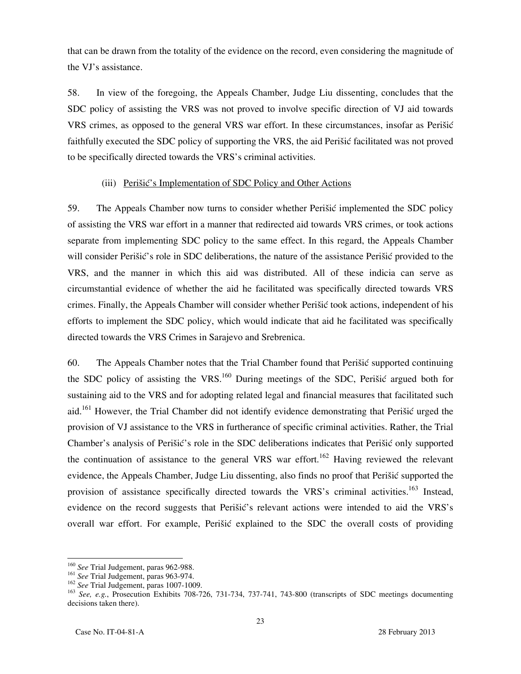that can be drawn from the totality of the evidence on the record, even considering the magnitude of the VJ's assistance.

58. In view of the foregoing, the Appeals Chamber, Judge Liu dissenting, concludes that the SDC policy of assisting the VRS was not proved to involve specific direction of VJ aid towards VRS crimes, as opposed to the general VRS war effort. In these circumstances, insofar as Perišić faithfully executed the SDC policy of supporting the VRS, the aid Peristic facilitated was not proved to be specifically directed towards the VRS's criminal activities.

## (iii) Perišić's Implementation of SDC Policy and Other Actions

59. The Appeals Chamber now turns to consider whether Perišić implemented the SDC policy of assisting the VRS war effort in a manner that redirected aid towards VRS crimes, or took actions separate from implementing SDC policy to the same effect. In this regard, the Appeals Chamber will consider Peri<sub>s</sub>ic's role in SDC deliberations, the nature of the assistance Peri<sub>s</sub>ic provided to the VRS, and the manner in which this aid was distributed. All of these indicia can serve as circumstantial evidence of whether the aid he facilitated was specifically directed towards VRS crimes. Finally, the Appeals Chamber will consider whether Perišic took actions, independent of his efforts to implement the SDC policy, which would indicate that aid he facilitated was specifically directed towards the VRS Crimes in Sarajevo and Srebrenica.

60. The Appeals Chamber notes that the Trial Chamber found that Peristic supported continuing the SDC policy of assisting the VRS. $160$  During meetings of the SDC, Perišić argued both for sustaining aid to the VRS and for adopting related legal and financial measures that facilitated such aid.<sup>161</sup> However, the Trial Chamber did not identify evidence demonstrating that Perišić urged the provision of VJ assistance to the VRS in furtherance of specific criminal activities. Rather, the Trial Chamber's analysis of Perišić's role in the SDC deliberations indicates that Perišić only supported the continuation of assistance to the general VRS war effort.<sup>162</sup> Having reviewed the relevant evidence, the Appeals Chamber, Judge Liu dissenting, also finds no proof that Perišić supported the provision of assistance specifically directed towards the VRS's criminal activities.<sup>163</sup> Instead, evidence on the record suggests that Perišić's relevant actions were intended to aid the VRS's overall war effort. For example, Perišić explained to the SDC the overall costs of providing

<sup>-</sup> $160$  See Trial Judgement, paras 962-988.

<sup>&</sup>lt;sup>161</sup> See Trial Judgement, paras 963-974.

 $^{162}$  See Trial Judgement, paras 1007-1009.

<sup>163</sup> See, e.g., Prosecution Exhibits 708-726, 731-734, 737-741, 743-800 (transcripts of SDC meetings documenting decisions taken there).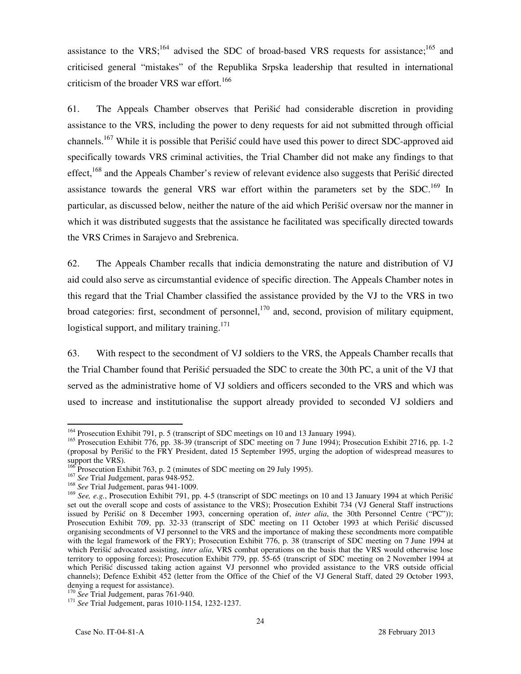assistance to the VRS;<sup>164</sup> advised the SDC of broad-based VRS requests for assistance;<sup>165</sup> and criticised general "mistakes" of the Republika Srpska leadership that resulted in international criticism of the broader VRS war effort.<sup>166</sup>

61. The Appeals Chamber observes that Perišić had considerable discretion in providing assistance to the VRS, including the power to deny requests for aid not submitted through official channels.<sup>167</sup> While it is possible that Perišić could have used this power to direct SDC-approved aid specifically towards VRS criminal activities, the Trial Chamber did not make any findings to that effect,<sup>168</sup> and the Appeals Chamber's review of relevant evidence also suggests that Peri $\delta$ ić directed assistance towards the general VRS war effort within the parameters set by the SDC.<sup>169</sup> In particular, as discussed below, neither the nature of the aid which Perišić oversaw nor the manner in which it was distributed suggests that the assistance he facilitated was specifically directed towards the VRS Crimes in Sarajevo and Srebrenica.

62. The Appeals Chamber recalls that indicia demonstrating the nature and distribution of VJ aid could also serve as circumstantial evidence of specific direction. The Appeals Chamber notes in this regard that the Trial Chamber classified the assistance provided by the VJ to the VRS in two broad categories: first, secondment of personnel,  $170$  and, second, provision of military equipment, logistical support, and military training.<sup>171</sup>

63. With respect to the secondment of VJ soldiers to the VRS, the Appeals Chamber recalls that the Trial Chamber found that Perišić persuaded the SDC to create the 30th PC, a unit of the VJ that served as the administrative home of VJ soldiers and officers seconded to the VRS and which was used to increase and institutionalise the support already provided to seconded VJ soldiers and

<sup>&</sup>lt;sup>164</sup> Prosecution Exhibit 791, p. 5 (transcript of SDC meetings on 10 and 13 January 1994).

<sup>&</sup>lt;sup>165</sup> Prosecution Exhibit 776, pp. 38-39 (transcript of SDC meeting on 7 June 1994); Prosecution Exhibit 2716, pp. 1-2 (proposal by Perišić to the FRY President, dated 15 September 1995, urging the adoption of widespread measures to support the VRS).

Prosecution Exhibit 763, p. 2 (minutes of SDC meeting on 29 July 1995).

<sup>&</sup>lt;sup>167</sup> See Trial Judgement, paras 948-952.

<sup>&</sup>lt;sup>168</sup> See Trial Judgement, paras 941-1009.

<sup>&</sup>lt;sup>169</sup> See, e.g., Prosecution Exhibit 791, pp. 4-5 (transcript of SDC meetings on 10 and 13 January 1994 at which Perišić set out the overall scope and costs of assistance to the VRS); Prosecution Exhibit 734 (VJ General Staff instructions issued by Perišić on 8 December 1993, concerning operation of, inter alia, the 30th Personnel Centre ("PC")); Prosecution Exhibit 709, pp. 32-33 (transcript of SDC meeting on 11 October 1993 at which Perišić discussed organising secondments of VJ personnel to the VRS and the importance of making these secondments more compatible with the legal framework of the FRY); Prosecution Exhibit 776, p. 38 (transcript of SDC meeting on 7 June 1994 at which Perišić advocated assisting, inter alia, VRS combat operations on the basis that the VRS would otherwise lose territory to opposing forces); Prosecution Exhibit 779, pp. 55-65 (transcript of SDC meeting on 2 November 1994 at which Perišić discussed taking action against VJ personnel who provided assistance to the VRS outside official channels); Defence Exhibit 452 (letter from the Office of the Chief of the VJ General Staff, dated 29 October 1993, denying a request for assistance).

 $170$  See Trial Judgement, paras 761-940.

<sup>&</sup>lt;sup>171</sup> See Trial Judgement, paras 1010-1154, 1232-1237.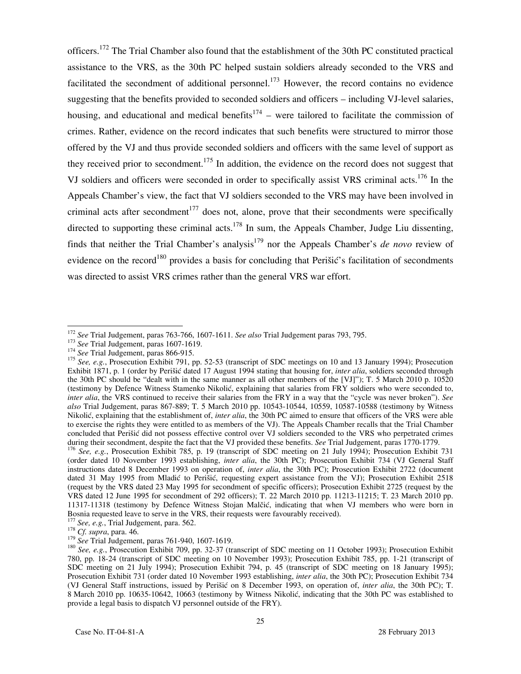officers.<sup>172</sup> The Trial Chamber also found that the establishment of the 30th PC constituted practical assistance to the VRS, as the 30th PC helped sustain soldiers already seconded to the VRS and facilitated the secondment of additional personnel.<sup>173</sup> However, the record contains no evidence suggesting that the benefits provided to seconded soldiers and officers – including VJ-level salaries, housing, and educational and medical benefits<sup>174</sup> – were tailored to facilitate the commission of crimes. Rather, evidence on the record indicates that such benefits were structured to mirror those offered by the VJ and thus provide seconded soldiers and officers with the same level of support as they received prior to secondment.<sup>175</sup> In addition, the evidence on the record does not suggest that VJ soldiers and officers were seconded in order to specifically assist VRS criminal acts.<sup>176</sup> In the Appeals Chamber's view, the fact that VJ soldiers seconded to the VRS may have been involved in criminal acts after secondment<sup>177</sup> does not, alone, prove that their secondments were specifically directed to supporting these criminal acts.<sup>178</sup> In sum, the Appeals Chamber, Judge Liu dissenting, finds that neither the Trial Chamber's analysis<sup>179</sup> nor the Appeals Chamber's *de novo* review of evidence on the record<sup>180</sup> provides a basis for concluding that Peri $\delta$ is's facilitation of secondments was directed to assist VRS crimes rather than the general VRS war effort.

<sup>174</sup> See Trial Judgement, paras 866-915.

-

<sup>176</sup> See, e.g., Prosecution Exhibit 785, p. 19 (transcript of SDC meeting on 21 July 1994); Prosecution Exhibit 731 (order dated 10 November 1993 establishing, inter alia, the 30th PC); Prosecution Exhibit 734 (VJ General Staff instructions dated 8 December 1993 on operation of, *inter alia*, the 30th PC); Prosecution Exhibit 2722 (document dated 31 May 1995 from Mladić to Perišić, requesting expert assistance from the VJ); Prosecution Exhibit 2518 (request by the VRS dated 23 May 1995 for secondment of specific officers); Prosecution Exhibit 2725 (request by the VRS dated 12 June 1995 for secondment of 292 officers); T. 22 March 2010 pp. 11213-11215; T. 23 March 2010 pp. 11317-11318 (testimony by Defence Witness Stojan Malčić, indicating that when VJ members who were born in Bosnia requested leave to serve in the VRS, their requests were favourably received).

 $172$  See Trial Judgement, paras 763-766, 1607-1611. See also Trial Judgement paras 793, 795.

<sup>&</sup>lt;sup>173</sup> See Trial Judgement, paras 1607-1619.

<sup>&</sup>lt;sup>175</sup> See, e.g., Prosecution Exhibit 791, pp. 52-53 (transcript of SDC meetings on 10 and 13 January 1994); Prosecution Exhibit 1871, p. 1 (order by Perišić dated 17 August 1994 stating that housing for, *inter alia*, soldiers seconded through the 30th PC should be "dealt with in the same manner as all other members of the  $[VJ]$ "); T. 5 March 2010 p. 10520 (testimony by Defence Witness Stamenko Nikolić, explaining that salaries from FRY soldiers who were seconded to, inter alia, the VRS continued to receive their salaries from the FRY in a way that the "cycle was never broken"). See also Trial Judgement, paras 867-889; T. 5 March 2010 pp. 10543-10544, 10559, 10587-10588 (testimony by Witness Nikolić, explaining that the establishment of, *inter alia*, the 30th PC aimed to ensure that officers of the VRS were able to exercise the rights they were entitled to as members of the VJ). The Appeals Chamber recalls that the Trial Chamber concluded that Perišić did not possess effective control over VJ soldiers seconded to the VRS who perpetrated crimes during their secondment, despite the fact that the VJ provided these benefits. See Trial Judgement, paras 1770-1779.

 $177$  See, e.g., Trial Judgement, para. 562.

 $178$  Cf. supra, para. 46.

 $179$  See Trial Judgement, paras 761-940, 1607-1619.

<sup>&</sup>lt;sup>180</sup> See, e.g., Prosecution Exhibit 709, pp. 32-37 (transcript of SDC meeting on 11 October 1993); Prosecution Exhibit 780, pp. 18-24 (transcript of SDC meeting on 10 November 1993); Prosecution Exhibit 785, pp. 1-21 (transcript of SDC meeting on 21 July 1994); Prosecution Exhibit 794, p. 45 (transcript of SDC meeting on 18 January 1995); Prosecution Exhibit 731 (order dated 10 November 1993 establishing, *inter alia*, the 30th PC); Prosecution Exhibit 734 (VJ General Staff instructions, issued by Perišić on 8 December 1993, on operation of, inter alia, the 30th PC); T. 8 March 2010 pp. 10635-10642, 10663 (testimony by Witness Nikolić, indicating that the 30th PC was established to provide a legal basis to dispatch VJ personnel outside of the FRY).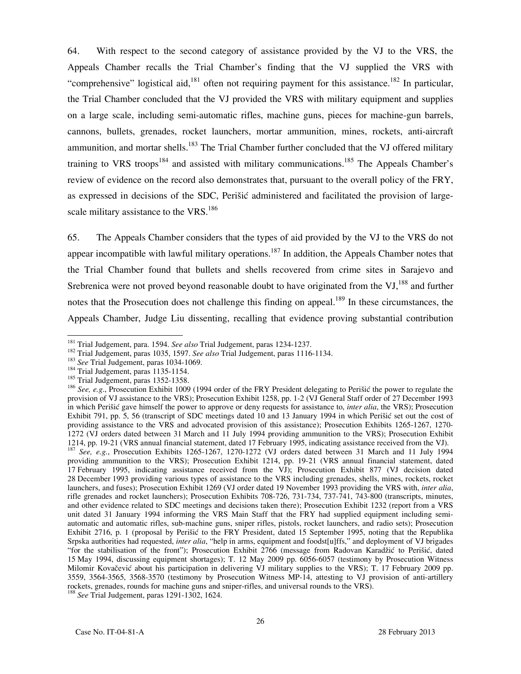64. With respect to the second category of assistance provided by the VJ to the VRS, the Appeals Chamber recalls the Trial Chamber's finding that the VJ supplied the VRS with "comprehensive" logistical aid, <sup>181</sup> often not requiring payment for this assistance.<sup>182</sup> In particular, the Trial Chamber concluded that the VJ provided the VRS with military equipment and supplies on a large scale, including semi-automatic rifles, machine guns, pieces for machine-gun barrels, cannons, bullets, grenades, rocket launchers, mortar ammunition, mines, rockets, anti-aircraft ammunition, and mortar shells.<sup>183</sup> The Trial Chamber further concluded that the VJ offered military training to VRS troops<sup>184</sup> and assisted with military communications.<sup>185</sup> The Appeals Chamber's review of evidence on the record also demonstrates that, pursuant to the overall policy of the FRY, as expressed in decisions of the SDC, Perišić administered and facilitated the provision of largescale military assistance to the VRS.<sup>186</sup>

65. The Appeals Chamber considers that the types of aid provided by the VJ to the VRS do not appear incompatible with lawful military operations.<sup>187</sup> In addition, the Appeals Chamber notes that the Trial Chamber found that bullets and shells recovered from crime sites in Sarajevo and Srebrenica were not proved beyond reasonable doubt to have originated from the VJ, $^{188}$  and further notes that the Prosecution does not challenge this finding on appeal.<sup>189</sup> In these circumstances, the Appeals Chamber, Judge Liu dissenting, recalling that evidence proving substantial contribution

<sup>&</sup>lt;sup>181</sup> Trial Judgement, para. 1594. See also Trial Judgement, paras 1234-1237.

<sup>&</sup>lt;sup>182</sup> Trial Judgement, paras 1035, 1597. See also Trial Judgement, paras 1116-1134.

 $183$  See Trial Judgement, paras 1034-1069.

<sup>&</sup>lt;sup>184</sup> Trial Judgement, paras 1135-1154.

 $185$  Trial Judgement, paras 1352-1358.

<sup>&</sup>lt;sup>186</sup> See, e.g., Prosecution Exhibit 1009 (1994 order of the FRY President delegating to Perišić the power to regulate the provision of VJ assistance to the VRS); Prosecution Exhibit 1258, pp. 1-2 (VJ General Staff order of 27 December 1993 in which Perišić gave himself the power to approve or deny requests for assistance to, inter alia, the VRS); Prosecution Exhibit 791, pp. 5, 56 (transcript of SDC meetings dated 10 and 13 January 1994 in which Perišić set out the cost of providing assistance to the VRS and advocated provision of this assistance); Prosecution Exhibits 1265-1267, 1270- 1272 (VJ orders dated between 31 March and 11 July 1994 providing ammunition to the VRS); Prosecution Exhibit 1214, pp. 19-21 (VRS annual financial statement, dated 17 February 1995, indicating assistance received from the VJ).

<sup>&</sup>lt;sup>187</sup> See, e.g., Prosecution Exhibits 1265-1267, 1270-1272 (VJ orders dated between 31 March and 11 July 1994 providing ammunition to the VRS); Prosecution Exhibit 1214, pp. 19-21 (VRS annual financial statement, dated 17 February 1995, indicating assistance received from the VJ); Prosecution Exhibit 877 (VJ decision dated 28 December 1993 providing various types of assistance to the VRS including grenades, shells, mines, rockets, rocket launchers, and fuses); Prosecution Exhibit 1269 (VJ order dated 19 November 1993 providing the VRS with, inter alia, rifle grenades and rocket launchers); Prosecution Exhibits 708-726, 731-734, 737-741, 743-800 (transcripts, minutes, and other evidence related to SDC meetings and decisions taken there); Prosecution Exhibit 1232 (report from a VRS unit dated 31 January 1994 informing the VRS Main Staff that the FRY had supplied equipment including semiautomatic and automatic rifles, sub-machine guns, sniper rifles, pistols, rocket launchers, and radio sets); Prosecution Exhibit 2716, p. 1 (proposal by Perišić to the FRY President, dated 15 September 1995, noting that the Republika Srpska authorities had requested, *inter alia*, "help in arms, equipment and foodst[u]ffs," and deployment of VJ brigades "for the stabilisation of the front"); Prosecution Exhibit 2766 (message from Radovan Karadžić to Perišić, dated 15 May 1994, discussing equipment shortages); T. 12 May 2009 pp. 6056-6057 (testimony by Prosecution Witness Milomir Kovačević about his participation in delivering VJ military supplies to the VRS); T. 17 February 2009 pp. 3559, 3564-3565, 3568-3570 (testimony by Prosecution Witness MP-14, attesting to VJ provision of anti-artillery rockets, grenades, rounds for machine guns and sniper-rifles, and universal rounds to the VRS). <sup>188</sup> See Trial Judgement, paras 1291-1302, 1624.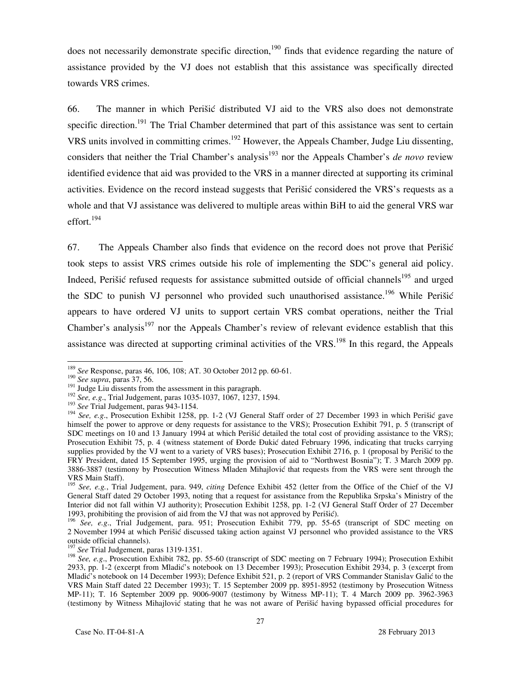does not necessarily demonstrate specific direction,  $190$  finds that evidence regarding the nature of assistance provided by the VJ does not establish that this assistance was specifically directed towards VRS crimes.

66. The manner in which Peri{i} distributed VJ aid to the VRS also does not demonstrate specific direction.<sup>191</sup> The Trial Chamber determined that part of this assistance was sent to certain VRS units involved in committing crimes.<sup>192</sup> However, the Appeals Chamber, Judge Liu dissenting, considers that neither the Trial Chamber's analysis<sup>193</sup> nor the Appeals Chamber's de novo review identified evidence that aid was provided to the VRS in a manner directed at supporting its criminal activities. Evidence on the record instead suggests that Perišić considered the VRS's requests as a whole and that VJ assistance was delivered to multiple areas within BiH to aid the general VRS war effort.<sup>194</sup>

67. The Appeals Chamber also finds that evidence on the record does not prove that Perišić took steps to assist VRS crimes outside his role of implementing the SDC's general aid policy. Indeed, Perišić refused requests for assistance submitted outside of official channels<sup>195</sup> and urged the SDC to punish VJ personnel who provided such unauthorised assistance.<sup>196</sup> While Perišić appears to have ordered VJ units to support certain VRS combat operations, neither the Trial Chamber's analysis<sup>197</sup> nor the Appeals Chamber's review of relevant evidence establish that this assistance was directed at supporting criminal activities of the VRS.<sup>198</sup> In this regard, the Appeals

<sup>&</sup>lt;sup>189</sup> See Response, paras 46, 106, 108; AT. 30 October 2012 pp. 60-61.

<sup>190</sup> See supra, paras 37, 56.

 $191$  Judge Liu dissents from the assessment in this paragraph.

<sup>&</sup>lt;sup>192</sup> See, e.g., Trial Judgement, paras 1035-1037, 1067, 1237, 1594.

 $193$  See Trial Judgement, paras 943-1154.

<sup>&</sup>lt;sup>194</sup> See, e.g., Prosecution Exhibit 1258, pp. 1-2 (VJ General Staff order of 27 December 1993 in which Perišić gave himself the power to approve or deny requests for assistance to the VRS); Prosecution Exhibit 791, p. 5 (transcript of SDC meetings on 10 and 13 January 1994 at which Perišić detailed the total cost of providing assistance to the VRS); Prosecution Exhibit 75, p. 4 (witness statement of Đorđe Đukić dated February 1996, indicating that trucks carrying supplies provided by the VJ went to a variety of VRS bases); Prosecution Exhibit 2716, p. 1 (proposal by Perišić to the FRY President, dated 15 September 1995, urging the provision of aid to "Northwest Bosnia"); T. 3 March 2009 pp. 3886-3887 (testimony by Prosecution Witness Mladen Mihajlović that requests from the VRS were sent through the VRS Main Staff).

<sup>&</sup>lt;sup>195</sup> See, e.g., Trial Judgement, para. 949, citing Defence Exhibit 452 (letter from the Office of the Chief of the VJ General Staff dated 29 October 1993, noting that a request for assistance from the Republika Srpska's Ministry of the Interior did not fall within VJ authority); Prosecution Exhibit 1258, pp. 1-2 (VJ General Staff Order of 27 December 1993, prohibiting the provision of aid from the VJ that was not approved by Perišić).

<sup>&</sup>lt;sup>196</sup> See, e.g., Trial Judgement, para. 951; Prosecution Exhibit 779, pp. 55-65 (transcript of SDC meeting on 2 November 1994 at which Perišić discussed taking action against VJ personnel who provided assistance to the VRS outside official channels).

 $197$  See Trial Judgement, paras 1319-1351.

<sup>&</sup>lt;sup>198</sup> See, e.g., Prosecution Exhibit 782, pp. 55-60 (transcript of SDC meeting on 7 February 1994); Prosecution Exhibit 2933, pp. 1-2 (excerpt from Mladić's notebook on 13 December 1993); Prosecution Exhibit 2934, p. 3 (excerpt from Mladi $\hat{c}$ 's notebook on 14 December 1993); Defence Exhibit 521, p. 2 (report of VRS Commander Stanislav Galic to the VRS Main Staff dated 22 December 1993); T. 15 September 2009 pp. 8951-8952 (testimony by Prosecution Witness MP-11); T. 16 September 2009 pp. 9006-9007 (testimony by Witness MP-11); T. 4 March 2009 pp. 3962-3963 (testimony by Witness Mihajlovic stating that he was not aware of Perišic having bypassed official procedures for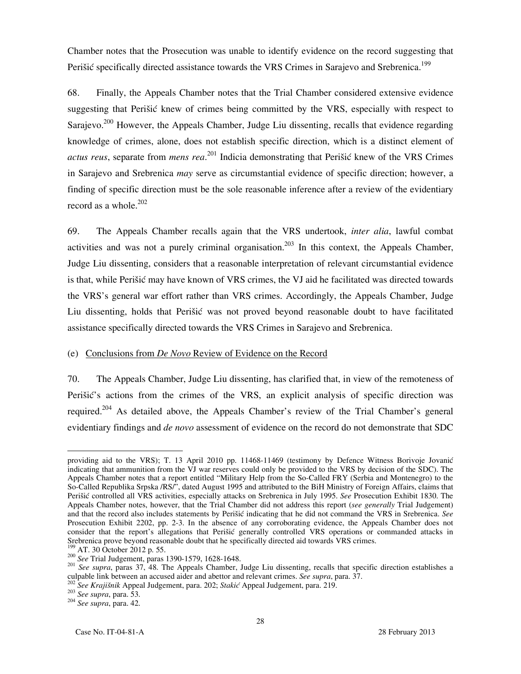Chamber notes that the Prosecution was unable to identify evidence on the record suggesting that Perišić specifically directed assistance towards the VRS Crimes in Sarajevo and Srebrenica.<sup>199</sup>

68. Finally, the Appeals Chamber notes that the Trial Chamber considered extensive evidence suggesting that Perišić knew of crimes being committed by the VRS, especially with respect to Sarajevo.<sup>200</sup> However, the Appeals Chamber, Judge Liu dissenting, recalls that evidence regarding knowledge of crimes, alone, does not establish specific direction, which is a distinct element of *actus reus*, separate from *mens rea.*<sup>201</sup> Indicia demonstrating that Perišić knew of the VRS Crimes in Sarajevo and Srebrenica may serve as circumstantial evidence of specific direction; however, a finding of specific direction must be the sole reasonable inference after a review of the evidentiary record as a whole. $202$ 

69. The Appeals Chamber recalls again that the VRS undertook, inter alia, lawful combat activities and was not a purely criminal organisation.<sup>203</sup> In this context, the Appeals Chamber, Judge Liu dissenting, considers that a reasonable interpretation of relevant circumstantial evidence is that, while Perišić may have known of VRS crimes, the VJ aid he facilitated was directed towards the VRS's general war effort rather than VRS crimes. Accordingly, the Appeals Chamber, Judge Liu dissenting, holds that Perišić was not proved beyond reasonable doubt to have facilitated assistance specifically directed towards the VRS Crimes in Sarajevo and Srebrenica.

#### (e) Conclusions from De Novo Review of Evidence on the Record

70. The Appeals Chamber, Judge Liu dissenting, has clarified that, in view of the remoteness of Peri<sub>sic</sub>'s actions from the crimes of the VRS, an explicit analysis of specific direction was required.<sup>204</sup> As detailed above, the Appeals Chamber's review of the Trial Chamber's general evidentiary findings and *de novo* assessment of evidence on the record do not demonstrate that SDC

providing aid to the VRS); T. 13 April 2010 pp. 11468-11469 (testimony by Defence Witness Borivoje Jovanić indicating that ammunition from the VJ war reserves could only be provided to the VRS by decision of the SDC). The Appeals Chamber notes that a report entitled "Military Help from the So-Called FRY (Serbia and Montenegro) to the So-Called Republika Srpska /RS/", dated August 1995 and attributed to the BiH Ministry of Foreign Affairs, claims that Perišić controlled all VRS activities, especially attacks on Srebrenica in July 1995. See Prosecution Exhibit 1830. The Appeals Chamber notes, however, that the Trial Chamber did not address this report (see generally Trial Judgement) and that the record also includes statements by Perišić indicating that he did not command the VRS in Srebrenica. See Prosecution Exhibit 2202, pp. 2-3. In the absence of any corroborating evidence, the Appeals Chamber does not consider that the report's allegations that Perišić generally controlled VRS operations or commanded attacks in Srebrenica prove beyond reasonable doubt that he specifically directed aid towards VRS crimes. <sup>199</sup> AT. 30 October 2012 p. 55.

<sup>200</sup> See Trial Judgement, paras 1390-1579, 1628-1648.

<sup>&</sup>lt;sup>201</sup> See supra, paras 37, 48. The Appeals Chamber, Judge Liu dissenting, recalls that specific direction establishes a culpable link between an accused aider and abettor and relevant crimes. See supra, para. 37.

<sup>&</sup>lt;sup>202</sup> See Krajišnik Appeal Judgement, para. 202; Stakić Appeal Judgement, para. 219.

 $^{203}$  See supra, para. 53.

 $204$  See supra, para. 42.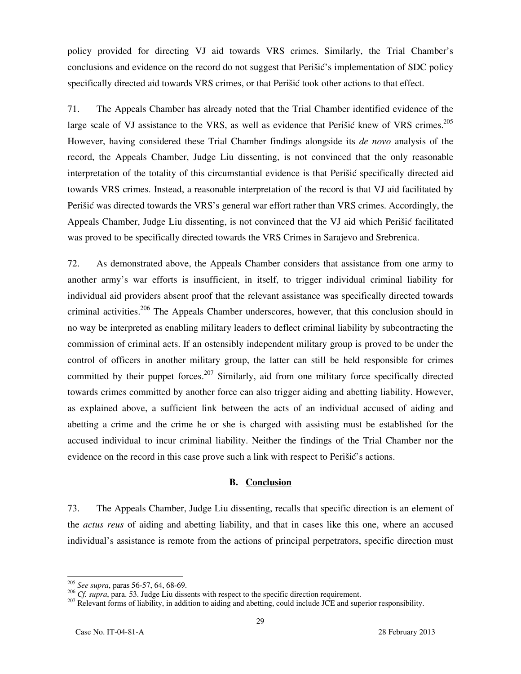policy provided for directing VJ aid towards VRS crimes. Similarly, the Trial Chamber's conclusions and evidence on the record do not suggest that Perific simplementation of SDC policy specifically directed aid towards VRS crimes, or that Perišić took other actions to that effect.

71. The Appeals Chamber has already noted that the Trial Chamber identified evidence of the large scale of VJ assistance to the VRS, as well as evidence that Peri $\delta$ ić knew of VRS crimes.<sup>205</sup> However, having considered these Trial Chamber findings alongside its *de novo* analysis of the record, the Appeals Chamber, Judge Liu dissenting, is not convinced that the only reasonable interpretation of the totality of this circumstantial evidence is that Perišić specifically directed aid towards VRS crimes. Instead, a reasonable interpretation of the record is that VJ aid facilitated by Peri<sub>st</sub> was directed towards the VRS's general war effort rather than VRS crimes. Accordingly, the Appeals Chamber, Judge Liu dissenting, is not convinced that the VJ aid which Perišić facilitated was proved to be specifically directed towards the VRS Crimes in Sarajevo and Srebrenica.

72. As demonstrated above, the Appeals Chamber considers that assistance from one army to another army's war efforts is insufficient, in itself, to trigger individual criminal liability for individual aid providers absent proof that the relevant assistance was specifically directed towards criminal activities.<sup>206</sup> The Appeals Chamber underscores, however, that this conclusion should in no way be interpreted as enabling military leaders to deflect criminal liability by subcontracting the commission of criminal acts. If an ostensibly independent military group is proved to be under the control of officers in another military group, the latter can still be held responsible for crimes committed by their puppet forces.<sup>207</sup> Similarly, aid from one military force specifically directed towards crimes committed by another force can also trigger aiding and abetting liability. However, as explained above, a sufficient link between the acts of an individual accused of aiding and abetting a crime and the crime he or she is charged with assisting must be established for the accused individual to incur criminal liability. Neither the findings of the Trial Chamber nor the evidence on the record in this case prove such a link with respect to Perišić's actions.

#### B. Conclusion

73. The Appeals Chamber, Judge Liu dissenting, recalls that specific direction is an element of the actus reus of aiding and abetting liability, and that in cases like this one, where an accused individual's assistance is remote from the actions of principal perpetrators, specific direction must

 $2^{05}$  See supra, paras 56-57, 64, 68-69.

 $^{206}$  Cf. supra, para. 53. Judge Liu dissents with respect to the specific direction requirement.

<sup>&</sup>lt;sup>207</sup> Relevant forms of liability, in addition to aiding and abetting, could include JCE and superior responsibility.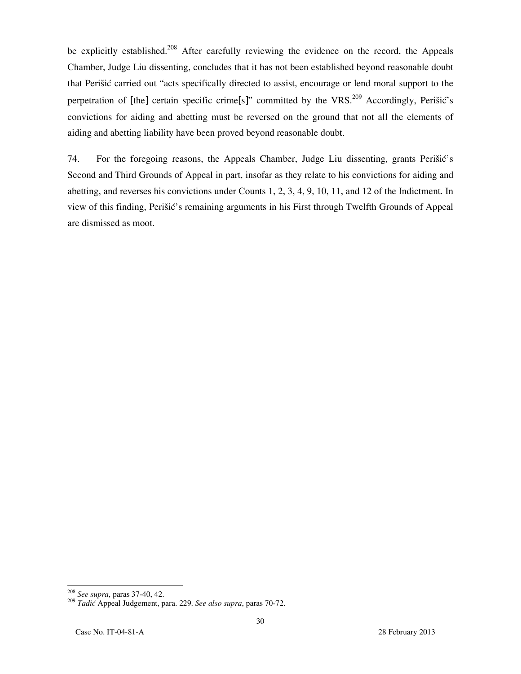be explicitly established.<sup>208</sup> After carefully reviewing the evidence on the record, the Appeals Chamber, Judge Liu dissenting, concludes that it has not been established beyond reasonable doubt that Perišić carried out "acts specifically directed to assist, encourage or lend moral support to the perpetration of [the] certain specific crime[s]" committed by the VRS.<sup>209</sup> Accordingly, Perišić's convictions for aiding and abetting must be reversed on the ground that not all the elements of aiding and abetting liability have been proved beyond reasonable doubt.

74. For the foregoing reasons, the Appeals Chamber, Judge Liu dissenting, grants Perišić's Second and Third Grounds of Appeal in part, insofar as they relate to his convictions for aiding and abetting, and reverses his convictions under Counts 1, 2, 3, 4, 9, 10, 11, and 12 of the Indictment. In view of this finding, Perišić's remaining arguments in his First through Twelfth Grounds of Appeal are dismissed as moot.

 $208$  *See supra*, paras 37-40, 42.

 $^{209}$  Tadić Appeal Judgement, para. 229. See also supra, paras 70-72.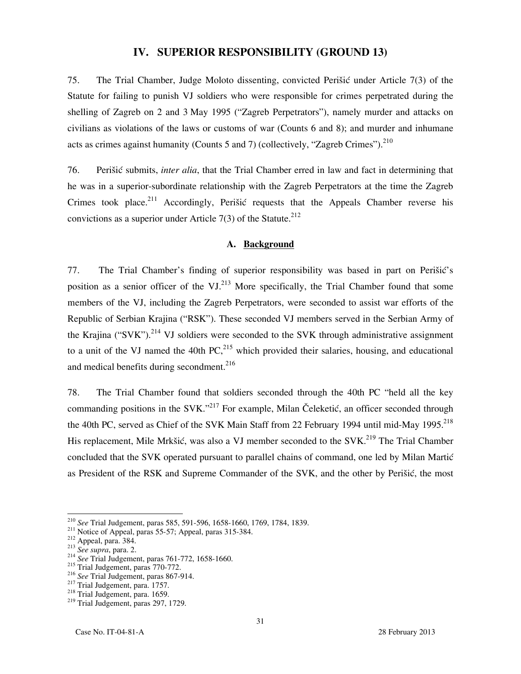# IV. SUPERIOR RESPONSIBILITY (GROUND 13)

75. The Trial Chamber, Judge Moloto dissenting, convicted Perišić under Article 7(3) of the Statute for failing to punish VJ soldiers who were responsible for crimes perpetrated during the shelling of Zagreb on 2 and 3 May 1995 ("Zagreb Perpetrators"), namely murder and attacks on civilians as violations of the laws or customs of war (Counts 6 and 8); and murder and inhumane acts as crimes against humanity (Counts 5 and 7) (collectively, "Zagreb Crimes"). $^{210}$ 

76. Perišić submits, inter alia, that the Trial Chamber erred in law and fact in determining that he was in a superior-subordinate relationship with the Zagreb Perpetrators at the time the Zagreb Crimes took place.<sup>211</sup> Accordingly, Perišić requests that the Appeals Chamber reverse his convictions as a superior under Article  $7(3)$  of the Statute.<sup>212</sup>

#### A. Background

77. The Trial Chamber's finding of superior responsibility was based in part on Peristic's position as a senior officer of the  $VI<sub>1</sub><sup>213</sup>$  More specifically, the Trial Chamber found that some members of the VJ, including the Zagreb Perpetrators, were seconded to assist war efforts of the Republic of Serbian Krajina ("RSK"). These seconded VJ members served in the Serbian Army of the Krajina ("SVK").<sup>214</sup> VJ soldiers were seconded to the SVK through administrative assignment to a unit of the VJ named the 40th  $PC<sub>15</sub><sup>215</sup>$  which provided their salaries, housing, and educational and medical benefits during secondment.<sup>216</sup>

78. The Trial Chamber found that soldiers seconded through the 40th PC "held all the key commanding positions in the SVK."<sup>217</sup> For example, Milan Čeleketić, an officer seconded through the 40th PC, served as Chief of the SVK Main Staff from 22 February 1994 until mid-May 1995.<sup>218</sup> His replacement, Mile Mrkšić, was also a VJ member seconded to the SVK.<sup>219</sup> The Trial Chamber concluded that the SVK operated pursuant to parallel chains of command, one led by Milan Martić as President of the RSK and Supreme Commander of the SVK, and the other by Perišić, the most

<sup>210</sup> See Trial Judgement, paras 585, 591-596, 1658-1660, 1769, 1784, 1839.

<sup>&</sup>lt;sup>211</sup> Notice of Appeal, paras 55-57; Appeal, paras 315-384.

<sup>212</sup> Appeal, para. 384.

<sup>213</sup> See supra, para. 2.

<sup>214</sup> See Trial Judgement, paras 761-772, 1658-1660.

<sup>&</sup>lt;sup>215</sup> Trial Judgement, paras 770-772.

<sup>216</sup> See Trial Judgement, paras 867-914.

<sup>&</sup>lt;sup>217</sup> Trial Judgement, para. 1757.

<sup>&</sup>lt;sup>218</sup> Trial Judgement, para. 1659.

<sup>&</sup>lt;sup>219</sup> Trial Judgement, paras 297, 1729.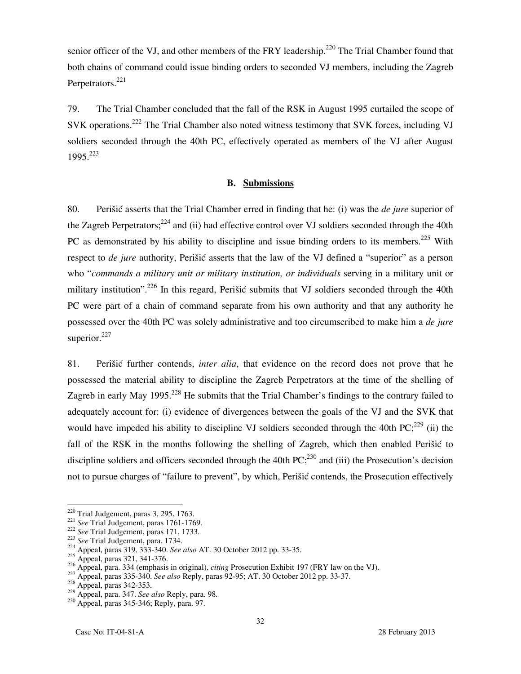senior officer of the VJ, and other members of the FRY leadership.<sup>220</sup> The Trial Chamber found that both chains of command could issue binding orders to seconded VJ members, including the Zagreb Perpetrators.<sup>221</sup>

79. The Trial Chamber concluded that the fall of the RSK in August 1995 curtailed the scope of SVK operations.<sup>222</sup> The Trial Chamber also noted witness testimony that SVK forces, including VJ soldiers seconded through the 40th PC, effectively operated as members of the VJ after August 1995.<sup>223</sup>

### B. Submissions

80. Perišić asserts that the Trial Chamber erred in finding that he: (i) was the *de jure* superior of the Zagreb Perpetrators;  $2^{24}$  and (ii) had effective control over VJ soldiers seconded through the 40th PC as demonstrated by his ability to discipline and issue binding orders to its members.<sup>225</sup> With respect to *de jure* authority, Perišić asserts that the law of the VJ defined a "superior" as a person who "commands a military unit or military institution, or individuals serving in a military unit or military institution".<sup>226</sup> In this regard, Perišić submits that VJ soldiers seconded through the 40th PC were part of a chain of command separate from his own authority and that any authority he possessed over the 40th PC was solely administrative and too circumscribed to make him a *de jure* superior. $227$ 

81. Perišić further contends, inter alia, that evidence on the record does not prove that he possessed the material ability to discipline the Zagreb Perpetrators at the time of the shelling of Zagreb in early May 1995.<sup>228</sup> He submits that the Trial Chamber's findings to the contrary failed to adequately account for: (i) evidence of divergences between the goals of the VJ and the SVK that would have impeded his ability to discipline VJ soldiers seconded through the 40th  $PC<sub>1</sub><sup>229</sup>$  (ii) the fall of the RSK in the months following the shelling of Zagreb, which then enabled Perišić to discipline soldiers and officers seconded through the 40th  $PC<sub>i</sub><sup>230</sup>$  and (iii) the Prosecution's decision not to pursue charges of "failure to prevent", by which, Perišić contends, the Prosecution effectively

 $220$  Trial Judgement, paras 3, 295, 1763.

<sup>&</sup>lt;sup>221</sup> See Trial Judgement, paras 1761-1769.

<sup>&</sup>lt;sup>222</sup> See Trial Judgement, paras 171, 1733.

<sup>&</sup>lt;sup>223</sup> See Trial Judgement, para. 1734.

<sup>224</sup> Appeal, paras 319, 333-340. See also AT. 30 October 2012 pp. 33-35.

 $225$  Appeal, paras 321, 341-376.

 $226$  Appeal, para. 334 (emphasis in original), *citing* Prosecution Exhibit 197 (FRY law on the VJ).

<sup>&</sup>lt;sup>227</sup> Appeal, paras 335-340. See also Reply, paras 92-95; AT. 30 October 2012 pp. 33-37.

 $228$  Appeal, paras 342-353.

<sup>&</sup>lt;sup>229</sup> Appeal, para. 347. See also Reply, para. 98.

<sup>&</sup>lt;sup>230</sup> Appeal, paras 345-346; Reply, para. 97.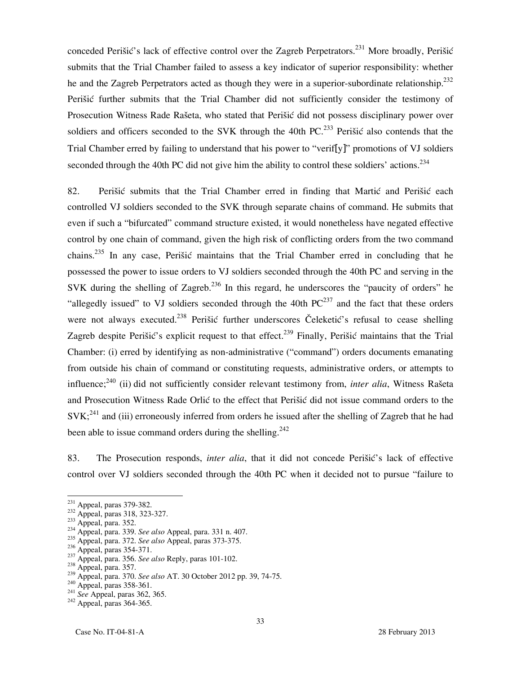conceded Perišić's lack of effective control over the Zagreb Perpetrators.<sup>231</sup> More broadly, Perišić submits that the Trial Chamber failed to assess a key indicator of superior responsibility: whether he and the Zagreb Perpetrators acted as though they were in a superior-subordinate relationship.<sup>232</sup> Perišić further submits that the Trial Chamber did not sufficiently consider the testimony of Prosecution Witness Rade Rašeta, who stated that Perišić did not possess disciplinary power over soldiers and officers seconded to the SVK through the 40th PC.<sup>233</sup> Peri $\delta$ ić also contends that the Trial Chamber erred by failing to understand that his power to "verif[y]" promotions of VJ soldiers seconded through the 40th PC did not give him the ability to control these soldiers' actions.<sup>234</sup>

82. Perišić submits that the Trial Chamber erred in finding that Martić and Perišić each controlled VJ soldiers seconded to the SVK through separate chains of command. He submits that even if such a "bifurcated" command structure existed, it would nonetheless have negated effective control by one chain of command, given the high risk of conflicting orders from the two command chains.<sup>235</sup> In any case, Perišić maintains that the Trial Chamber erred in concluding that he possessed the power to issue orders to VJ soldiers seconded through the 40th PC and serving in the SVK during the shelling of Zagreb.<sup>236</sup> In this regard, he underscores the "paucity of orders" he "allegedly issued" to VJ soldiers seconded through the 40th  $PC^{237}$  and the fact that these orders were not always executed.<sup>238</sup> Perišić further underscores Čeleketić's refusal to cease shelling Zagreb despite Perišić's explicit request to that effect.<sup>239</sup> Finally, Perišić maintains that the Trial Chamber: (i) erred by identifying as non-administrative ("command") orders documents emanating from outside his chain of command or constituting requests, administrative orders, or attempts to influence;<sup>240</sup> (ii) did not sufficiently consider relevant testimony from, *inter alia*, Witness Rašeta and Prosecution Witness Rade Orlic to the effect that Peristic did not issue command orders to the  $SVK<sub>1</sub><sup>241</sup>$  and (iii) erroneously inferred from orders he issued after the shelling of Zagreb that he had been able to issue command orders during the shelling.<sup>242</sup>

83. The Prosecution responds, inter alia, that it did not concede Perišić's lack of effective control over VJ soldiers seconded through the 40th PC when it decided not to pursue "failure to

<sup>&</sup>lt;sup>231</sup> Appeal, paras 379-382.

<sup>&</sup>lt;sup>232</sup> Appeal, paras 318, 323-327.

<sup>&</sup>lt;sup>233</sup> Appeal, para. 352.

<sup>&</sup>lt;sup>234</sup> Appeal, para. 339. See also Appeal, para. 331 n. 407.

<sup>&</sup>lt;sup>235</sup> Appeal, para. 372. See also Appeal, paras 373-375.

<sup>&</sup>lt;sup>236</sup> Appeal, paras 354-371.

 $237$  Appeal, para. 356. See also Reply, paras 101-102.

 $238$  Appeal, para. 357.

<sup>&</sup>lt;sup>239</sup> Appeal, para. 370. See also AT. 30 October 2012 pp. 39, 74-75.

 $240$  Appeal, paras 358-361.

 $241$  See Appeal, paras 362, 365.

 $242$  Appeal, paras 364-365.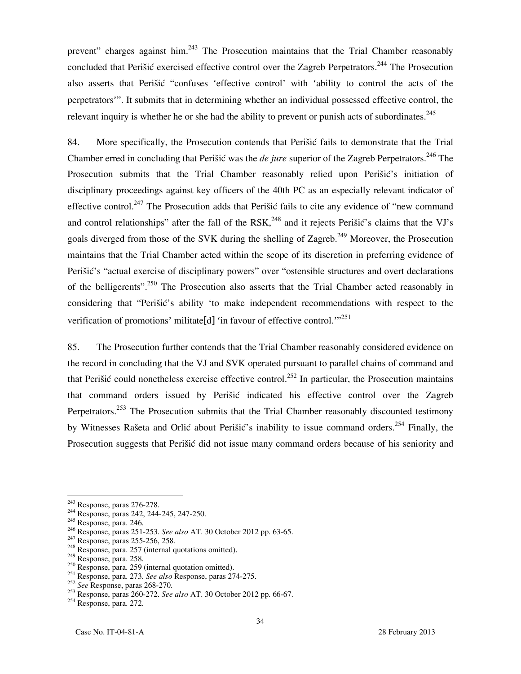prevent" charges against him.<sup>243</sup> The Prosecution maintains that the Trial Chamber reasonably concluded that Perišić exercised effective control over the Zagreb Perpetrators.<sup>244</sup> The Prosecution also asserts that Perišić "confuses 'effective control' with 'ability to control the acts of the perpetrators'". It submits that in determining whether an individual possessed effective control, the relevant inquiry is whether he or she had the ability to prevent or punish acts of subordinates.<sup>245</sup>

84. More specifically, the Prosecution contends that Perišić fails to demonstrate that the Trial Chamber erred in concluding that Perišić was the *de jure* superior of the Zagreb Perpetrators.<sup>246</sup> The Prosecution submits that the Trial Chamber reasonably relied upon Perišić's initiation of disciplinary proceedings against key officers of the 40th PC as an especially relevant indicator of effective control.<sup>247</sup> The Prosecution adds that Perišić fails to cite any evidence of "new command" and control relationships" after the fall of the RSK,<sup>248</sup> and it rejects Perišić's claims that the VJ's goals diverged from those of the SVK during the shelling of Zagreb.<sup>249</sup> Moreover, the Prosecution maintains that the Trial Chamber acted within the scope of its discretion in preferring evidence of Peri<sub>sic</sub>'s "actual exercise of disciplinary powers" over "ostensible structures and overt declarations" of the belligerents".<sup>250</sup> The Prosecution also asserts that the Trial Chamber acted reasonably in considering that "Perišić's ability 'to make independent recommendations with respect to the verification of promotions' militate[d] 'in favour of effective control."<sup>251</sup>

85. The Prosecution further contends that the Trial Chamber reasonably considered evidence on the record in concluding that the VJ and SVK operated pursuant to parallel chains of command and that Perišić could nonetheless exercise effective control.<sup>252</sup> In particular, the Prosecution maintains that command orders issued by Perišić indicated his effective control over the Zagreb Perpetrators.<sup>253</sup> The Prosecution submits that the Trial Chamber reasonably discounted testimony by Witnesses Rašeta and Orlić about Perišić's inability to issue command orders.<sup>254</sup> Finally, the Prosecution suggests that Perišić did not issue many command orders because of his seniority and

-

<sup>247</sup> Response, paras 255-256, 258.

 $243$  Response, paras 276-278.

<sup>244</sup> Response, paras 242, 244-245, 247-250.

<sup>&</sup>lt;sup>245</sup> Response, para. 246.

<sup>246</sup> Response, paras 251-253. See also AT. 30 October 2012 pp. 63-65.

<sup>248</sup> Response, para. 257 (internal quotations omitted).

 $249$  Response, para. 258.

<sup>&</sup>lt;sup>250</sup> Response, para. 259 (internal quotation omitted).

 $251$  Response, para. 273. See also Response, paras 274-275.

 $252$  See Response, paras 268-270.

<sup>253</sup> Response, paras 260-272. See also AT. 30 October 2012 pp. 66-67.

<sup>&</sup>lt;sup>254</sup> Response, para. 272.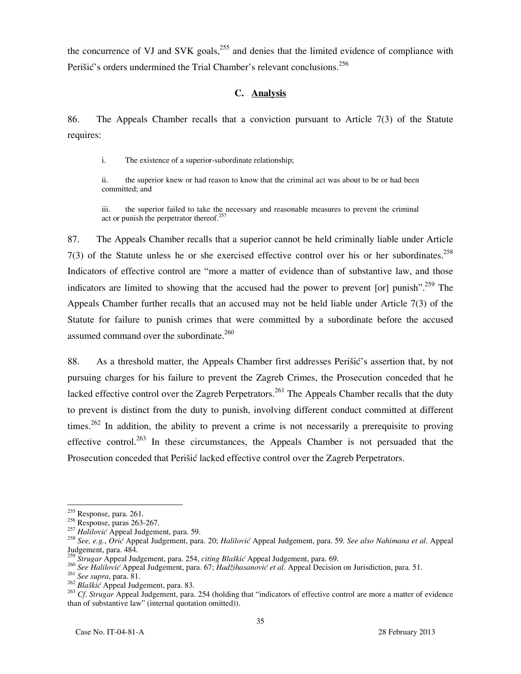the concurrence of VJ and SVK goals, $^{255}$  and denies that the limited evidence of compliance with Perišić's orders undermined the Trial Chamber's relevant conclusions.<sup>256</sup>

#### C. Analysis

86. The Appeals Chamber recalls that a conviction pursuant to Article 7(3) of the Statute requires:

i. The existence of a superior-subordinate relationship;

ii. the superior knew or had reason to know that the criminal act was about to be or had been committed; and

iii. the superior failed to take the necessary and reasonable measures to prevent the criminal act or punish the perpetrator thereof.<sup>257</sup>

87. The Appeals Chamber recalls that a superior cannot be held criminally liable under Article  $7(3)$  of the Statute unless he or she exercised effective control over his or her subordinates.<sup>258</sup> Indicators of effective control are "more a matter of evidence than of substantive law, and those indicators are limited to showing that the accused had the power to prevent [or] punish".<sup>259</sup> The Appeals Chamber further recalls that an accused may not be held liable under Article 7(3) of the Statute for failure to punish crimes that were committed by a subordinate before the accused assumed command over the subordinate. $260$ 

88. As a threshold matter, the Appeals Chamber first addresses Perišić's assertion that, by not pursuing charges for his failure to prevent the Zagreb Crimes, the Prosecution conceded that he lacked effective control over the Zagreb Perpetrators.<sup>261</sup> The Appeals Chamber recalls that the duty to prevent is distinct from the duty to punish, involving different conduct committed at different times.<sup>262</sup> In addition, the ability to prevent a crime is not necessarily a prerequisite to proving effective control.<sup>263</sup> In these circumstances, the Appeals Chamber is not persuaded that the Prosecution conceded that Perišić lacked effective control over the Zagreb Perpetrators.

 $255$  Response, para. 261.

<sup>256</sup> Response, paras 263-267.

 $^{257}$  Halilović Appeal Judgement, para. 59.

<sup>&</sup>lt;sup>258</sup> See, e.g., Orić Appeal Judgement, para. 20; Halilović Appeal Judgement, para. 59. See also Nahimana et al. Appeal Judgement, para. 484.

 $^{259}$  Strugar Appeal Judgement, para. 254, citing Blaškić Appeal Judgement, para. 69.

<sup>&</sup>lt;sup>260</sup> See Halilović Appeal Judgement, para. 67; Hadžihasanović et al. Appeal Decision on Jurisdiction, para. 51.

 $261$  See supra, para. 81.

<sup>&</sup>lt;sup>262</sup> Blaškić Appeal Judgement, para. 83.

<sup>&</sup>lt;sup>263</sup> Cf. Strugar Appeal Judgement, para. 254 (holding that "indicators of effective control are more a matter of evidence than of substantive law" (internal quotation omitted)).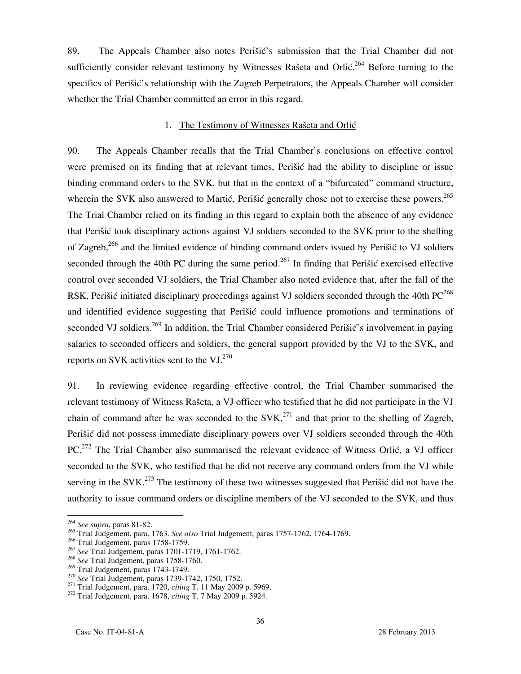89. The Appeals Chamber also notes Perišić's submission that the Trial Chamber did not sufficiently consider relevant testimony by Witnesses Rašeta and Orlić.<sup>264</sup> Before turning to the specifics of Perišić's relationship with the Zagreb Perpetrators, the Appeals Chamber will consider whether the Trial Chamber committed an error in this regard.

#### 1. The Testimony of Witnesses Rašeta and Orlić

90. The Appeals Chamber recalls that the Trial Chamber's conclusions on effective control were premised on its finding that at relevant times, Perišić had the ability to discipline or issue binding command orders to the SVK, but that in the context of a "bifurcated" command structure, wherein the SVK also answered to Martić, Perišić generally chose not to exercise these powers.<sup>265</sup> The Trial Chamber relied on its finding in this regard to explain both the absence of any evidence that Peri{i} took disciplinary actions against VJ soldiers seconded to the SVK prior to the shelling of Zagreb,<sup>266</sup> and the limited evidence of binding command orders issued by Perišić to VJ soldiers seconded through the 40th PC during the same period.<sup>267</sup> In finding that Peri $\delta$ ić exercised effective control over seconded VJ soldiers, the Trial Chamber also noted evidence that, after the fall of the RSK, Perišić initiated disciplinary proceedings against VJ soldiers seconded through the 40th  $PC^{268}$ and identified evidence suggesting that Peri<sub>st</sub>ic could influence promotions and terminations of seconded VJ soldiers.<sup>269</sup> In addition, the Trial Chamber considered Peri $\delta$ is involvement in paying salaries to seconded officers and soldiers, the general support provided by the VJ to the SVK, and reports on SVK activities sent to the VJ. $270$ 

91. In reviewing evidence regarding effective control, the Trial Chamber summarised the relevant testimony of Witness Rašeta, a VJ officer who testified that he did not participate in the VJ chain of command after he was seconded to the  $SVK<sub>1</sub><sup>271</sup>$  and that prior to the shelling of Zagreb, Peri<sub>st</sub> did not possess immediate disciplinary powers over VJ soldiers seconded through the 40th PC.<sup>272</sup> The Trial Chamber also summarised the relevant evidence of Witness Orlić, a VJ officer seconded to the SVK, who testified that he did not receive any command orders from the VJ while serving in the SVK.<sup>273</sup> The testimony of these two witnesses suggested that Peri $\delta$ ić did not have the authority to issue command orders or discipline members of the VJ seconded to the SVK, and thus

 $264$  See supra, paras 81-82.

<sup>&</sup>lt;sup>265</sup> Trial Judgement, para. 1763. See also Trial Judgement, paras 1757-1762, 1764-1769.

 $266$  Trial Judgement, paras 1758-1759.

<sup>267</sup> See Trial Judgement, paras 1701-1719, 1761-1762.

<sup>&</sup>lt;sup>268</sup> See Trial Judgement, paras 1758-1760.

<sup>&</sup>lt;sup>269</sup> Trial Judgement, paras 1743-1749.

<sup>&</sup>lt;sup>270</sup> See Trial Judgement, paras 1739-1742, 1750, 1752.

<sup>&</sup>lt;sup>271</sup> Trial Judgement, para. 1720, *citing* T. 11 May 2009 p. 5969.

 $272$  Trial Judgement, para. 1678, citing T. 7 May 2009 p. 5924.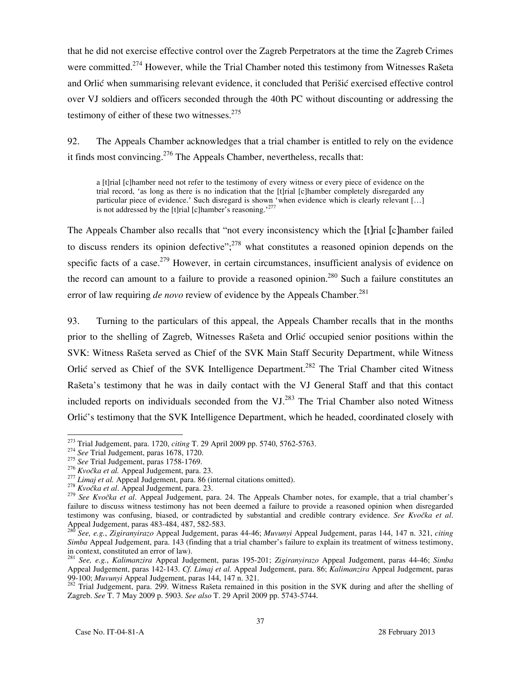that he did not exercise effective control over the Zagreb Perpetrators at the time the Zagreb Crimes were committed.<sup>274</sup> However, while the Trial Chamber noted this testimony from Witnesses Rašeta and Orlić when summarising relevant evidence, it concluded that Perišić exercised effective control over VJ soldiers and officers seconded through the 40th PC without discounting or addressing the testimony of either of these two witnesses. $275$ 

92. The Appeals Chamber acknowledges that a trial chamber is entitled to rely on the evidence it finds most convincing.<sup>276</sup> The Appeals Chamber, nevertheless, recalls that:

a [t]rial [c]hamber need not refer to the testimony of every witness or every piece of evidence on the trial record, 'as long as there is no indication that the  $[t]$ rial  $[c]$ hamber completely disregarded any particular piece of evidence.' Such disregard is shown 'when evidence which is clearly relevant [...] is not addressed by the [t]rial [c]hamber's reasoning.<sup>277</sup>

The Appeals Chamber also recalls that "not every inconsistency which the [t]rial [c]hamber failed to discuss renders its opinion defective";  $278$  what constitutes a reasoned opinion depends on the specific facts of a case.<sup>279</sup> However, in certain circumstances, insufficient analysis of evidence on the record can amount to a failure to provide a reasoned opinion.<sup>280</sup> Such a failure constitutes an error of law requiring de novo review of evidence by the Appeals Chamber.<sup>281</sup>

93. Turning to the particulars of this appeal, the Appeals Chamber recalls that in the months prior to the shelling of Zagreb, Witnesses Rašeta and Orlic occupied senior positions within the SVK: Witness Rašeta served as Chief of the SVK Main Staff Security Department, while Witness Orlić served as Chief of the SVK Intelligence Department.<sup>282</sup> The Trial Chamber cited Witness Rašeta's testimony that he was in daily contact with the VJ General Staff and that this contact included reports on individuals seconded from the VJ.<sup>283</sup> The Trial Chamber also noted Witness Orli}'s testimony that the SVK Intelligence Department, which he headed, coordinated closely with

<sup>&</sup>lt;sup>273</sup> Trial Judgement, para. 1720, *citing* T. 29 April 2009 pp. 5740, 5762-5763.

 $274$  See Trial Judgement, paras 1678, 1720.

<sup>&</sup>lt;sup>275</sup> See Trial Judgement, paras 1758-1769.

<sup>&</sup>lt;sup>276</sup> Kvočka et al. Appeal Judgement, para. 23.

<sup>&</sup>lt;sup>277</sup> Limaj et al. Appeal Judgement, para. 86 (internal citations omitted).

<sup>&</sup>lt;sup>278</sup> Kvočka et al. Appeal Judgement, para. 23.

<sup>&</sup>lt;sup>279</sup> See Kvočka et al. Appeal Judgement, para. 24. The Appeals Chamber notes, for example, that a trial chamber's failure to discuss witness testimony has not been deemed a failure to provide a reasoned opinion when disregarded testimony was confusing, biased, or contradicted by substantial and credible contrary evidence. See Kvočka et al. Appeal Judgement, paras 483-484, 487, 582-583.

<sup>&</sup>lt;sup>280</sup> See, e.g., Zigiranyirazo Appeal Judgement, paras 44-46; Muvunyi Appeal Judgement, paras 144, 147 n. 321, citing Simba Appeal Judgement, para. 143 (finding that a trial chamber's failure to explain its treatment of witness testimony, in context, constituted an error of law).

<sup>&</sup>lt;sup>281</sup> See, e.g., Kalimanzira Appeal Judgement, paras 195-201; Zigiranyirazo Appeal Judgement, paras 44-46; Simba Appeal Judgement, paras 142-143. Cf. Limaj et al. Appeal Judgement, para. 86; Kalimanzira Appeal Judgement, paras 99-100; Muvunyi Appeal Judgement, paras 144, 147 n. 321.

<sup>&</sup>lt;sup>282</sup> Trial Judgement, para. 299. Witness Rašeta remained in this position in the SVK during and after the shelling of Zagreb. See T. 7 May 2009 p. 5903. See also T. 29 April 2009 pp. 5743-5744.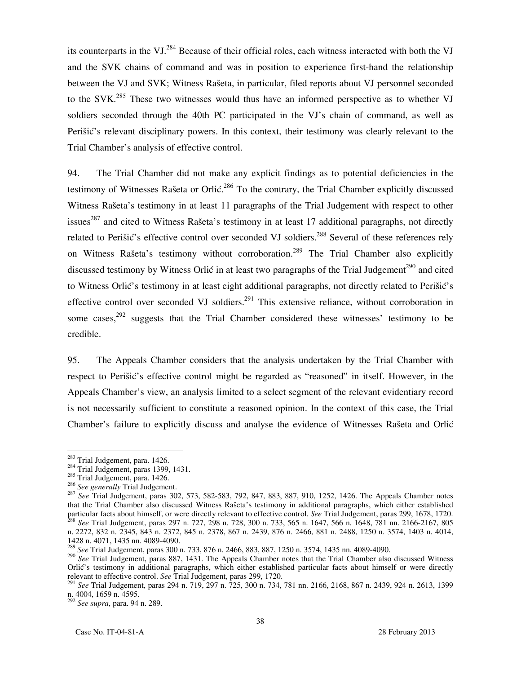its counterparts in the VJ.<sup>284</sup> Because of their official roles, each witness interacted with both the VJ and the SVK chains of command and was in position to experience first-hand the relationship between the VJ and SVK; Witness Rašeta, in particular, filed reports about VJ personnel seconded to the SVK.<sup>285</sup> These two witnesses would thus have an informed perspective as to whether VJ soldiers seconded through the 40th PC participated in the VJ's chain of command, as well as Peri $\delta$ is relevant disciplinary powers. In this context, their testimony was clearly relevant to the Trial Chamber's analysis of effective control.

94. The Trial Chamber did not make any explicit findings as to potential deficiencies in the testimony of Witnesses Rašeta or Orlić.<sup>286</sup> To the contrary, the Trial Chamber explicitly discussed Witness Rašeta's testimony in at least 11 paragraphs of the Trial Judgement with respect to other issues<sup>287</sup> and cited to Witness Rašeta's testimony in at least 17 additional paragraphs, not directly related to Perišić's effective control over seconded VJ soldiers.<sup>288</sup> Several of these references rely on Witness Rašeta's testimony without corroboration.<sup>289</sup> The Trial Chamber also explicitly discussed testimony by Witness Orlić in at least two paragraphs of the Trial Judgement<sup>290</sup> and cited to Witness Orlić's testimony in at least eight additional paragraphs, not directly related to Perišić's effective control over seconded VJ soldiers.<sup>291</sup> This extensive reliance, without corroboration in some cases,<sup>292</sup> suggests that the Trial Chamber considered these witnesses' testimony to be credible.

95. The Appeals Chamber considers that the analysis undertaken by the Trial Chamber with respect to Perišić's effective control might be regarded as "reasoned" in itself. However, in the Appeals Chamber's view, an analysis limited to a select segment of the relevant evidentiary record is not necessarily sufficient to constitute a reasoned opinion. In the context of this case, the Trial Chamber's failure to explicitly discuss and analyse the evidence of Witnesses Raseta and Orlic

<sup>&</sup>lt;sup>283</sup> Trial Judgement, para. 1426.

<sup>&</sup>lt;sup>284</sup> Trial Judgement, paras 1399, 1431.

<sup>&</sup>lt;sup>285</sup> Trial Judgement, para. 1426.

<sup>&</sup>lt;sup>286</sup> See generally Trial Judgement.

<sup>&</sup>lt;sup>287</sup> See Trial Judgement, paras 302, 573, 582-583, 792, 847, 883, 887, 910, 1252, 1426. The Appeals Chamber notes that the Trial Chamber also discussed Witness Rašeta's testimony in additional paragraphs, which either established particular facts about himself, or were directly relevant to effective control. See Trial Judgement, paras 299, 1678, 1720. <sup>288</sup> See Trial Judgement, paras 297 n. 727, 298 n. 728, 300 n. 733, 565 n. 1647, 566 n. 1648, 781 nn. 2166-2167, 805 n. 2272, 832 n. 2345, 843 n. 2372, 845 n. 2378, 867 n. 2439, 876 n. 2466, 881 n. 2488, 1250 n. 3574, 1403 n. 4014,

<sup>1428</sup> n. 4071, 1435 nn. 4089-4090.

<sup>289</sup> See Trial Judgement, paras 300 n. 733, 876 n. 2466, 883, 887, 1250 n. 3574, 1435 nn. 4089-4090.

 $290$  See Trial Judgement, paras 887, 1431. The Appeals Chamber notes that the Trial Chamber also discussed Witness Orlić's testimony in additional paragraphs, which either established particular facts about himself or were directly relevant to effective control. See Trial Judgement, paras 299, 1720.

<sup>&</sup>lt;sup>291</sup> See Trial Judgement, paras 294 n. 719, 297 n. 725, 300 n. 734, 781 nn. 2166, 2168, 867 n. 2439, 924 n. 2613, 1399 n. 4004, 1659 n. 4595.

 $292$  See supra, para. 94 n. 289.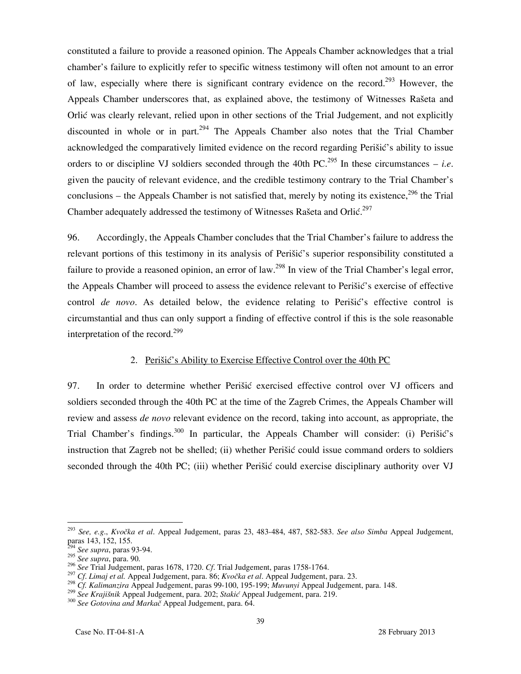constituted a failure to provide a reasoned opinion. The Appeals Chamber acknowledges that a trial chamber's failure to explicitly refer to specific witness testimony will often not amount to an error of law, especially where there is significant contrary evidence on the record.<sup>293</sup> However, the Appeals Chamber underscores that, as explained above, the testimony of Witnesses Rastea and Orli} was clearly relevant, relied upon in other sections of the Trial Judgement, and not explicitly discounted in whole or in part.<sup>294</sup> The Appeals Chamber also notes that the Trial Chamber acknowledged the comparatively limited evidence on the record regarding Perišić's ability to issue orders to or discipline VJ soldiers seconded through the 40th PC.<sup>295</sup> In these circumstances – *i.e.* given the paucity of relevant evidence, and the credible testimony contrary to the Trial Chamber's conclusions – the Appeals Chamber is not satisfied that, merely by noting its existence,  $2^{96}$  the Trial Chamber adequately addressed the testimony of Witnesses Rašeta and Orlic.<sup>297</sup>

96. Accordingly, the Appeals Chamber concludes that the Trial Chamber's failure to address the relevant portions of this testimony in its analysis of Perišić's superior responsibility constituted a failure to provide a reasoned opinion, an error of law.<sup>298</sup> In view of the Trial Chamber's legal error, the Appeals Chamber will proceed to assess the evidence relevant to Perišić's exercise of effective control de novo. As detailed below, the evidence relating to Peri $\delta$ 's effective control is circumstantial and thus can only support a finding of effective control if this is the sole reasonable interpretation of the record. $^{299}$ 

#### 2. Perišić's Ability to Exercise Effective Control over the 40th PC

97. In order to determine whether Peri<sub>stic</sub> exercised effective control over VJ officers and soldiers seconded through the 40th PC at the time of the Zagreb Crimes, the Appeals Chamber will review and assess *de novo* relevant evidence on the record, taking into account, as appropriate, the Trial Chamber's findings.<sup>300</sup> In particular, the Appeals Chamber will consider: (i) Perišić's instruction that Zagreb not be shelled; (ii) whether Perišić could issue command orders to soldiers seconded through the 40th PC; (iii) whether Perišić could exercise disciplinary authority over VJ

<sup>&</sup>lt;sup>293</sup> See, e.g., Kvočka et al. Appeal Judgement, paras 23, 483-484, 487, 582-583. See also Simba Appeal Judgement, paras 143, 152, 155.

 $294$  See supra, paras 93-94.

<sup>295</sup> See supra, para. 90.

 $296$  See Trial Judgement, paras 1678, 1720. Cf. Trial Judgement, paras 1758-1764.

<sup>&</sup>lt;sup>297</sup> Cf. Limaj et al. Appeal Judgement, para. 86; Kvočka et al. Appeal Judgement, para. 23.

<sup>&</sup>lt;sup>298</sup> Cf. Kalimanzira Appeal Judgement, paras 99-100, 195-199; Muvunyi Appeal Judgement, para. 148.

<sup>&</sup>lt;sup>299</sup> See Krajišnik Appeal Judgement, para. 202; Stakić Appeal Judgement, para. 219.

<sup>&</sup>lt;sup>300</sup> See Gotovina and Markač Appeal Judgement, para. 64.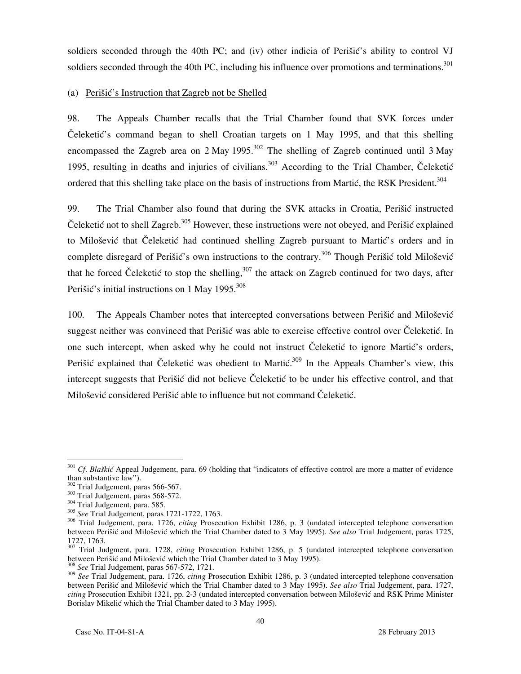soldiers seconded through the 40th PC; and (iv) other indicia of Perišić's ability to control VJ soldiers seconded through the 40th PC, including his influence over promotions and terminations.<sup>301</sup>

#### (a) Perišić's Instruction that Zagreb not be Shelled

98. The Appeals Chamber recalls that the Trial Chamber found that SVK forces under Čeleketi}'s command began to shell Croatian targets on 1 May 1995, and that this shelling encompassed the Zagreb area on 2 May 1995.<sup>302</sup> The shelling of Zagreb continued until 3 May 1995, resulting in deaths and injuries of civilians.<sup>303</sup> According to the Trial Chamber, Čeleketić ordered that this shelling take place on the basis of instructions from Martić, the RSK President.<sup>304</sup>

99. The Trial Chamber also found that during the SVK attacks in Croatia, Perišić instructed Čeleketić not to shell Zagreb.<sup>305</sup> However, these instructions were not obeyed, and Perišić explained to Milošević that Čeleketić had continued shelling Zagreb pursuant to Martić's orders and in complete disregard of Perišić's own instructions to the contrary.<sup>306</sup> Though Perišić told Milošević that he forced Čeleketić to stop the shelling,  $307$  the attack on Zagreb continued for two days, after Perišić's initial instructions on 1 May 1995. $^{308}$ 

100. The Appeals Chamber notes that intercepted conversations between Perific and Milošević suggest neither was convinced that Perišić was able to exercise effective control over Čeleketić. In one such intercept, when asked why he could not instruct Čeleketić to ignore Martić's orders, Perišić explained that Čeleketić was obedient to Martić.<sup>309</sup> In the Appeals Chamber's view, this intercept suggests that Perišić did not believe Čeleketić to be under his effective control, and that Milošević considered Perišić able to influence but not command Čeleketić.

 $301$  Cf. Blaškić Appeal Judgement, para. 69 (holding that "indicators of effective control are more a matter of evidence than substantive law").

<sup>&</sup>lt;sup>302</sup> Trial Judgement, paras 566-567.

<sup>303</sup> Trial Judgement, paras 568-572.

<sup>&</sup>lt;sup>304</sup> Trial Judgement, para. 585.

<sup>305</sup> See Trial Judgement, paras 1721-1722, 1763.

<sup>&</sup>lt;sup>306</sup> Trial Judgement, para. 1726, citing Prosecution Exhibit 1286, p. 3 (undated intercepted telephone conversation between Perišić and Milošević which the Trial Chamber dated to 3 May 1995). See also Trial Judgement, paras 1725, 1727, 1763.

<sup>&</sup>lt;sup>307</sup> Trial Judgment, para. 1728, *citing* Prosecution Exhibit 1286, p. 5 (undated intercepted telephone conversation between Perišić and Milošević which the Trial Chamber dated to 3 May 1995).

 $308$  See Trial Judgement, paras 567-572, 1721.

 $\frac{309}{209}$  See Trial Judgement, para. 1726, citing Prosecution Exhibit 1286, p. 3 (undated intercepted telephone conversation between Perišić and Milošević which the Trial Chamber dated to 3 May 1995). See also Trial Judgement, para. 1727, citing Prosecution Exhibit 1321, pp. 2-3 (undated intercepted conversation between Milošević and RSK Prime Minister Borislav Mikelić which the Trial Chamber dated to 3 May 1995).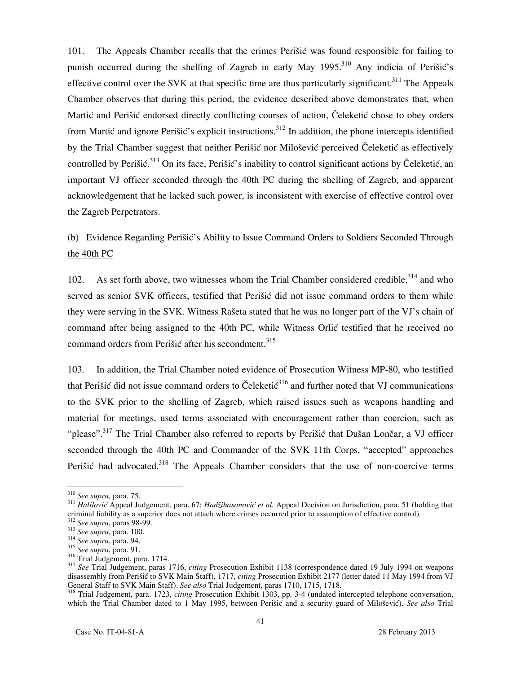101. The Appeals Chamber recalls that the crimes Peri<sub>st</sub> was found responsible for failing to punish occurred during the shelling of Zagreb in early May  $1995$ <sup>310</sup> Any indicia of Perišić's effective control over the SVK at that specific time are thus particularly significant.<sup>311</sup> The Appeals Chamber observes that during this period, the evidence described above demonstrates that, when Martic and Perišic endorsed directly conflicting courses of action, Čeleketic chose to obey orders from Martic and ignore Perišic's explicit instructions.<sup>312</sup> In addition, the phone intercepts identified by the Trial Chamber suggest that neither Perišić nor Milošević perceived Čeleketić as effectively controlled by Perišić.<sup>313</sup> On its face, Perišić's inability to control significant actions by Čeleketić, an important VJ officer seconded through the 40th PC during the shelling of Zagreb, and apparent acknowledgement that he lacked such power, is inconsistent with exercise of effective control over the Zagreb Perpetrators.

## (b) Evidence Regarding Perišić's Ability to Issue Command Orders to Soldiers Seconded Through the 40th PC

102. As set forth above, two witnesses whom the Trial Chamber considered credible,<sup>314</sup> and who served as senior SVK officers, testified that Perišić did not issue command orders to them while they were serving in the SVK. Witness Raseta stated that he was no longer part of the VJ's chain of command after being assigned to the 40th PC, while Witness Orlic testified that he received no command orders from Perišić after his secondment.<sup>315</sup>

103. In addition, the Trial Chamber noted evidence of Prosecution Witness MP-80, who testified that Perišić did not issue command orders to Čeleketi $\zeta^{316}$  and further noted that VJ communications to the SVK prior to the shelling of Zagreb, which raised issues such as weapons handling and material for meetings, used terms associated with encouragement rather than coercion, such as "please".<sup>317</sup> The Trial Chamber also referred to reports by Perišić that Dušan Lončar, a VJ officer seconded through the 40th PC and Commander of the SVK 11th Corps, "accepted" approaches Perišić had advocated.<sup>318</sup> The Appeals Chamber considers that the use of non-coercive terms

 $310$  See supra, para. 75.

<sup>&</sup>lt;sup>311</sup> Halilović Appeal Judgement, para. 67; Hadžihasanović et al. Appeal Decision on Jurisdiction, para. 51 (holding that criminal liability as a superior does not attach where crimes occurred prior to assumption of effective control).

 $312$  See supra, paras 98-99.

 $313$  See supra, para. 100.

<sup>314</sup> See supra, para. 94.

<sup>315</sup> See supra, para. 91.

<sup>316</sup> Trial Judgement, para. 1714.

 $317$  See Trial Judgement, paras 1716, *citing* Prosecution Exhibit 1138 (correspondence dated 19 July 1994 on weapons disassembly from Perišić to SVK Main Staff), 1717, citing Prosecution Exhibit 2177 (letter dated 11 May 1994 from VJ General Staff to SVK Main Staff). See also Trial Judgement, paras 1710, 1715, 1718.

<sup>&</sup>lt;sup>318</sup> Trial Judgement, para. 1723, citing Prosecution Exhibit 1303, pp. 3-4 (undated intercepted telephone conversation, which the Trial Chamber dated to 1 May 1995, between Perišić and a security guard of Milošević). See also Trial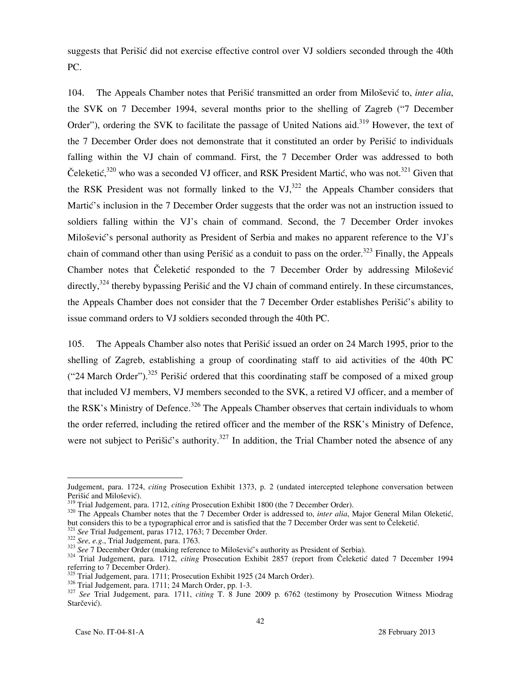suggests that Perišić did not exercise effective control over VJ soldiers seconded through the 40th PC.

104. The Appeals Chamber notes that Perišić transmitted an order from Milošević to, *inter alia*, the SVK on 7 December 1994, several months prior to the shelling of Zagreb ("7 December Order"), ordering the SVK to facilitate the passage of United Nations aid.<sup>319</sup> However, the text of the 7 December Order does not demonstrate that it constituted an order by Perišić to individuals falling within the VJ chain of command. First, the 7 December Order was addressed to both Čeleketić,<sup>320</sup> who was a seconded VJ officer, and RSK President Martić, who was not.<sup>321</sup> Given that the RSK President was not formally linked to the  $VI<sub>1</sub><sup>322</sup>$  the Appeals Chamber considers that Martić's inclusion in the 7 December Order suggests that the order was not an instruction issued to soldiers falling within the VJ's chain of command. Second, the 7 December Order invokes Milošević's personal authority as President of Serbia and makes no apparent reference to the VJ's chain of command other than using Perišić as a conduit to pass on the order.<sup>323</sup> Finally, the Appeals Chamber notes that Čeleketić responded to the 7 December Order by addressing Milošević directly,  $324$  thereby bypassing Perišić and the VJ chain of command entirely. In these circumstances, the Appeals Chamber does not consider that the 7 December Order establishes Perišić's ability to issue command orders to VJ soldiers seconded through the 40th PC.

105. The Appeals Chamber also notes that Peri<sub>stic</sub> issued an order on 24 March 1995, prior to the shelling of Zagreb, establishing a group of coordinating staff to aid activities of the 40th PC ("24 March Order").<sup>325</sup> Perišić ordered that this coordinating staff be composed of a mixed group that included VJ members, VJ members seconded to the SVK, a retired VJ officer, and a member of the RSK's Ministry of Defence.<sup>326</sup> The Appeals Chamber observes that certain individuals to whom the order referred, including the retired officer and the member of the RSK's Ministry of Defence, were not subject to Perišić's authority.<sup>327</sup> In addition, the Trial Chamber noted the absence of any

Judgement, para. 1724, citing Prosecution Exhibit 1373, p. 2 (undated intercepted telephone conversation between Perišić and Milošević).

<sup>&</sup>lt;sup>319</sup> Trial Judgement, para. 1712, citing Prosecution Exhibit 1800 (the 7 December Order).

<sup>&</sup>lt;sup>320</sup> The Appeals Chamber notes that the 7 December Order is addressed to, *inter alia*, Major General Milan Oleketić, but considers this to be a typographical error and is satisfied that the 7 December Order was sent to Čeleketić.

<sup>321</sup> See Trial Judgement, paras 1712, 1763; 7 December Order.

<sup>&</sup>lt;sup>322</sup> See, e.g., Trial Judgement, para. 1763.

<sup>&</sup>lt;sup>323</sup> See 7 December Order (making reference to Milošević's authority as President of Serbia).

<sup>&</sup>lt;sup>324</sup> Trial Judgement, para. 1712, *citing* Prosecution Exhibit 2857 (report from Čeleketić dated 7 December 1994 referring to 7 December Order).

<sup>&</sup>lt;sup>325</sup> Trial Judgement, para. 1711; Prosecution Exhibit 1925 (24 March Order).

<sup>326</sup> Trial Judgement, para. 1711; 24 March Order, pp. 1-3.

<sup>&</sup>lt;sup>327</sup> See Trial Judgement, para. 1711, citing T. 8 June 2009 p. 6762 (testimony by Prosecution Witness Miodrag Starčević).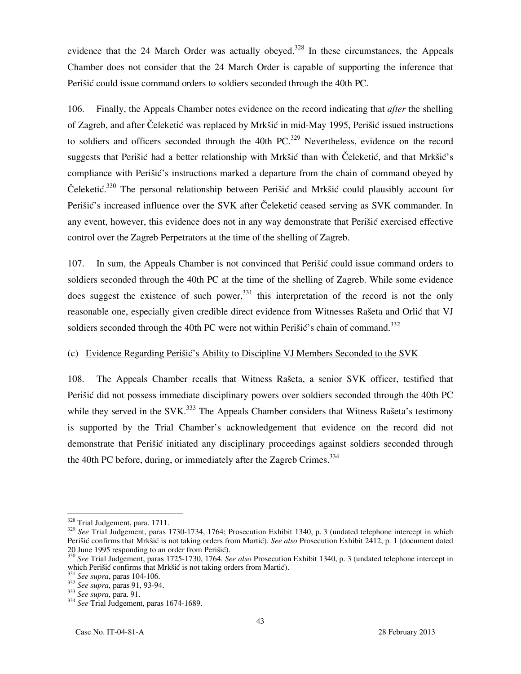evidence that the 24 March Order was actually obeyed.<sup>328</sup> In these circumstances, the Appeals Chamber does not consider that the 24 March Order is capable of supporting the inference that Perišić could issue command orders to soldiers seconded through the 40th PC.

106. Finally, the Appeals Chamber notes evidence on the record indicating that *after* the shelling of Zagreb, and after Čeleketić was replaced by Mrkšić in mid-May 1995, Perišić issued instructions to soldiers and officers seconded through the 40th PC.<sup>329</sup> Nevertheless, evidence on the record suggests that Perišić had a better relationship with Mrkšić than with Čeleketić, and that Mrkšić's compliance with Perišić's instructions marked a departure from the chain of command obeyed by Celeketi $\epsilon^{330}$  The personal relationship between Periši $\epsilon$  and Mrkši $\epsilon$  could plausibly account for Perišić's increased influence over the SVK after Čeleketić ceased serving as SVK commander. In any event, however, this evidence does not in any way demonstrate that Perišić exercised effective control over the Zagreb Perpetrators at the time of the shelling of Zagreb.

107. In sum, the Appeals Chamber is not convinced that Perišić could issue command orders to soldiers seconded through the 40th PC at the time of the shelling of Zagreb. While some evidence does suggest the existence of such power,  $331$  this interpretation of the record is not the only reasonable one, especially given credible direct evidence from Witnesses Rašeta and Orlic that VJ soldiers seconded through the 40th PC were not within Peri $\delta$ is chain of command.<sup>332</sup>

#### (c) Evidence Regarding Perišić's Ability to Discipline VJ Members Seconded to the SVK

108. The Appeals Chamber recalls that Witness Rašeta, a senior SVK officer, testified that Peri<sub>s</sub>ic did not possess immediate disciplinary powers over soldiers seconded through the 40th PC while they served in the SVK.<sup>333</sup> The Appeals Chamber considers that Witness Raseta's testimony is supported by the Trial Chamber's acknowledgement that evidence on the record did not demonstrate that Perišić initiated any disciplinary proceedings against soldiers seconded through the 40th PC before, during, or immediately after the Zagreb Crimes.<sup>334</sup>

<sup>&</sup>lt;sup>328</sup> Trial Judgement, para. 1711.

 $329$  See Trial Judgement, paras 1730-1734, 1764; Prosecution Exhibit 1340, p. 3 (undated telephone intercept in which Perišić confirms that Mrkšić is not taking orders from Martić). See also Prosecution Exhibit 2412, p. 1 (document dated 20 June 1995 responding to an order from Perišić).

<sup>&</sup>lt;sup>330</sup> See Trial Judgement, paras 1725-1730, 1764. See also Prosecution Exhibit 1340, p. 3 (undated telephone intercept in which Perišić confirms that Mrkšić is not taking orders from Martić).

 $331$  See supra, paras 104-106.

 $332$  See supra, paras 91, 93-94.

 $333$  See supra, para. 91.

<sup>&</sup>lt;sup>334</sup> See Trial Judgement, paras 1674-1689.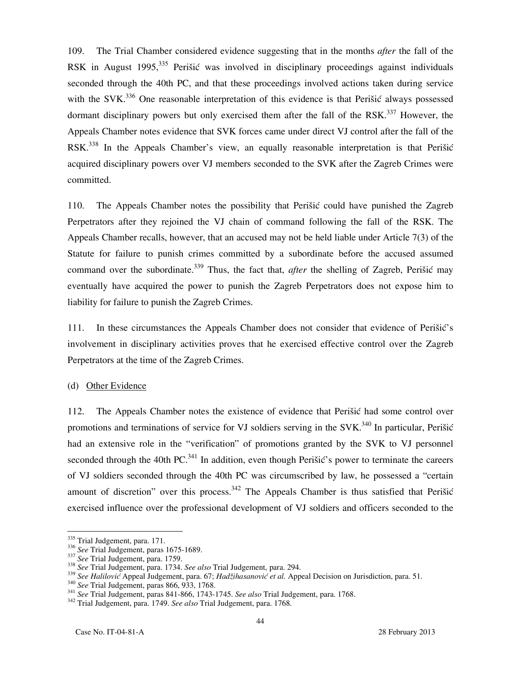109. The Trial Chamber considered evidence suggesting that in the months *after* the fall of the RSK in August 1995,  $335$  Perišić was involved in disciplinary proceedings against individuals seconded through the 40th PC, and that these proceedings involved actions taken during service with the SVK.<sup>336</sup> One reasonable interpretation of this evidence is that Peri<sub>s</sub>ic always possessed dormant disciplinary powers but only exercised them after the fall of the RSK. $337$  However, the Appeals Chamber notes evidence that SVK forces came under direct VJ control after the fall of the RSK.<sup>338</sup> In the Appeals Chamber's view, an equally reasonable interpretation is that Perišić acquired disciplinary powers over VJ members seconded to the SVK after the Zagreb Crimes were committed.

110. The Appeals Chamber notes the possibility that Perišić could have punished the Zagreb Perpetrators after they rejoined the VJ chain of command following the fall of the RSK. The Appeals Chamber recalls, however, that an accused may not be held liable under Article 7(3) of the Statute for failure to punish crimes committed by a subordinate before the accused assumed command over the subordinate.<sup>339</sup> Thus, the fact that, *after* the shelling of Zagreb, Perišić may eventually have acquired the power to punish the Zagreb Perpetrators does not expose him to liability for failure to punish the Zagreb Crimes.

111. In these circumstances the Appeals Chamber does not consider that evidence of Perišić's involvement in disciplinary activities proves that he exercised effective control over the Zagreb Perpetrators at the time of the Zagreb Crimes.

#### (d) Other Evidence

112. The Appeals Chamber notes the existence of evidence that Perišić had some control over promotions and terminations of service for VJ soldiers serving in the SVK.<sup>340</sup> In particular, Perišić had an extensive role in the "verification" of promotions granted by the SVK to VJ personnel seconded through the 40th PC.<sup>341</sup> In addition, even though Perišić's power to terminate the careers of VJ soldiers seconded through the 40th PC was circumscribed by law, he possessed a "certain amount of discretion" over this process.<sup>342</sup> The Appeals Chamber is thus satisfied that Perišić exercised influence over the professional development of VJ soldiers and officers seconded to the

<sup>&</sup>lt;sup>335</sup> Trial Judgement, para. 171.

<sup>&</sup>lt;sup>336</sup> See Trial Judgement, paras 1675-1689.

<sup>&</sup>lt;sup>337</sup> See Trial Judgement, para. 1759.

<sup>&</sup>lt;sup>338</sup> See Trial Judgement, para. 1734. See also Trial Judgement, para. 294.

<sup>&</sup>lt;sup>339</sup> See Halilović Appeal Judgement, para. 67; Hadžihasanović et al. Appeal Decision on Jurisdiction, para. 51.

<sup>340</sup> See Trial Judgement, paras 866, 933, 1768.

<sup>341</sup> See Trial Judgement, paras 841-866, 1743-1745. See also Trial Judgement, para. 1768.

<sup>&</sup>lt;sup>342</sup> Trial Judgement, para. 1749. See also Trial Judgement, para. 1768.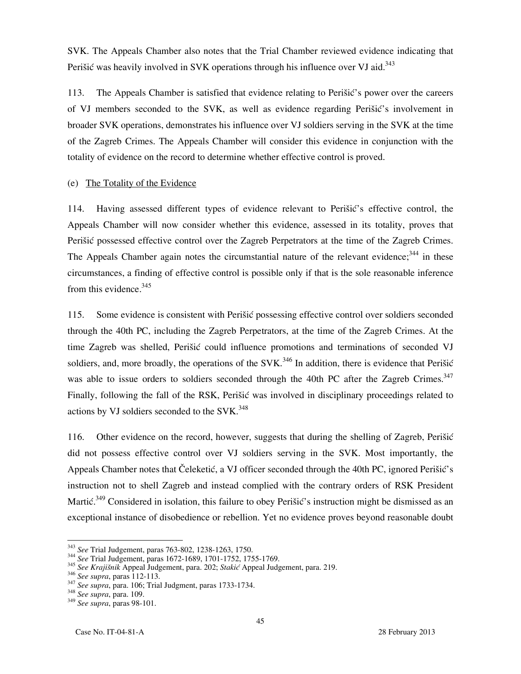SVK. The Appeals Chamber also notes that the Trial Chamber reviewed evidence indicating that Perišić was heavily involved in SVK operations through his influence over VJ aid.<sup>343</sup>

113. The Appeals Chamber is satisfied that evidence relating to Perišić's power over the careers of VJ members seconded to the SVK, as well as evidence regarding Perišic's involvement in broader SVK operations, demonstrates his influence over VJ soldiers serving in the SVK at the time of the Zagreb Crimes. The Appeals Chamber will consider this evidence in conjunction with the totality of evidence on the record to determine whether effective control is proved.

#### (e) The Totality of the Evidence

114. Having assessed different types of evidence relevant to Perišić's effective control, the Appeals Chamber will now consider whether this evidence, assessed in its totality, proves that Peri<sub>sic</sub> possessed effective control over the Zagreb Perpetrators at the time of the Zagreb Crimes. The Appeals Chamber again notes the circumstantial nature of the relevant evidence;  $344$  in these circumstances, a finding of effective control is possible only if that is the sole reasonable inference from this evidence. $345$ 

115. Some evidence is consistent with Peri<sub>st</sub> possessing effective control over soldiers seconded through the 40th PC, including the Zagreb Perpetrators, at the time of the Zagreb Crimes. At the time Zagreb was shelled, Perišić could influence promotions and terminations of seconded VJ soldiers, and, more broadly, the operations of the SVK.<sup>346</sup> In addition, there is evidence that Perišić was able to issue orders to soldiers seconded through the 40th PC after the Zagreb Crimes.<sup>347</sup> Finally, following the fall of the RSK, Perišić was involved in disciplinary proceedings related to actions by VJ soldiers seconded to the  $SVK.<sup>348</sup>$ 

116. Other evidence on the record, however, suggests that during the shelling of Zagreb, Perišić did not possess effective control over VJ soldiers serving in the SVK. Most importantly, the Appeals Chamber notes that Čeleketić, a VJ officer seconded through the 40th PC, ignored Perišić's instruction not to shell Zagreb and instead complied with the contrary orders of RSK President Martic.<sup>349</sup> Considered in isolation, this failure to obey Perišic's instruction might be dismissed as an exceptional instance of disobedience or rebellion. Yet no evidence proves beyond reasonable doubt

<sup>&</sup>lt;sup>343</sup> See Trial Judgement, paras 763-802, 1238-1263, 1750.

<sup>344</sup> See Trial Judgement, paras 1672-1689, 1701-1752, 1755-1769.

<sup>345</sup> See Krajišnik Appeal Judgement, para. 202; Stakić Appeal Judgement, para. 219.

<sup>346</sup> See supra, paras 112-113.

 $347$  See supra, para. 106; Trial Judgment, paras 1733-1734.

<sup>348</sup> See supra, para. 109.

<sup>349</sup> See supra, paras 98-101.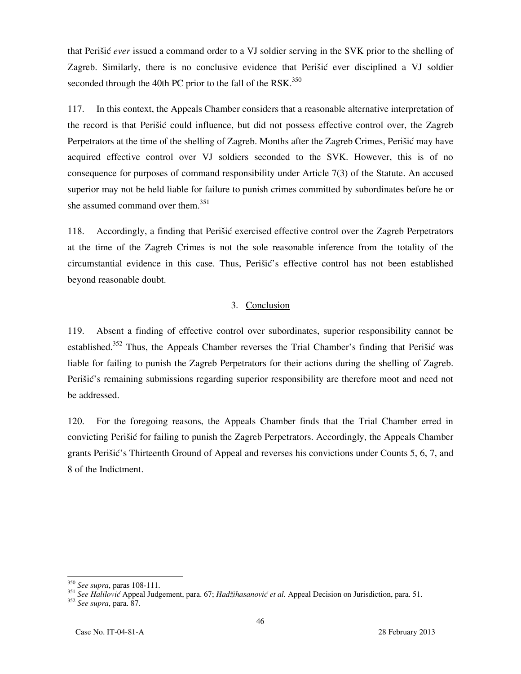that Perišić ever issued a command order to a VJ soldier serving in the SVK prior to the shelling of Zagreb. Similarly, there is no conclusive evidence that Perišić ever disciplined a VJ soldier seconded through the 40th PC prior to the fall of the RSK. $350$ 

117. In this context, the Appeals Chamber considers that a reasonable alternative interpretation of the record is that Perišić could influence, but did not possess effective control over, the Zagreb Perpetrators at the time of the shelling of Zagreb. Months after the Zagreb Crimes, Perišić may have acquired effective control over VJ soldiers seconded to the SVK. However, this is of no consequence for purposes of command responsibility under Article 7(3) of the Statute. An accused superior may not be held liable for failure to punish crimes committed by subordinates before he or she assumed command over them.<sup>351</sup>

118. Accordingly, a finding that Perišić exercised effective control over the Zagreb Perpetrators at the time of the Zagreb Crimes is not the sole reasonable inference from the totality of the circumstantial evidence in this case. Thus, Perišić's effective control has not been established beyond reasonable doubt.

#### 3. Conclusion

119. Absent a finding of effective control over subordinates, superior responsibility cannot be established.<sup>352</sup> Thus, the Appeals Chamber reverses the Trial Chamber's finding that Perišić was liable for failing to punish the Zagreb Perpetrators for their actions during the shelling of Zagreb. Peri<sub>st</sub>''s remaining submissions regarding superior responsibility are therefore moot and need not be addressed.

120. For the foregoing reasons, the Appeals Chamber finds that the Trial Chamber erred in convicting Perišić for failing to punish the Zagreb Perpetrators. Accordingly, the Appeals Chamber grants Perišić's Thirteenth Ground of Appeal and reverses his convictions under Counts 5, 6, 7, and 8 of the Indictment.

 $350$  *See supra*, paras 108-111.

<sup>&</sup>lt;sup>351</sup> See Halilović Appeal Judgement, para. 67; Hadžihasanović et al. Appeal Decision on Jurisdiction, para. 51.

 $352$  See supra, para.  $87$ .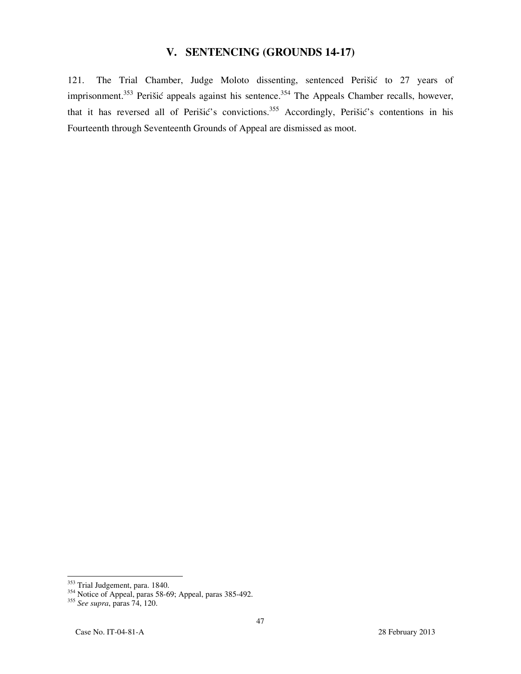## V. SENTENCING (GROUNDS 14-17)

121. The Trial Chamber, Judge Moloto dissenting, sentenced Perišić to 27 years of imprisonment.<sup>353</sup> Perišić appeals against his sentence.<sup>354</sup> The Appeals Chamber recalls, however, that it has reversed all of Perišić's convictions.<sup>355</sup> Accordingly, Perišić's contentions in his Fourteenth through Seventeenth Grounds of Appeal are dismissed as moot.

<sup>-</sup><sup>353</sup> Trial Judgement, para. 1840.

<sup>354</sup> Notice of Appeal, paras 58-69; Appeal, paras 385-492.

 $355$  See supra, paras 74, 120.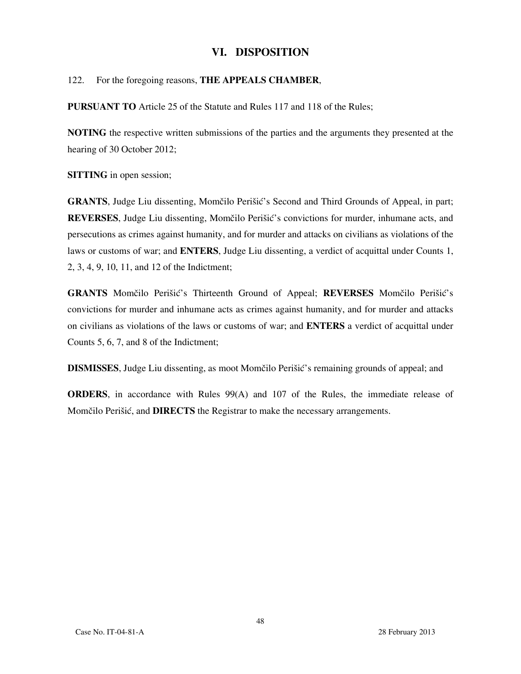## VI. DISPOSITION

#### 122. For the foregoing reasons, THE APPEALS CHAMBER,

PURSUANT TO Article 25 of the Statute and Rules 117 and 118 of the Rules;

NOTING the respective written submissions of the parties and the arguments they presented at the hearing of 30 October 2012;

SITTING in open session;

GRANTS, Judge Liu dissenting, Momčilo Perišić's Second and Third Grounds of Appeal, in part; **REVERSES**, Judge Liu dissenting, Momčilo Perišić's convictions for murder, inhumane acts, and persecutions as crimes against humanity, and for murder and attacks on civilians as violations of the laws or customs of war; and **ENTERS**, Judge Liu dissenting, a verdict of acquittal under Counts 1, 2, 3, 4, 9, 10, 11, and 12 of the Indictment;

GRANTS Momčilo Perišić's Thirteenth Ground of Appeal; REVERSES Momčilo Perišić's convictions for murder and inhumane acts as crimes against humanity, and for murder and attacks on civilians as violations of the laws or customs of war; and ENTERS a verdict of acquittal under Counts 5, 6, 7, and 8 of the Indictment;

**DISMISSES**, Judge Liu dissenting, as moot Momčilo Perišić's remaining grounds of appeal; and

ORDERS, in accordance with Rules 99(A) and 107 of the Rules, the immediate release of Momčilo Perišić, and **DIRECTS** the Registrar to make the necessary arrangements.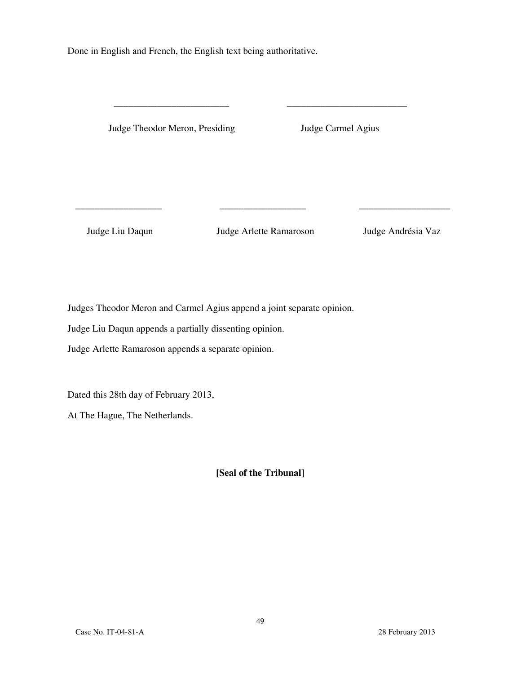Done in English and French, the English text being authoritative.

Judge Theodor Meron, Presiding Judge Carmel Agius

Judge Liu Daqun Judge Arlette Ramaroson Judge Andrésia Vaz

\_\_\_\_\_\_\_\_\_\_\_\_\_\_\_\_\_\_ \_\_\_\_\_\_\_\_\_\_\_\_\_\_\_\_\_\_ \_\_\_\_\_\_\_\_\_\_\_\_\_\_\_\_\_\_\_

\_\_\_\_\_\_\_\_\_\_\_\_\_\_\_\_\_\_\_\_\_\_\_\_ \_\_\_\_\_\_\_\_\_\_\_\_\_\_\_\_\_\_\_\_\_\_\_\_\_

Judges Theodor Meron and Carmel Agius append a joint separate opinion.

Judge Liu Daqun appends a partially dissenting opinion.

Judge Arlette Ramaroson appends a separate opinion.

Dated this 28th day of February 2013,

At The Hague, The Netherlands.

[Seal of the Tribunal]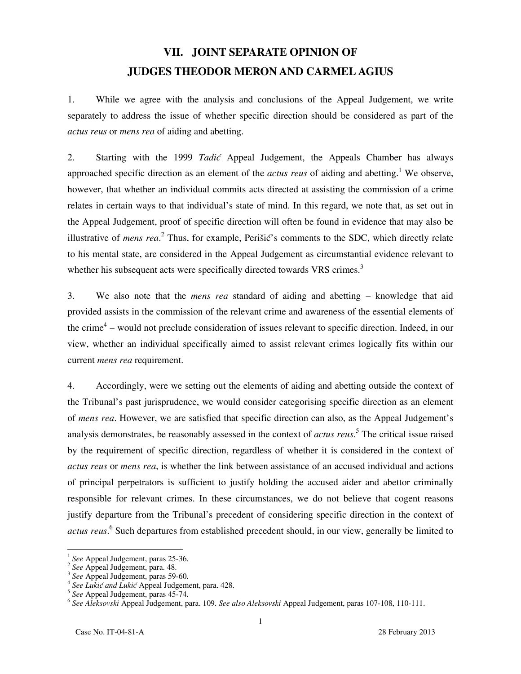## VII. JOINT SEPARATE OPINION OF JUDGES THEODOR MERON AND CARMEL AGIUS

1. While we agree with the analysis and conclusions of the Appeal Judgement, we write separately to address the issue of whether specific direction should be considered as part of the actus reus or mens rea of aiding and abetting.

2. Starting with the 1999 Tadić Appeal Judgement, the Appeals Chamber has always approached specific direction as an element of the *actus reus* of aiding and abetting.<sup>1</sup> We observe, however, that whether an individual commits acts directed at assisting the commission of a crime relates in certain ways to that individual's state of mind. In this regard, we note that, as set out in the Appeal Judgement, proof of specific direction will often be found in evidence that may also be illustrative of *mens rea*.<sup>2</sup> Thus, for example, Perišić's comments to the SDC, which directly relate to his mental state, are considered in the Appeal Judgement as circumstantial evidence relevant to whether his subsequent acts were specifically directed towards VRS crimes.<sup>3</sup>

3. We also note that the *mens rea* standard of aiding and abetting  $-$  knowledge that aid provided assists in the commission of the relevant crime and awareness of the essential elements of the crime<sup>4</sup> – would not preclude consideration of issues relevant to specific direction. Indeed, in our view, whether an individual specifically aimed to assist relevant crimes logically fits within our current mens rea requirement.

4. Accordingly, were we setting out the elements of aiding and abetting outside the context of the Tribunal's past jurisprudence, we would consider categorising specific direction as an element of mens rea. However, we are satisfied that specific direction can also, as the Appeal Judgement's analysis demonstrates, be reasonably assessed in the context of *actus reus*.<sup>5</sup> The critical issue raised by the requirement of specific direction, regardless of whether it is considered in the context of actus reus or mens rea, is whether the link between assistance of an accused individual and actions of principal perpetrators is sufficient to justify holding the accused aider and abettor criminally responsible for relevant crimes. In these circumstances, we do not believe that cogent reasons justify departure from the Tribunal's precedent of considering specific direction in the context of actus reus.<sup>6</sup> Such departures from established precedent should, in our view, generally be limited to

 $1$  See Appeal Judgement, paras 25-36.

<sup>&</sup>lt;sup>2</sup> See Appeal Judgement, para. 48.

<sup>&</sup>lt;sup>3</sup> See Appeal Judgement, paras 59-60.

 $4$  See Lukić and Lukić Appeal Judgement, para. 428.

<sup>5</sup> See Appeal Judgement, paras 45-74.

<sup>&</sup>lt;sup>6</sup> See Aleksovski Appeal Judgement, para. 109. See also Aleksovski Appeal Judgement, paras 107-108, 110-111.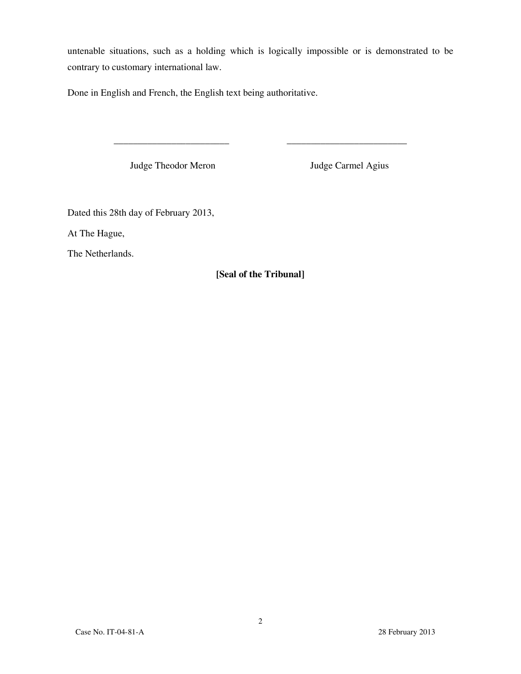untenable situations, such as a holding which is logically impossible or is demonstrated to be contrary to customary international law.

\_\_\_\_\_\_\_\_\_\_\_\_\_\_\_\_\_\_\_\_\_\_\_\_ \_\_\_\_\_\_\_\_\_\_\_\_\_\_\_\_\_\_\_\_\_\_\_\_\_

Done in English and French, the English text being authoritative.

Judge Theodor Meron Judge Carmel Agius

Dated this 28th day of February 2013,

At The Hague,

The Netherlands.

[Seal of the Tribunal]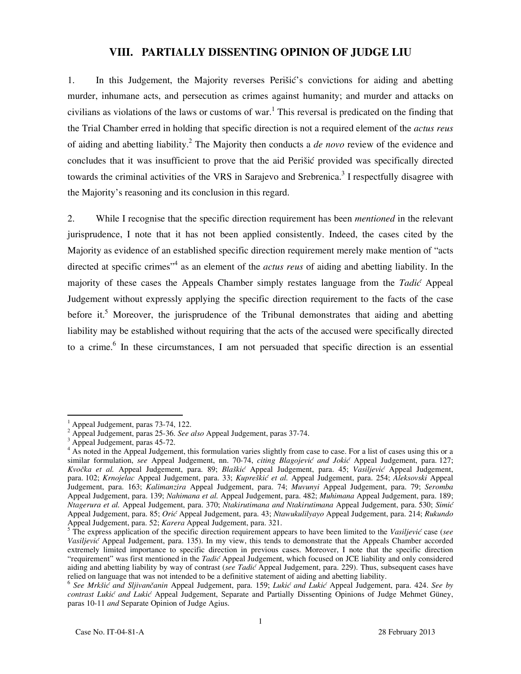#### VIII. PARTIALLY DISSENTING OPINION OF JUDGE LIU

1. In this Judgement, the Majority reverses Peri{i}'s convictions for aiding and abetting murder, inhumane acts, and persecution as crimes against humanity; and murder and attacks on civilians as violations of the laws or customs of war.<sup>1</sup> This reversal is predicated on the finding that the Trial Chamber erred in holding that specific direction is not a required element of the *actus reus* of aiding and abetting liability.<sup>2</sup> The Majority then conducts a *de novo* review of the evidence and concludes that it was insufficient to prove that the aid Perišić provided was specifically directed towards the criminal activities of the VRS in Sarajevo and Srebrenica.<sup>3</sup> I respectfully disagree with the Majority's reasoning and its conclusion in this regard.

2. While I recognise that the specific direction requirement has been *mentioned* in the relevant jurisprudence, I note that it has not been applied consistently. Indeed, the cases cited by the Majority as evidence of an established specific direction requirement merely make mention of "acts directed at specific crimes"<sup>4</sup> as an element of the *actus reus* of aiding and abetting liability. In the majority of these cases the Appeals Chamber simply restates language from the Tadić Appeal Judgement without expressly applying the specific direction requirement to the facts of the case before it.<sup>5</sup> Moreover, the jurisprudence of the Tribunal demonstrates that aiding and abetting liability may be established without requiring that the acts of the accused were specifically directed to a crime.<sup>6</sup> In these circumstances, I am not persuaded that specific direction is an essential

<sup>1</sup> Appeal Judgement, paras 73-74, 122.

<sup>&</sup>lt;sup>2</sup> Appeal Judgement, paras 25-36. See also Appeal Judgement, paras 37-74.

<sup>&</sup>lt;sup>3</sup> Appeal Judgement, paras 45-72.

<sup>&</sup>lt;sup>4</sup> As noted in the Appeal Judgement, this formulation varies slightly from case to case. For a list of cases using this or a similar formulation, see Appeal Judgement, nn. 70-74, citing Blagojević and Jokić Appeal Judgement, para. 127; Kvočka et al. Appeal Judgement, para. 89; Blaškić Appeal Judgement, para. 45; Vasiljević Appeal Judgement, para. 102; Krnojelac Appeal Judgement, para. 33; Kupreškić et al. Appeal Judgement, para. 254; Aleksovski Appeal Judgement, para. 163; Kalimanzira Appeal Judgement, para. 74; Muvunyi Appeal Judgement, para. 79; Seromba Appeal Judgement, para. 139; Nahimana et al. Appeal Judgement, para. 482; Muhimana Appeal Judgement, para. 189; Ntagerura et al. Appeal Judgement, para. 370; Ntakirutimana and Ntakirutimana Appeal Judgement, para. 530; Simić Appeal Judgement, para. 85; Orić Appeal Judgement, para. 43; Ntawukulilyayo Appeal Judgement, para. 214; Rukundo Appeal Judgement, para. 52; Karera Appeal Judgement, para. 321.

 $\frac{5}{3}$  The express application of the specific direction requirement appears to have been limited to the Vasiljević case (see Vasiljević Appeal Judgement, para. 135). In my view, this tends to demonstrate that the Appeals Chamber accorded extremely limited importance to specific direction in previous cases. Moreover, I note that the specific direction "requirement" was first mentioned in the Tadić Appeal Judgement, which focused on JCE liability and only considered aiding and abetting liability by way of contrast (see Tadić Appeal Judgement, para. 229). Thus, subsequent cases have relied on language that was not intended to be a definitive statement of aiding and abetting liability.

 $6$  See Mrkšić and Sljivančanin Appeal Judgement, para. 159; Lukić and Lukić Appeal Judgement, para. 424. See by contrast Lukić and Lukić Appeal Judgement, Separate and Partially Dissenting Opinions of Judge Mehmet Güney, paras 10-11 and Separate Opinion of Judge Agius.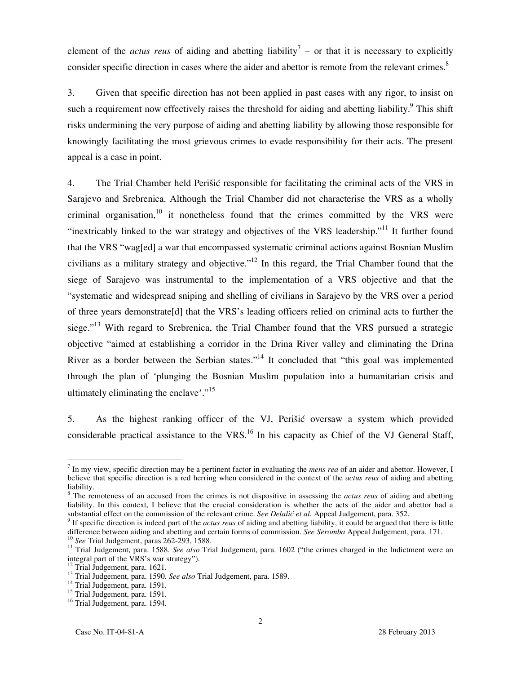element of the *actus reus* of aiding and abetting liability<sup>7</sup> – or that it is necessary to explicitly consider specific direction in cases where the aider and abettor is remote from the relevant crimes.<sup>8</sup>

3. Given that specific direction has not been applied in past cases with any rigor, to insist on such a requirement now effectively raises the threshold for aiding and abetting liability.<sup>9</sup> This shift risks undermining the very purpose of aiding and abetting liability by allowing those responsible for knowingly facilitating the most grievous crimes to evade responsibility for their acts. The present appeal is a case in point.

4. The Trial Chamber held Perišić responsible for facilitating the criminal acts of the VRS in Sarajevo and Srebrenica. Although the Trial Chamber did not characterise the VRS as a wholly criminal organisation,  $10$  it nonetheless found that the crimes committed by the VRS were "inextricably linked to the war strategy and objectives of the VRS leadership."<sup>11</sup> It further found that the VRS "wag[ed] a war that encompassed systematic criminal actions against Bosnian Muslim civilians as a military strategy and objective."<sup>12</sup> In this regard, the Trial Chamber found that the siege of Sarajevo was instrumental to the implementation of a VRS objective and that the "systematic and widespread sniping and shelling of civilians in Sarajevo by the VRS over a period of three years demonstrate[d] that the VRS's leading officers relied on criminal acts to further the siege."<sup>13</sup> With regard to Srebrenica, the Trial Chamber found that the VRS pursued a strategic objective "aimed at establishing a corridor in the Drina River valley and eliminating the Drina River as a border between the Serbian states."<sup>14</sup> It concluded that "this goal was implemented through the plan of 'plunging the Bosnian Muslim population into a humanitarian crisis and ultimately eliminating the enclave'."<sup>15</sup>

5. As the highest ranking officer of the VJ, Perišić oversaw a system which provided considerable practical assistance to the VRS.<sup>16</sup> In his capacity as Chief of the VJ General Staff,

 $<sup>7</sup>$  In my view, specific direction may be a pertinent factor in evaluating the *mens rea* of an aider and abettor. However, I</sup> believe that specific direction is a red herring when considered in the context of the *actus reus* of aiding and abetting liability.

 $8$  The remoteness of an accused from the crimes is not dispositive in assessing the *actus reus* of aiding and abetting liability. In this context, I believe that the crucial consideration is whether the acts of the aider and abettor had a substantial effect on the commission of the relevant crime. See Delalić et al. Appeal Judgement, para. 352.

<sup>&</sup>lt;sup>9</sup> If specific direction is indeed part of the *actus reus* of aiding and abetting liability, it could be argued that there is little difference between aiding and abetting and certain forms of commission. See Seromba Appeal Judgement, para. 171.  $10$  See Trial Judgement, paras 262-293, 1588.

<sup>&</sup>lt;sup>11</sup> Trial Judgement, para. 1588. See also Trial Judgement, para. 1602 ("the crimes charged in the Indictment were an integral part of the VRS's war strategy").

 $12$  Trial Judgement, para. 1621.

<sup>&</sup>lt;sup>13</sup> Trial Judgement, para. 1590. See also Trial Judgement, para. 1589.

<sup>&</sup>lt;sup>14</sup> Trial Judgement, para. 1591.

<sup>&</sup>lt;sup>15</sup> Trial Judgement, para. 1591.

<sup>&</sup>lt;sup>16</sup> Trial Judgement, para. 1594.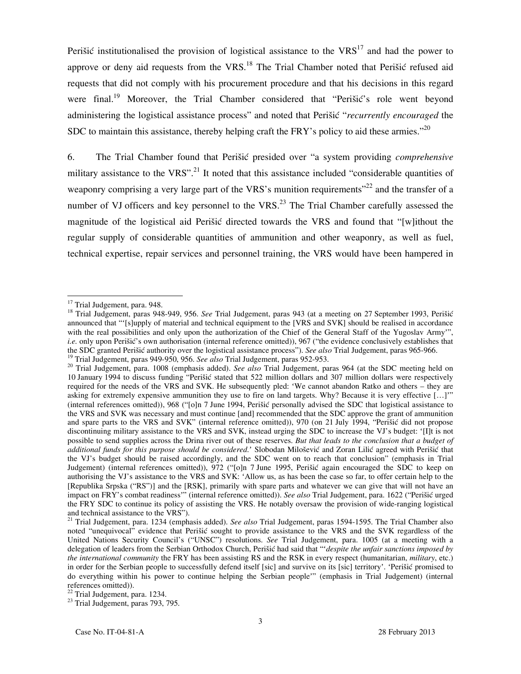Perišić institutionalised the provision of logistical assistance to the VRS $^{17}$  and had the power to approve or deny aid requests from the VRS.<sup>18</sup> The Trial Chamber noted that Peri $\delta$ ić refused aid requests that did not comply with his procurement procedure and that his decisions in this regard were final.<sup>19</sup> Moreover, the Trial Chamber considered that "Perišić's role went beyond administering the logistical assistance process" and noted that Perišić "recurrently encouraged the SDC to maintain this assistance, thereby helping craft the FRY's policy to aid these armies."<sup>20</sup>

6. The Trial Chamber found that Perišić presided over "a system providing *comprehensive* military assistance to the VRS".<sup>21</sup> It noted that this assistance included "considerable quantities of weaponry comprising a very large part of the VRS's munition requirements<sup>"22</sup> and the transfer of a number of VJ officers and key personnel to the VRS.<sup>23</sup> The Trial Chamber carefully assessed the magnitude of the logistical aid Perišić directed towards the VRS and found that "[w]ithout the regular supply of considerable quantities of ammunition and other weaponry, as well as fuel, technical expertise, repair services and personnel training, the VRS would have been hampered in

<sup>-</sup><sup>17</sup> Trial Judgement, para. 948.

<sup>&</sup>lt;sup>18</sup> Trial Judgement, paras 948-949, 956. See Trial Judgement, paras 943 (at a meeting on 27 September 1993, Perišić announced that "'[s]upply of material and technical equipment to the [VRS and SVK] should be realised in accordance with the real possibilities and only upon the authorization of the Chief of the General Staff of the Yugoslav Army'", i.e. only upon Perišić's own authorisation (internal reference omitted)), 967 ("the evidence conclusively establishes that the SDC granted Perišić authority over the logistical assistance process"). See also Trial Judgement, paras 965-966. Trial Judgement, paras 949-950, 956. See also Trial Judgement, paras 952-953.

<sup>&</sup>lt;sup>20</sup> Trial Judgement, para. 1008 (emphasis added). See also Trial Judgement, paras 964 (at the SDC meeting held on 10 January 1994 to discuss funding "Perišić stated that 522 million dollars and 307 million dollars were respectively required for the needs of the VRS and SVK. He subsequently pled: 'We cannot abandon Ratko and others – they are asking for extremely expensive ammunition they use to fire on land targets. Why? Because it is very effective [...]" (internal references omitted)), 968 ("[o]n 7 June 1994, Peri $\delta$ is personally advised the SDC that logistical assistance to the VRS and SVK was necessary and must continue [and] recommended that the SDC approve the grant of ammunition and spare parts to the VRS and SVK" (internal reference omitted)), 970 (on 21 July 1994, "Perišić did not propose discontinuing military assistance to the VRS and SVK, instead urging the SDC to increase the VJ's budget: '[I]t is not possible to send supplies across the Drina river out of these reserves. But that leads to the conclusion that a budget of additional funds for this purpose should be considered.' Slobodan Milošević and Zoran Lilić agreed with Perišić that the VJ's budget should be raised accordingly, and the SDC went on to reach that conclusion" (emphasis in Trial Judgement) (internal references omitted)), 972 ("[o]n 7 June 1995, Perišić again encouraged the SDC to keep on authorising the VJ's assistance to the VRS and SVK: 'Allow us, as has been the case so far, to offer certain help to the [Republika Srpska ("RS")] and the [RSK], primarily with spare parts and whatever we can give that will not have an impact on FRY's combat readiness'" (internal reference omitted)). See also Trial Judgement, para. 1622 ("Perišić urged the FRY SDC to continue its policy of assisting the VRS. He notably oversaw the provision of wide-ranging logistical and technical assistance to the VRS").

<sup>&</sup>lt;sup>21</sup> Trial Judgement, para. 1234 (emphasis added). See also Trial Judgement, paras 1594-1595. The Trial Chamber also noted "unequivocal" evidence that Perišić sought to provide assistance to the VRS and the SVK regardless of the United Nations Security Council's ("UNSC") resolutions. See Trial Judgement, para. 1005 (at a meeting with a delegation of leaders from the Serbian Orthodox Church, Perišić had said that "'despite the unfair sanctions imposed by the international community the FRY has been assisting RS and the RSK in every respect (humanitarian, military, etc.) in order for the Serbian people to successfully defend itself [sic] and survive on its [sic] territory'. 'Perišić promised to do everything within his power to continue helping the Serbian people'" (emphasis in Trial Judgement) (internal references omitted)).

 $22$  Trial Judgement, para. 1234.

<sup>&</sup>lt;sup>23</sup> Trial Judgement, paras 793, 795.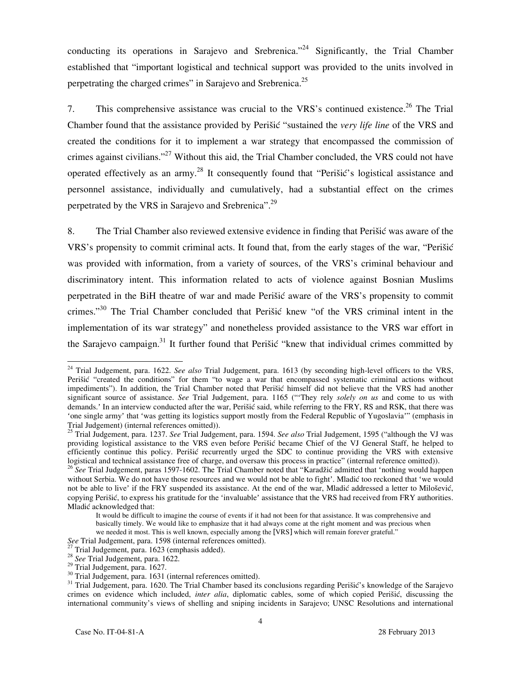conducting its operations in Sarajevo and Srebrenica."<sup>24</sup> Significantly, the Trial Chamber established that "important logistical and technical support was provided to the units involved in perpetrating the charged crimes" in Sarajevo and Srebrenica.<sup>25</sup>

7. This comprehensive assistance was crucial to the VRS's continued existence.<sup>26</sup> The Trial Chamber found that the assistance provided by Perišić "sustained the very life line of the VRS and created the conditions for it to implement a war strategy that encompassed the commission of crimes against civilians."<sup>27</sup> Without this aid, the Trial Chamber concluded, the VRS could not have operated effectively as an army.<sup>28</sup> It consequently found that "Perišić's logistical assistance and personnel assistance, individually and cumulatively, had a substantial effect on the crimes perpetrated by the VRS in Sarajevo and Srebrenica".<sup>29</sup>

8. The Trial Chamber also reviewed extensive evidence in finding that Perific was aware of the VRS's propensity to commit criminal acts. It found that, from the early stages of the war, "Perišić" was provided with information, from a variety of sources, of the VRS's criminal behaviour and discriminatory intent. This information related to acts of violence against Bosnian Muslims perpetrated in the BiH theatre of war and made Perišić aware of the VRS's propensity to commit crimes."<sup>30</sup> The Trial Chamber concluded that Perišić knew "of the VRS criminal intent in the implementation of its war strategy" and nonetheless provided assistance to the VRS war effort in the Sarajevo campaign.<sup>31</sup> It further found that Peri $\delta$ ić "knew that individual crimes committed by

<sup>&</sup>lt;sup>24</sup> Trial Judgement, para. 1622. See also Trial Judgement, para. 1613 (by seconding high-level officers to the VRS, Perišić "created the conditions" for them "to wage a war that encompassed systematic criminal actions without impediments"). In addition, the Trial Chamber noted that Perišić himself did not believe that the VRS had another significant source of assistance. See Trial Judgement, para. 1165 ("They rely solely on us and come to us with demands.' In an interview conducted after the war, Perišić said, while referring to the FRY, RS and RSK, that there was 'one single army' that 'was getting its logistics support mostly from the Federal Republic of Yugoslavia'" (emphasis in Trial Judgement) (internal references omitted)).

<sup>&</sup>lt;sup>25</sup> Trial Judgement, para. 1237. See Trial Judgement, para. 1594. See also Trial Judgement, 1595 ("although the VJ was providing logistical assistance to the VRS even before Perišić became Chief of the VJ General Staff, he helped to efficiently continue this policy. Perišić recurrently urged the SDC to continue providing the VRS with extensive logistical and technical assistance free of charge, and oversaw this process in practice" (internal reference omitted)).

<sup>&</sup>lt;sup>26</sup> See Trial Judgement, paras 1597-1602. The Trial Chamber noted that "Karadžić admitted that 'nothing would happen without Serbia. We do not have those resources and we would not be able to fight'. Mladić too reckoned that 'we would not be able to live' if the FRY suspended its assistance. At the end of the war, Mladić addressed a letter to Milošević, copying Perišić, to express his gratitude for the 'invaluable' assistance that the VRS had received from FRY authorities. Mladić acknowledged that:

It would be difficult to imagine the course of events if it had not been for that assistance. It was comprehensive and basically timely. We would like to emphasize that it had always come at the right moment and was precious when we needed it most. This is well known, especially among the [VRS] which will remain forever grateful."

See Trial Judgement, para. 1598 (internal references omitted).

 $27$  Trial Judgement, para. 1623 (emphasis added). <sup>28</sup> See Trial Judgement, para. 1622.

<sup>29</sup> Trial Judgement, para. 1627.

<sup>&</sup>lt;sup>30</sup> Trial Judgement, para. 1631 (internal references omitted).

 $31$  Trial Judgement, para. 1620. The Trial Chamber based its conclusions regarding Perišić's knowledge of the Sarajevo crimes on evidence which included, *inter alia*, diplomatic cables, some of which copied Perišić, discussing the international community's views of shelling and sniping incidents in Sarajevo; UNSC Resolutions and international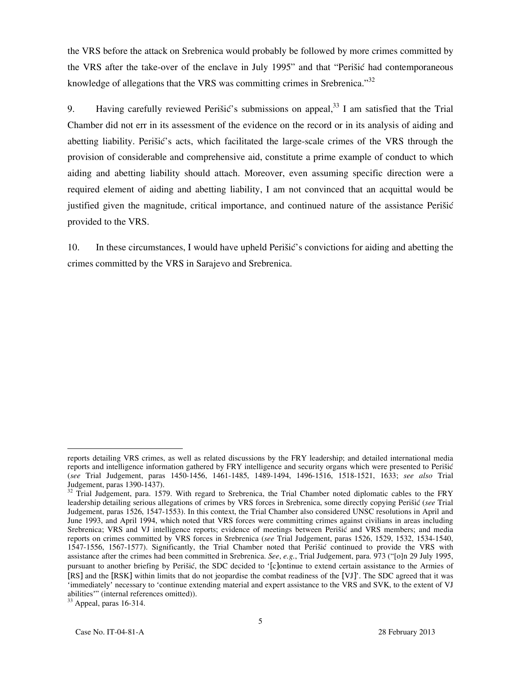the VRS before the attack on Srebrenica would probably be followed by more crimes committed by the VRS after the take-over of the enclave in July 1995" and that "Peristic had contemporaneous knowledge of allegations that the VRS was committing crimes in Srebrenica." $32$ 

9. Having carefully reviewed Perišić's submissions on appeal,  $3<sup>3</sup>$  I am satisfied that the Trial Chamber did not err in its assessment of the evidence on the record or in its analysis of aiding and abetting liability. Perišić's acts, which facilitated the large-scale crimes of the VRS through the provision of considerable and comprehensive aid, constitute a prime example of conduct to which aiding and abetting liability should attach. Moreover, even assuming specific direction were a required element of aiding and abetting liability, I am not convinced that an acquittal would be justified given the magnitude, critical importance, and continued nature of the assistance Perišić provided to the VRS.

10. In these circumstances, I would have upheld Peri{i}'s convictions for aiding and abetting the crimes committed by the VRS in Sarajevo and Srebrenica.

reports detailing VRS crimes, as well as related discussions by the FRY leadership; and detailed international media reports and intelligence information gathered by FRY intelligence and security organs which were presented to Perišić (see Trial Judgement, paras 1450-1456, 1461-1485, 1489-1494, 1496-1516, 1518-1521, 1633; see also Trial Judgement, paras 1390-1437).

<sup>&</sup>lt;sup>32</sup> Trial Judgement, para. 1579. With regard to Srebrenica, the Trial Chamber noted diplomatic cables to the FRY leadership detailing serious allegations of crimes by VRS forces in Srebrenica, some directly copying Perišić (see Trial Judgement, paras 1526, 1547-1553). In this context, the Trial Chamber also considered UNSC resolutions in April and June 1993, and April 1994, which noted that VRS forces were committing crimes against civilians in areas including Srebrenica; VRS and VJ intelligence reports; evidence of meetings between Perišić and VRS members; and media reports on crimes committed by VRS forces in Srebrenica (see Trial Judgement, paras 1526, 1529, 1532, 1534-1540, 1547-1556, 1567-1577). Significantly, the Trial Chamber noted that Perišić continued to provide the VRS with assistance after the crimes had been committed in Srebrenica. See, e.g., Trial Judgement, para. 973 ("[o]n 29 July 1995, pursuant to another briefing by Perišić, the SDC decided to '[c]ontinue to extend certain assistance to the Armies of [RS] and the [RSK] within limits that do not jeopardise the combat readiness of the [VJ]'. The SDC agreed that it was 'immediately' necessary to 'continue extending material and expert assistance to the VRS and SVK, to the extent of VJ abilities'" (internal references omitted)).

 $33$  Appeal, paras 16-314.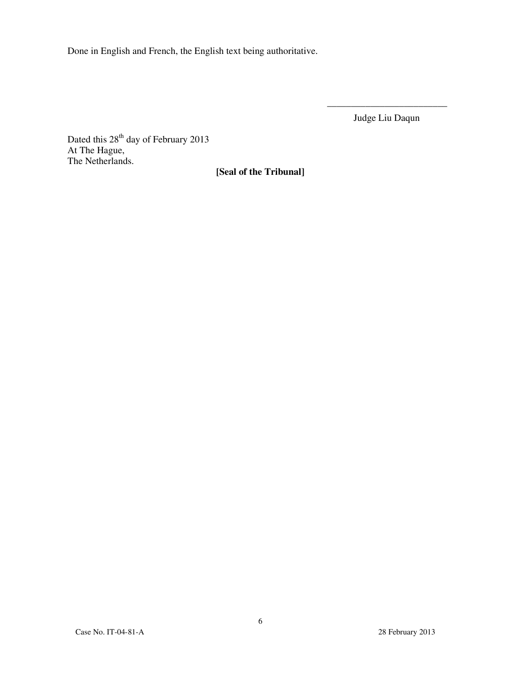Done in English and French, the English text being authoritative.

\_\_\_\_\_\_\_\_\_\_\_\_\_\_\_\_\_\_\_\_\_\_\_\_\_ Judge Liu Daqun

Dated this 28<sup>th</sup> day of February 2013 At The Hague, The Netherlands.

[Seal of the Tribunal]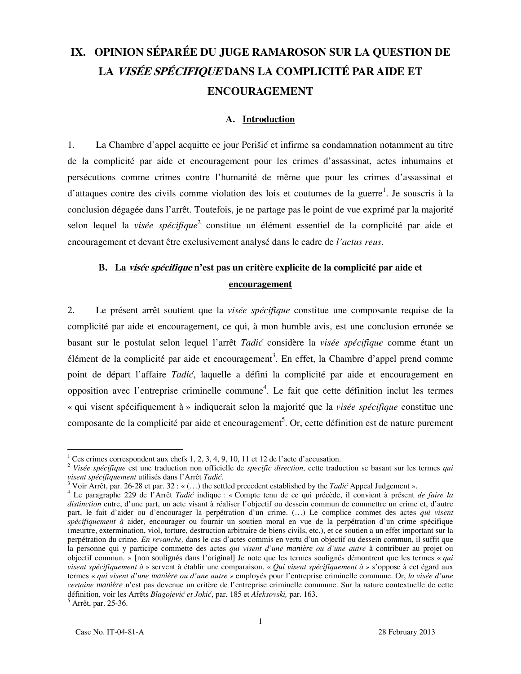# IX. OPINION SÉPARÉE DU JUGE RAMAROSON SUR LA QUESTION DE LA VISÉE SPÉCIFIQUE DANS LA COMPLICITÉ PAR AIDE ET ENCOURAGEMENT

#### A. Introduction

1. La Chambre d'appel acquitte ce jour Perišić et infirme sa condamnation notamment au titre de la complicité par aide et encouragement pour les crimes d'assassinat, actes inhumains et persécutions comme crimes contre l'humanité de même que pour les crimes d'assassinat et d'attaques contre des civils comme violation des lois et coutumes de la guerre<sup>1</sup>. Je souscris à la conclusion dégagée dans l'arrêt. Toutefois, je ne partage pas le point de vue exprimé par la majorité selon lequel la visée spécifique<sup>2</sup> constitue un élément essentiel de la complicité par aide et encouragement et devant être exclusivement analysé dans le cadre de l'actus reus.

## B. La *visée spécifique* n'est pas un critère explicite de la complicité par aide et encouragement

2. Le présent arrêt soutient que la visée spécifique constitue une composante requise de la complicité par aide et encouragement, ce qui, à mon humble avis, est une conclusion erronée se basant sur le postulat selon lequel l'arrêt Tadić considère la visée spécifique comme étant un élément de la complicité par aide et encouragement<sup>3</sup>. En effet, la Chambre d'appel prend comme point de départ l'affaire Tadić, laquelle a défini la complicité par aide et encouragement en opposition avec l'entreprise criminelle commune<sup>4</sup>. Le fait que cette définition inclut les termes « qui visent spécifiquement à » indiquerait selon la majorité que la visée spécifique constitue une composante de la complicité par aide et encouragement<sup>5</sup>. Or, cette définition est de nature purement

<sup>&</sup>lt;sup>1</sup> Ces crimes correspondent aux chefs 1, 2, 3, 4, 9, 10, 11 et 12 de l'acte d'accusation.

<sup>&</sup>lt;sup>2</sup> Visée spécifique est une traduction non officielle de specific direction, cette traduction se basant sur les termes qui visent spécifiquement utilisés dans l'Arrêt Tadić.

<sup>&</sup>lt;sup>3</sup> Voir Arrêt, par. 26-28 et par. 32 : « (...) the settled precedent established by the *Tadić* Appeal Judgement ».

<sup>&</sup>lt;sup>4</sup> Le paragraphe 229 de l'Arrêt Tadić indique : « Compte tenu de ce qui précède, il convient à présent de faire la distinction entre, d'une part, un acte visant à réaliser l'objectif ou dessein commun de commettre un crime et, d'autre part, le fait d'aider ou d'encourager la perpétration d'un crime. (…) Le complice commet des actes qui visent spécifiquement à aider, encourager ou fournir un soutien moral en vue de la perpétration d'un crime spécifique (meurtre, extermination, viol, torture, destruction arbitraire de biens civils, etc.), et ce soutien a un effet important sur la perpétration du crime. En revanche, dans le cas d'actes commis en vertu d'un objectif ou dessein commun, il suffit que la personne qui y participe commette des actes qui visent d'une *manière* ou d'une autre à contribuer au projet ou objectif commun. » [non soulignés dans l'original] Je note que les termes soulignés démontrent que les termes « qui visent spécifiquement à » servent à établir une comparaison. « Qui visent spécifiquement à » s'oppose à cet égard aux termes « qui visent d'une *manière* ou d'une autre » employés pour l'entreprise criminelle commune. Or, la visée d'une certaine *manière* n'est pas devenue un critère de l'entreprise criminelle commune. Sur la nature contextuelle de cette définition, voir les Arrêts Blagojević et Jokić, par. 185 et Aleksovski, par. 163.

<sup>5</sup> Arrêt, par. 25-36.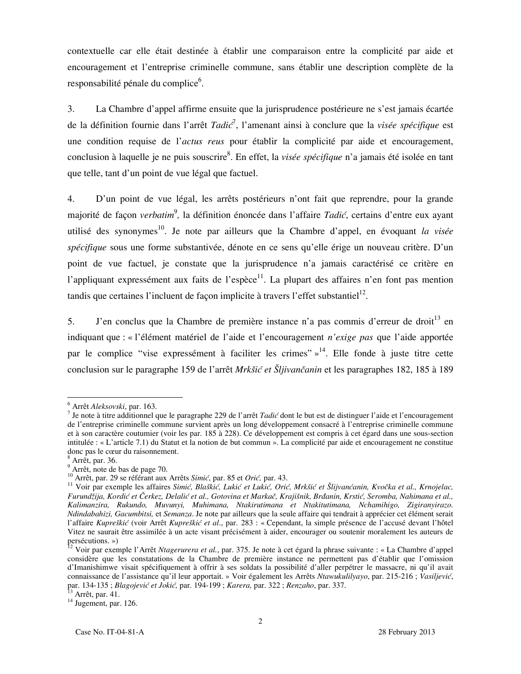contextuelle car elle était destinée à établir une comparaison entre la complicité par aide et encouragement et l'entreprise criminelle commune, sans établir une description complète de la responsabilité pénale du complice<sup>6</sup>.

3. La Chambre d'appel affirme ensuite que la jurisprudence postérieure ne s'est jamais écartée de la définition fournie dans l'arrêt  $Tadi\epsilon^7$ , l'amenant ainsi à conclure que la visée spécifique est une condition requise de l'actus reus pour établir la complicité par aide et encouragement, conclusion à laquelle je ne puis souscrire<sup>8</sup>. En effet, la visée spécifique n'a jamais été isolée en tant que telle, tant d'un point de vue légal que factuel.

4. D'un point de vue légal, les arrêts postérieurs n'ont fait que reprendre, pour la grande majorité de façon verbatim<sup>9</sup>, la définition énoncée dans l'affaire Tadić, certains d'entre eux ayant utilisé des synonymes<sup>10</sup>. Je note par ailleurs que la Chambre d'appel, en évoquant la visée spécifique sous une forme substantivée, dénote en ce sens qu'elle érige un nouveau critère. D'un point de vue factuel, je constate que la jurisprudence n'a jamais caractérisé ce critère en l'appliquant expressément aux faits de l'espèce<sup>11</sup>. La plupart des affaires n'en font pas mention tandis que certaines l'incluent de façon implicite à travers l'effet substantiel $1^2$ .

5. J'en conclus que la Chambre de première instance n'a pas commis d'erreur de droit<sup>13</sup> en indiquant que : « l'élément matériel de l'aide et l'encouragement *n'exige pas* que l'aide apportée par le complice "vise expressément à faciliter les crimes"  $v^{14}$ . Elle fonde à juste titre cette conclusion sur le paragraphe 159 de l'arrêt Mrkšić et Šljivančanin et les paragraphes 182, 185 à 189

<sup>&</sup>lt;sup>6</sup> Arrêt Aleksovski, par. 163.

<sup>&</sup>lt;sup>7</sup> Je note à titre additionnel que le paragraphe 229 de l'arrêt Tadić dont le but est de distinguer l'aide et l'encouragement de l'entreprise criminelle commune survient après un long développement consacré à l'entreprise criminelle commune et à son caractère coutumier (voir les par. 185 à 228). Ce développement est compris à cet égard dans une sous-section intitulée : « L'article 7.1) du Statut et la notion de but commun ». La complicité par aide et encouragement ne constitue donc pas le cœur du raisonnement.

<sup>8</sup> Arrêt, par. 36.

<sup>9</sup> Arrêt, note de bas de page 70.

<sup>&</sup>lt;sup>10</sup> Arrêt, par. 29 se référant aux Arrêts Simić, par. 85 et Orić, par. 43.

<sup>&</sup>lt;sup>11</sup> Voir par exemple les affaires Simić, Blaškić, Lukić et Lukić, Orić, Mrkšić et Šlijvanćanin, Kvočka et al., Krnojelac, Furundžija, Kordić et Čerkez, Delalić et al., Gotovina et Markač, Krajišnik, Brđanin, Krstić, Seromba, Nahimana et al., Kalimanzira, Rukundo, Muvunyi, Muhimana, Ntakirutimana et Ntakitutimana, Nchamihigo, Zigiranyirazo. Ndindabahizi, Gacumbitsi, et Semanza. Je note par ailleurs que la seule affaire qui tendrait à apprécier cet élément serait l'affaire Kupreškić (voir Arrêt Kupreškić et al., par. 283 : « Cependant, la simple présence de l'accusé devant l'hôtel Vitez ne saurait être assimilée à un acte visant précisément à aider, encourager ou soutenir moralement les auteurs de persécutions. »)

<sup>&</sup>lt;sup>12</sup> Voir par exemple l'Arrêt Ntagerurera et al., par. 375. Je note à cet égard la phrase suivante : « La Chambre d'appel considère que les constatations de la Chambre de première instance ne permettent pas d'établir que l'omission d'Imanishimwe visait spécifiquement à offrir à ses soldats la possibilité d'aller perpétrer le massacre, ni qu'il avait connaissance de l'assistance qu'il leur apportait. » Voir également les Arrêts Ntawukulilyayo, par. 215-216 ; Vasiljević, par. 134-135 ; Blagojević et Jokić, par. 194-199 ; Karera, par. 322 ; Renzaho, par. 337.

<sup>&</sup>lt;sup>13</sup> Arrêt, par. 41.

<sup>&</sup>lt;sup>14</sup> Jugement, par. 126.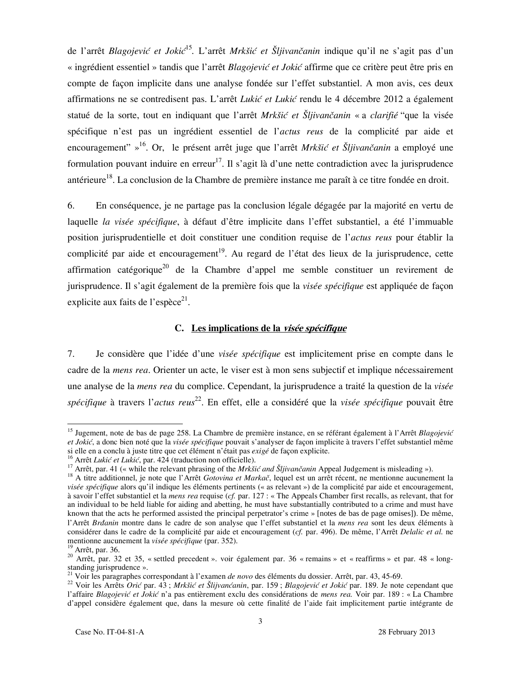de l'arrêt *Blagojević et Jokić*<sup>15</sup>. L'arrêt *Mrkšić et Šljivančanin* indique qu'il ne s'agit pas d'un « ingrédient essentiel » tandis que l'arrêt Blagojević et Jokić affirme que ce critère peut être pris en compte de façon implicite dans une analyse fondée sur l'effet substantiel. A mon avis, ces deux affirmations ne se contredisent pas. L'arrêt Lukić et Lukić rendu le 4 décembre 2012 a également statué de la sorte, tout en indiquant que l'arrêt Mrkšić et Šljivančanin « a clarifié "que la visée spécifique n'est pas un ingrédient essentiel de l'actus reus de la complicité par aide et encouragement" »<sup>16</sup>. Or, le présent arrêt juge que l'arrêt *Mrkšić et Šljivančanin* a employé une formulation pouvant induire en erreur<sup>17</sup>. Il s'agit là d'une nette contradiction avec la jurisprudence antérieure<sup>18</sup>. La conclusion de la Chambre de première instance me paraît à ce titre fondée en droit.

6. En conséquence, je ne partage pas la conclusion légale dégagée par la majorité en vertu de laquelle la visée spécifique, à défaut d'être implicite dans l'effet substantiel, a été l'immuable position jurisprudentielle et doit constituer une condition requise de l'actus reus pour établir la complicité par aide et encouragement<sup>19</sup>. Au regard de l'état des lieux de la jurisprudence, cette affirmation catégorique<sup>20</sup> de la Chambre d'appel me semble constituer un revirement de jurisprudence. Il s'agit également de la première fois que la *visée spécifique* est appliquée de façon explicite aux faits de l'espèce<sup>21</sup>.

#### C. Les implications de la visée spécifique

7. Je considère que l'idée d'une visée spécifique est implicitement prise en compte dans le cadre de la mens rea. Orienter un acte, le viser est à mon sens subjectif et implique nécessairement une analyse de la mens rea du complice. Cependant, la jurisprudence a traité la question de la visée spécifique à travers l'actus reus<sup>22</sup>. En effet, elle a considéré que la visée spécifique pouvait être

<sup>&</sup>lt;sup>15</sup> Jugement, note de bas de page 258. La Chambre de première instance, en se référant également à l'Arrêt Blagojević et Jokić, a donc bien noté que la visée spécifique pouvait s'analyser de façon implicite à travers l'effet substantiel même si elle en a conclu à juste titre que cet élément n'était pas exigé de façon explicite.

Arrêt Lukić et Lukić, par. 424 (traduction non officielle).

<sup>17</sup> Arrêt, par. 41 (« while the relevant phrasing of the *Mrkšić and Šljivančanin* Appeal Judgement is misleading »).

<sup>&</sup>lt;sup>18</sup> A titre additionnel, je note que l'Arrêt Gotovina et Markač, lequel est un arrêt récent, ne mentionne aucunement la visée spécifique alors qu'il indique les éléments pertinents (« as relevant ») de la complicité par aide et encouragement, à savoir l'effet substantiel et la mens rea requise (cf. par. 127 : « The Appeals Chamber first recalls, as relevant, that for an individual to be held liable for aiding and abetting, he must have substantially contributed to a crime and must have known that the acts he performed assisted the principal perpetrator's crime » [notes de bas de page omises]). De même, l'Arrêt Brdanin montre dans le cadre de son analyse que l'effet substantiel et la mens rea sont les deux éléments à considérer dans le cadre de la complicité par aide et encouragement (cf. par. 496). De même, l'Arrêt Delalic et al. ne mentionne aucunement la visée spécifique (par. 352).

 $19$  Arrêt, par. 36.

<sup>&</sup>lt;sup>20</sup> Arrêt, par. 32 et 35, « settled precedent ». voir également par. 36 « remains » et « reaffirms » et par. 48 « longstanding jurisprudence ».

<sup>&</sup>lt;sup>21</sup> Voir les paragraphes correspondant à l'examen de novo des éléments du dossier. Arrêt, par. 43, 45-69.

<sup>&</sup>lt;sup>22</sup> Voir les Arrêts Orić par.  $4\overline{3}$ ; Mrkšić et Šlijvanćanin, par. 159; Blagojević et Jokić par. 189. Je note cependant que l'affaire Blagojević et Jokić n'a pas entièrement exclu des considérations de mens rea. Voir par. 189 : « La Chambre d'appel considère également que, dans la mesure où cette finalité de l'aide fait implicitement partie intégrante de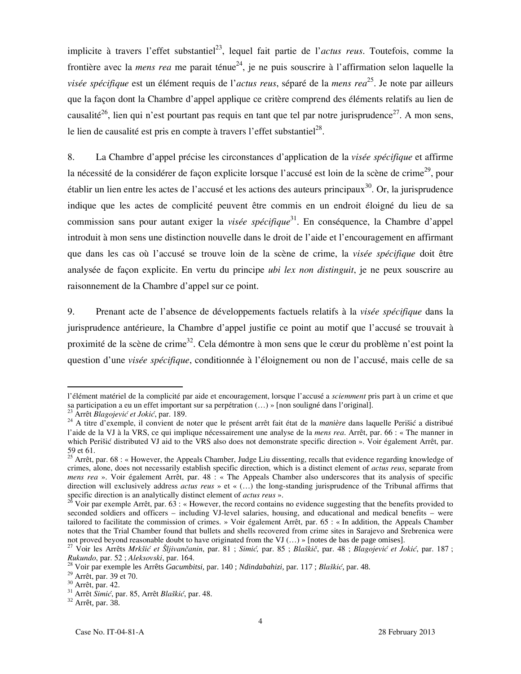implicite à travers l'effet substantiel<sup>23</sup>, lequel fait partie de l'*actus reus*. Toutefois, comme la frontière avec la *mens rea* me parait ténue<sup>24</sup>, je ne puis souscrire à l'affirmation selon laquelle la visée spécifique est un élément requis de l'actus reus, séparé de la mens rea<sup>25</sup>. Je note par ailleurs que la façon dont la Chambre d'appel applique ce critère comprend des éléments relatifs au lien de causalité<sup>26</sup>, lien qui n'est pourtant pas requis en tant que tel par notre jurisprudence<sup>27</sup>. A mon sens, le lien de causalité est pris en compte à travers l'effet substantiel<sup>28</sup>.

8. La Chambre d'appel précise les circonstances d'application de la visée spécifique et affirme la nécessité de la considérer de façon explicite lorsque l'accusé est loin de la scène de crime<sup>29</sup>, pour établir un lien entre les actes de l'accusé et les actions des auteurs principaux<sup>30</sup>. Or, la jurisprudence indique que les actes de complicité peuvent être commis en un endroit éloigné du lieu de sa commission sans pour autant exiger la *visée spécifique*<sup>31</sup>. En conséquence, la Chambre d'appel introduit à mon sens une distinction nouvelle dans le droit de l'aide et l'encouragement en affirmant que dans les cas où l'accusé se trouve loin de la scène de crime, la visée spécifique doit être analysée de façon explicite. En vertu du principe *ubi lex non distinguit*, je ne peux souscrire au raisonnement de la Chambre d'appel sur ce point.

9. Prenant acte de l'absence de développements factuels relatifs à la *visée spécifique* dans la jurisprudence antérieure, la Chambre d'appel justifie ce point au motif que l'accusé se trouvait à proximité de la scène de crime<sup>32</sup>. Cela démontre à mon sens que le cœur du problème n'est point la question d'une visée spécifique, conditionnée à l'éloignement ou non de l'accusé, mais celle de sa

l'élément matériel de la complicité par aide et encouragement, lorsque l'accusé a sciemment pris part à un crime et que sa participation a eu un effet important sur sa perpétration  $(...)$  » [non souligné dans l'original].

<sup>&</sup>lt;sup>23</sup> Arrêt *Blagojević et Jokić*, par. 189.

<sup>&</sup>lt;sup>24</sup> A titre d'exemple, il convient de noter que le présent arrêt fait état de la *manière* dans laquelle Perišić a distribué l'aide de la VJ à la VRS, ce qui implique nécessairement une analyse de la mens rea. Arrêt, par. 66 : « The manner in which Perišić distributed VJ aid to the VRS also does not demonstrate specific direction ». Voir également Arrêt, par. 59 et 61.

<sup>&</sup>lt;sup>25</sup> Arrêt, par. 68 : « However, the Appeals Chamber, Judge Liu dissenting, recalls that evidence regarding knowledge of crimes, alone, does not necessarily establish specific direction, which is a distinct element of *actus reus*, separate from mens rea ». Voir également Arrêt, par. 48 : « The Appeals Chamber also underscores that its analysis of specific direction will exclusively address *actus reus* » et « (...) the long-standing jurisprudence of the Tribunal affirms that specific direction is an analytically distinct element of *actus reus* ».

<sup>26</sup> Voir par exemple Arrêt, par. 63 : « However, the record contains no evidence suggesting that the benefits provided to seconded soldiers and officers – including VJ-level salaries, housing, and educational and medical benefits – were tailored to facilitate the commission of crimes. » Voir également Arrêt, par. 65 : « In addition, the Appeals Chamber notes that the Trial Chamber found that bullets and shells recovered from crime sites in Sarajevo and Srebrenica were not proved beyond reasonable doubt to have originated from the VJ (…) » [notes de bas de page omises].

<sup>&</sup>lt;sup>27</sup> Voir les Arrêts *Mrkšić et Šljivančanin*, par. 81 ; Simić, par. 85 ; Blaškič, par. 48 ; Blagojević et Jokić, par. 187 ; Rukundo, par. 52 ; Aleksovski, par. 164.

<sup>28</sup> Voir par exemple les Arrêts *Gacumbitsi,* par. 140 ; *Ndindabahizi,* par. 117 ; Blaškić, par. 48.

<sup>29</sup> Arrêt, par. 39 et 70.

 $30 \text{ Arrêt, par. } 42.$ 

 $31$  Arrêt Simić, par. 85, Arrêt Blaškić, par. 48.

 $32$  Arrêt, par. 38.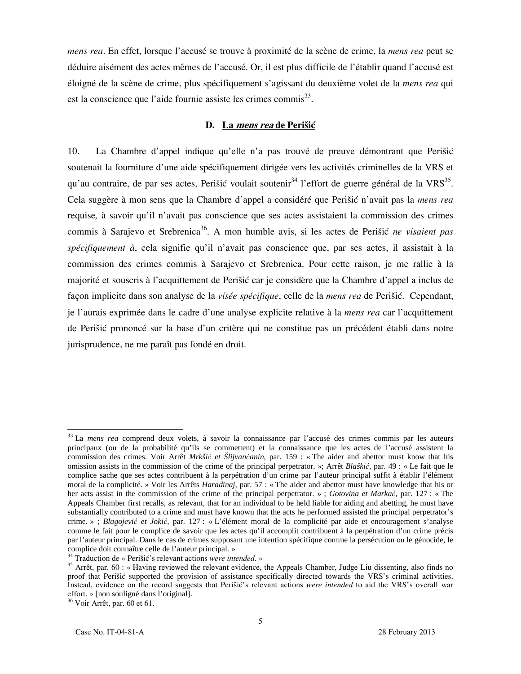mens rea. En effet, lorsque l'accusé se trouve à proximité de la scène de crime, la mens rea peut se déduire aisément des actes mêmes de l'accusé. Or, il est plus difficile de l'établir quand l'accusé est éloigné de la scène de crime, plus spécifiquement s'agissant du deuxième volet de la mens rea qui est la conscience que l'aide fournie assiste les crimes commis<sup>33</sup>.

#### D. La mens rea de Perišić

10. La Chambre d'appel indique qu'elle n'a pas trouvé de preuve démontrant que Perišié soutenait la fourniture d'une aide spécifiquement dirigée vers les activités criminelles de la VRS et qu'au contraire, de par ses actes, Perišić voulait soutenir<sup>34</sup> l'effort de guerre général de la VRS<sup>35</sup>. Cela suggère à mon sens que la Chambre d'appel a considéré que Perisić n'avait pas la mens rea requise, à savoir qu'il n'avait pas conscience que ses actes assistaient la commission des crimes commis à Sarajevo et Srebrenica<sup>36</sup>. A mon humble avis, si les actes de Perišić ne visaient pas spécifiquement à, cela signifie qu'il n'avait pas conscience que, par ses actes, il assistait à la commission des crimes commis à Sarajevo et Srebrenica. Pour cette raison, je me rallie à la majorité et souscris à l'acquittement de Perišić car je considère que la Chambre d'appel a inclus de façon implicite dans son analyse de la *visée spécifique*, celle de la *mens rea* de Perišić. Cependant, je l'aurais exprimée dans le cadre d'une analyse explicite relative à la mens rea car l'acquittement de Perišić prononcé sur la base d'un critère qui ne constitue pas un précédent établi dans notre jurisprudence, ne me paraît pas fondé en droit.

<sup>33</sup> La *mens rea* comprend deux volets, à savoir la connaissance par l'accusé des crimes commis par les auteurs principaux (ou de la probabilité qu'ils se commettent) et la connaissance que les actes de l'accusé assistent la commission des crimes. Voir Arrêt *Mrkši*ć *et Šlijvan*ć*anin*, par. 159 : « The aider and abettor must know that his omission assists in the commission of the crime of the principal perpetrator. »; Arrêt *Blaški*ć, par. 49 : « Le fait que le complice sache que ses actes contribuent à la perpétration d'un crime par l'auteur principal suffit à établir l'élément moral de la complicité. » Voir les Arrêts *Haradinaj*, par. 57 : « The aider and abettor must have knowledge that his or her acts assist in the commission of the crime of the principal perpetrator. » ; *Gotovina et Marka*ć*,* par. 127 : « The Appeals Chamber first recalls, as relevant, that for an individual to be held liable for aiding and abetting, he must have substantially contributed to a crime and must have known that the acts he performed assisted the principal perpetrator's crime. » ; *Blagojevi*ć *et Joki*ć*,* par. 127 : « L'élément moral de la complicité par aide et encouragement s'analyse comme le fait pour le complice de savoir que les actes qu'il accomplit contribuent à la perpétration d'un crime précis par l'auteur principal. Dans le cas de crimes supposant une intention spécifique comme la persécution ou le génocide, le complice doit connaître celle de l'auteur principal. »

 $34$  Traduction de « Perišić's relevant actions were intended. »

<sup>&</sup>lt;sup>35</sup> Arrêt, par. 60 : « Having reviewed the relevant evidence, the Appeals Chamber, Judge Liu dissenting, also finds no proof that Perišić supported the provision of assistance specifically directed towards the VRS's criminal activities. Instead, evidence on the record suggests that Perišić's relevant actions were intended to aid the VRS's overall war effort. » [non souligné dans l'original].

<sup>36</sup> Voir Arrêt, par. 60 et 61.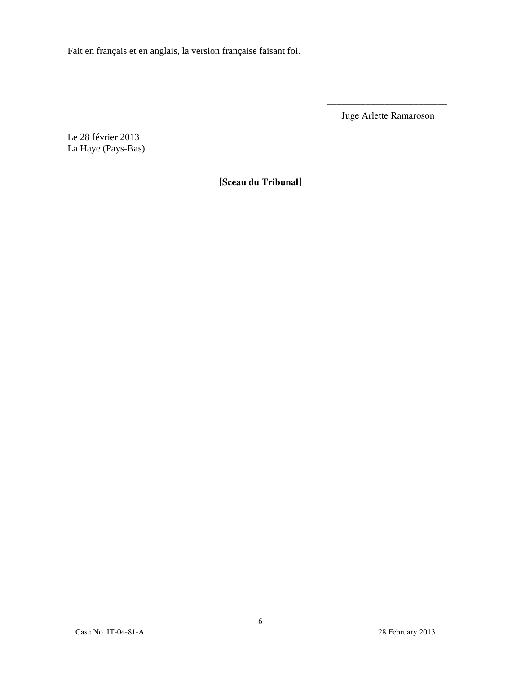Fait en français et en anglais, la version française faisant foi.

\_\_\_\_\_\_\_\_\_\_\_\_\_\_\_\_\_\_\_\_\_\_\_\_\_ Juge Arlette Ramaroson

Le 28 février 2013 La Haye (Pays-Bas)

[Sceau du Tribunal]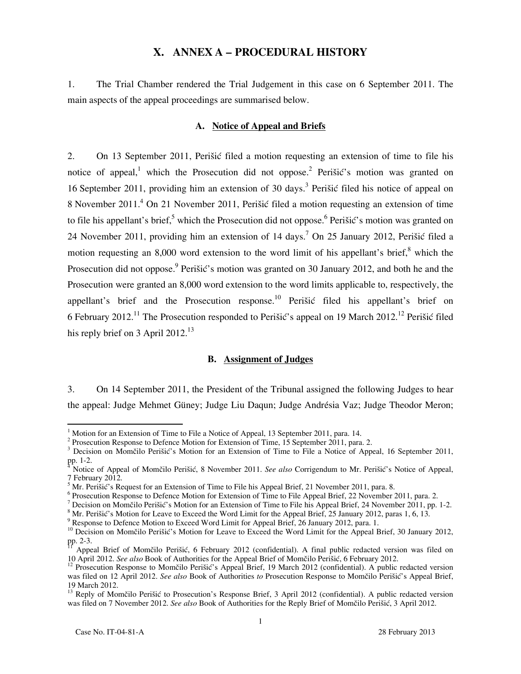## X. ANNEX A – PROCEDURAL HISTORY

1. The Trial Chamber rendered the Trial Judgement in this case on 6 September 2011. The main aspects of the appeal proceedings are summarised below.

#### A. Notice of Appeal and Briefs

2. On 13 September 2011, Perišić filed a motion requesting an extension of time to file his notice of appeal,<sup>1</sup> which the Prosecution did not oppose.<sup>2</sup> Perišić's motion was granted on 16 September 2011, providing him an extension of 30 days.<sup>3</sup> Perišić filed his notice of appeal on 8 November 2011.<sup>4</sup> On 21 November 2011, Perišić filed a motion requesting an extension of time to file his appellant's brief,<sup>5</sup> which the Prosecution did not oppose.<sup>6</sup> Perišić's motion was granted on 24 November 2011, providing him an extension of 14 days.<sup>7</sup> On 25 January 2012, Perišić filed a motion requesting an 8,000 word extension to the word limit of his appellant's brief,  $8$  which the Prosecution did not oppose.<sup>9</sup> Perišić's motion was granted on 30 January 2012, and both he and the Prosecution were granted an 8,000 word extension to the word limits applicable to, respectively, the appellant's brief and the Prosecution response.<sup>10</sup> Perišić filed his appellant's brief on 6 February 2012.<sup>11</sup> The Prosecution responded to Perišić's appeal on 19 March 2012.<sup>12</sup> Perišić filed his reply brief on 3 April 2012.<sup>13</sup>

#### B. Assignment of Judges

3. On 14 September 2011, the President of the Tribunal assigned the following Judges to hear the appeal: Judge Mehmet Güney; Judge Liu Daqun; Judge Andrésia Vaz; Judge Theodor Meron;

<sup>&</sup>lt;sup>1</sup> Motion for an Extension of Time to File a Notice of Appeal, 13 September 2011, para. 14.

<sup>&</sup>lt;sup>2</sup> Prosecution Response to Defence Motion for Extension of Time, 15 September 2011, para. 2.

<sup>&</sup>lt;sup>3</sup> Decision on Momčilo Perišić's Motion for an Extension of Time to File a Notice of Appeal, 16 September 2011, pp. 1-2.<br><sup>4</sup> Notice

Notice of Appeal of Momčilo Perišić, 8 November 2011. See also Corrigendum to Mr. Perišić's Notice of Appeal, 7 February 2012.

<sup>5</sup> Mr. Perišić's Request for an Extension of Time to File his Appeal Brief, 21 November 2011, para. 8.

<sup>&</sup>lt;sup>6</sup> Prosecution Response to Defence Motion for Extension of Time to File Appeal Brief, 22 November 2011, para. 2.

<sup>7</sup> Decision on Momčilo Perišić's Motion for an Extension of Time to File his Appeal Brief, 24 November 2011, pp. 1-2.

<sup>&</sup>lt;sup>8</sup> Mr. Perišić's Motion for Leave to Exceed the Word Limit for the Appeal Brief, 25 January 2012, paras 1, 6, 13.

<sup>&</sup>lt;sup>9</sup> Response to Defence Motion to Exceed Word Limit for Appeal Brief, 26 January 2012, para. 1.

 $^{10}$  Decision on Momčilo Perišić's Motion for Leave to Exceed the Word Limit for the Appeal Brief, 30 January 2012, pp. 2-3.

Appeal Brief of Momčilo Perišić, 6 February 2012 (confidential). A final public redacted version was filed on 10 April 2012. See also Book of Authorities for the Appeal Brief of Momčilo Perišić, 6 February 2012.

<sup>&</sup>lt;sup>12</sup> Prosecution Response to Momčilo Perišić's Appeal Brief, 19 March 2012 (confidential). A public redacted version was filed on 12 April 2012. See also Book of Authorities to Prosecution Response to Momčilo Perišić's Appeal Brief, 19 March 2012.

<sup>&</sup>lt;sup>13</sup> Reply of Momčilo Perišić to Prosecution's Response Brief, 3 April 2012 (confidential). A public redacted version was filed on 7 November 2012. See also Book of Authorities for the Reply Brief of Momčilo Perišić, 3 April 2012.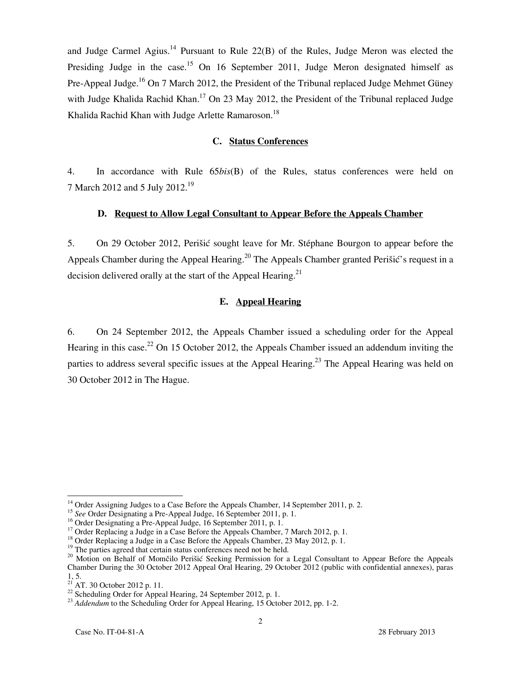and Judge Carmel Agius.<sup>14</sup> Pursuant to Rule  $22(B)$  of the Rules, Judge Meron was elected the Presiding Judge in the case.<sup>15</sup> On 16 September 2011, Judge Meron designated himself as Pre-Appeal Judge.<sup>16</sup> On 7 March 2012, the President of the Tribunal replaced Judge Mehmet Güney with Judge Khalida Rachid Khan.<sup>17</sup> On 23 May 2012, the President of the Tribunal replaced Judge Khalida Rachid Khan with Judge Arlette Ramaroson.<sup>18</sup>

#### C. Status Conferences

4. In accordance with Rule 65bis(B) of the Rules, status conferences were held on 7 March 2012 and 5 July 2012.<sup>19</sup>

#### D. Request to Allow Legal Consultant to Appear Before the Appeals Chamber

5. On 29 October 2012, Perišić sought leave for Mr. Stéphane Bourgon to appear before the Appeals Chamber during the Appeal Hearing.<sup>20</sup> The Appeals Chamber granted Peri $\delta$ is request in a decision delivered orally at the start of the Appeal Hearing.<sup>21</sup>

#### E. Appeal Hearing

6. On 24 September 2012, the Appeals Chamber issued a scheduling order for the Appeal Hearing in this case.<sup>22</sup> On 15 October 2012, the Appeals Chamber issued an addendum inviting the parties to address several specific issues at the Appeal Hearing.<sup>23</sup> The Appeal Hearing was held on 30 October 2012 in The Hague.

<sup>&</sup>lt;sup>14</sup> Order Assigning Judges to a Case Before the Appeals Chamber, 14 September 2011, p. 2.

<sup>&</sup>lt;sup>15</sup> See Order Designating a Pre-Appeal Judge, 16 September 2011, p. 1.

<sup>&</sup>lt;sup>16</sup> Order Designating a Pre-Appeal Judge, 16 September 2011, p. 1.

<sup>&</sup>lt;sup>17</sup> Order Replacing a Judge in a Case Before the Appeals Chamber, 7 March 2012, p. 1.

<sup>&</sup>lt;sup>18</sup> Order Replacing a Judge in a Case Before the Appeals Chamber, 23 May 2012, p. 1.

<sup>&</sup>lt;sup>19</sup> The parties agreed that certain status conferences need not be held.

<sup>&</sup>lt;sup>20</sup> Motion on Behalf of Momčilo Perišić Seeking Permission for a Legal Consultant to Appear Before the Appeals Chamber During the 30 October 2012 Appeal Oral Hearing, 29 October 2012 (public with confidential annexes), paras 1, 5.

 $^{21}$  AT. 30 October 2012 p. 11.

 $^{22}$  Scheduling Order for Appeal Hearing, 24 September 2012, p. 1.

<sup>&</sup>lt;sup>23</sup> Addendum to the Scheduling Order for Appeal Hearing, 15 October 2012, pp. 1-2.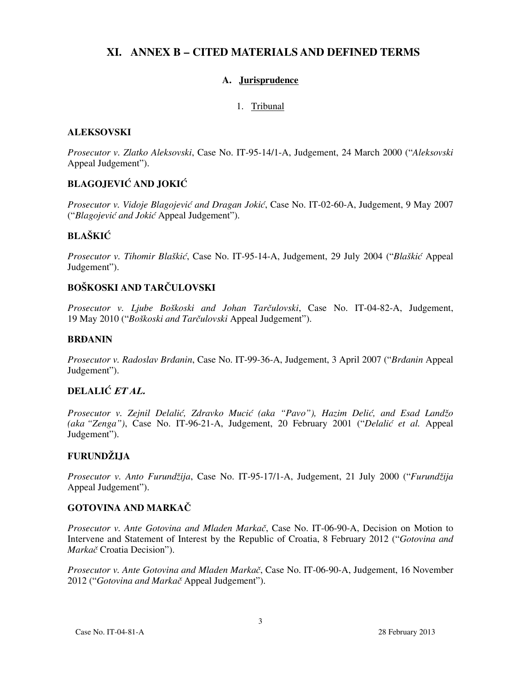## XI. ANNEX B – CITED MATERIALS AND DEFINED TERMS

#### A. Jurisprudence

#### 1. Tribunal

#### ALEKSOVSKI

Prosecutor v. Zlatko Aleksovski, Case No. IT-95-14/1-A, Judgement, 24 March 2000 ("Aleksovski Appeal Judgement").

## BLAGOJEVIĆ AND JOKIĆ

Prosecutor v. Vidoje Blagojević and Dragan Jokić, Case No. IT-02-60-A, Judgement, 9 May 2007 ("Blagojević and Jokić Appeal Judgement").

## BLAŠKIĆ

Prosecutor v. Tihomir Blaškić, Case No. IT-95-14-A, Judgement, 29 July 2004 ("Blaškić Appeal Judgement").

#### BOŠKOSKI AND TARČULOVSKI

Prosecutor v. Ljube Boškoski and Johan Tarčulovski, Case No. IT-04-82-A, Judgement, 19 May 2010 ("Boškoski and Tarčulovski Appeal Judgement").

#### **BRÐANIN**

Prosecutor v. Radoslav Brđanin, Case No. IT-99-36-A, Judgement, 3 April 2007 ("Brđanin Appeal Judgement").

## DELALIĆ ET AL.

Prosecutor v. Zejnil Delalić, Zdravko Mucić (aka "Pavo"), Hazim Delić, and Esad Landžo (aka "Zenga"), Case No. IT-96-21-A, Judgement, 20 February 2001 ("Delalić et al. Appeal Judgement").

#### **FURUNDŽIJA**

Prosecutor v. Anto Furundžija, Case No. IT-95-17/1-A, Judgement, 21 July 2000 ("Furundžija Appeal Judgement").

#### GOTOVINA AND MARKAČ

Prosecutor v. Ante Gotovina and Mladen Markač, Case No. IT-06-90-A, Decision on Motion to Intervene and Statement of Interest by the Republic of Croatia, 8 February 2012 ("Gotovina and Markač Croatia Decision").

Prosecutor v. Ante Gotovina and Mladen Markač, Case No. IT-06-90-A, Judgement, 16 November 2012 ("Gotovina and Markač Appeal Judgement").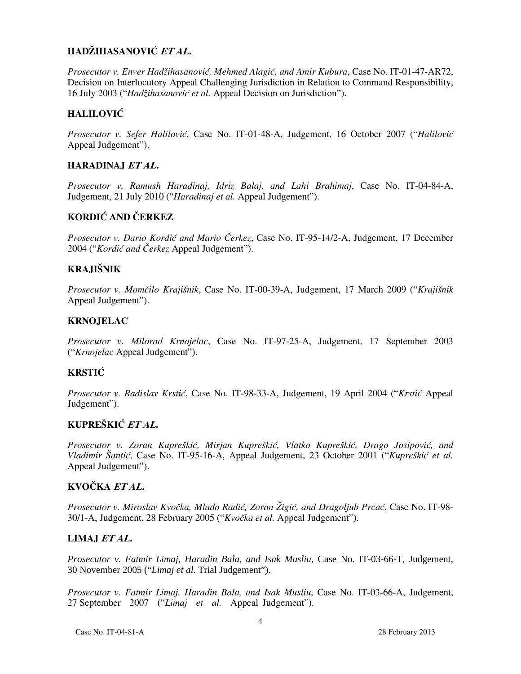## HADŽIHASANOVIĆ ET AL.

Prosecutor v. Enver Hadžihasanović, Mehmed Alagić, and Amir Kubura, Case No. IT-01-47-AR72, Decision on Interlocutory Appeal Challenging Jurisdiction in Relation to Command Responsibility, 16 July 2003 ("Hadžihasanović et al. Appeal Decision on Jurisdiction").

## HALILOVIĆ

Prosecutor v. Sefer Halilović, Case No. IT-01-48-A, Judgement, 16 October 2007 ("Halilović Appeal Judgement").

#### HARADINAJ ET AL.

Prosecutor v. Ramush Haradinaj, Idriz Balaj, and Lahi Brahimaj, Case No. IT-04-84-A, Judgement, 21 July 2010 ("Haradinaj et al. Appeal Judgement").

## KORDIĆ AND ČERKEZ

Prosecutor v. Dario Kordić and Mario Čerkez, Case No. IT-95-14/2-A, Judgement, 17 December 2004 ("Kordić and Čerkez Appeal Judgement").

#### KRAJIŠNIK

Prosecutor v. Momčilo Krajišnik, Case No. IT-00-39-A, Judgement, 17 March 2009 ("Krajišnik Appeal Judgement").

#### KRNOJELAC

Prosecutor v. Milorad Krnojelac, Case No. IT-97-25-A, Judgement, 17 September 2003 ("Krnojelac Appeal Judgement").

#### KRSTIĆ

Prosecutor v. Radislav Krstić, Case No. IT-98-33-A, Judgement, 19 April 2004 ("Krstić Appeal Judgement").

## KUPREŠKIĆ ET AL.

Prosecutor v. Zoran Kupreškić, Mirjan Kupreškić, Vlatko Kupreškić, Drago Josipović, and Vladimir Šantić, Case No. IT-95-16-A, Appeal Judgement, 23 October 2001 ("Kupreškić et al. Appeal Judgement").

#### KVOČKA *ET AL.*

Prosecutor v. Miroslav Kvočka, Mlaño Radić, Zoran Žigić, and Dragoljub Prcać, Case No. IT-98- 30/1-A, Judgement, 28 February 2005 ("Kvočka et al. Appeal Judgement").

#### LIMAJ ET AL.

*Prosecutor v. Fatmir Limaj, Haradin Bala, and Isak Musliu*, Case No. IT-03-66-T, Judgement, 30 November 2005 ("*Limaj et al.* Trial Judgement").

Prosecutor v. Fatmir Limaj, Haradin Bala, and Isak Musliu, Case No. IT-03-66-A, Judgement, 27 September 2007 ("Limaj et al. Appeal Judgement").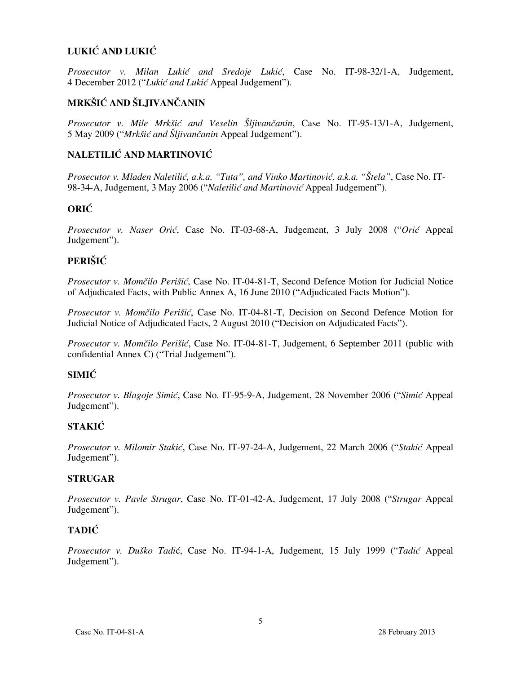## LUKIĆ AND LUKIĆ

Prosecutor v. Milan Lukić and Sredoje Lukić, Case No. IT-98-32/1-A, Judgement, 4 December 2012 ("Lukić and Lukić Appeal Judgement").

#### MRKŠIĆ AND ŠLJIVANČANIN

Prosecutor v. Mile Mrkšić and Veselin Šljivančanin, Case No. IT-95-13/1-A, Judgement, 5 May 2009 ("Mrkšić and Šljivančanin Appeal Judgement").

## NALETILIĆ AND MARTINOVIĆ

Prosecutor v. Mladen Naletilić, a.k.a. "Tuta", and Vinko Martinović, a.k.a. "Štela", Case No. IT-98-34-A, Judgement, 3 May 2006 ("Naletilić and Martinović Appeal Judgement").

#### ORIĆ

Prosecutor v. Naser Orić, Case No. IT-03-68-A, Judgement, 3 July 2008 ("Orić Appeal Judgement").

## PERIŠIĆ

Prosecutor v. Momčilo Perišić, Case No. IT-04-81-T, Second Defence Motion for Judicial Notice of Adjudicated Facts, with Public Annex A, 16 June 2010 ("Adjudicated Facts Motion").

Prosecutor v. Momčilo Perišić, Case No. IT-04-81-T, Decision on Second Defence Motion for Judicial Notice of Adjudicated Facts, 2 August 2010 ("Decision on Adjudicated Facts").

Prosecutor v. Momčilo Perišić, Case No. IT-04-81-T, Judgement, 6 September 2011 (public with confidential Annex C) ("Trial Judgement").

#### **SIMIĆ**

Prosecutor v. Blagoje Simić, Case No. IT-95-9-A, Judgement, 28 November 2006 ("Simić Appeal Judgement").

#### STAKIĆ

Prosecutor v. Milomir Stakić, Case No. IT-97-24-A, Judgement, 22 March 2006 ("Stakić Appeal Judgement").

#### STRUGAR

Prosecutor v. Pavle Strugar, Case No. IT-01-42-A, Judgement, 17 July 2008 ("Strugar Appeal Judgement").

## TADIĆ

Prosecutor v. Duško Tadić, Case No. IT-94-1-A, Judgement, 15 July 1999 ("Tadić Appeal Judgement").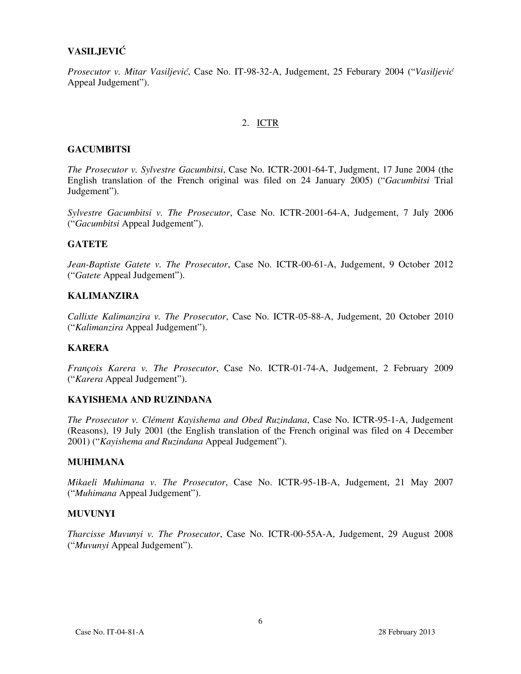## VASILJEVIĆ

Prosecutor v. Mitar Vasiljević, Case No. IT-98-32-A, Judgement, 25 Feburary 2004 ("Vasiljević Appeal Judgement").

#### 2. ICTR

#### **GACUMBITSI**

The Prosecutor v. Sylvestre Gacumbitsi, Case No. ICTR-2001-64-T, Judgment, 17 June 2004 (the English translation of the French original was filed on 24 January 2005) ("Gacumbitsi Trial Judgement").

Sylvestre Gacumbitsi v. The Prosecutor, Case No. ICTR-2001-64-A, Judgement, 7 July 2006 ("Gacumbitsi Appeal Judgement").

#### **GATETE**

Jean-Baptiste Gatete v. The Prosecutor, Case No. ICTR-00-61-A, Judgement, 9 October 2012 ("Gatete Appeal Judgement").

#### KALIMANZIRA

Callixte Kalimanzira v. The Prosecutor, Case No. ICTR-05-88-A, Judgement, 20 October 2010 ("Kalimanzira Appeal Judgement").

#### KARERA

François Karera v. The Prosecutor, Case No. ICTR-01-74-A, Judgement, 2 February 2009 ("Karera Appeal Judgement").

#### KAYISHEMA AND RUZINDANA

The Prosecutor v. Clément Kayishema and Obed Ruzindana, Case No. ICTR-95-1-A, Judgement (Reasons), 19 July 2001 (the English translation of the French original was filed on 4 December 2001) ("Kayishema and Ruzindana Appeal Judgement").

#### MUHIMANA

Mikaeli Muhimana v. The Prosecutor, Case No. ICTR-95-1B-A, Judgement, 21 May 2007 ("Muhimana Appeal Judgement").

#### MUVUNYI

Tharcisse Muvunyi v. The Prosecutor, Case No. ICTR-00-55A-A, Judgement, 29 August 2008 ("Muvunyi Appeal Judgement").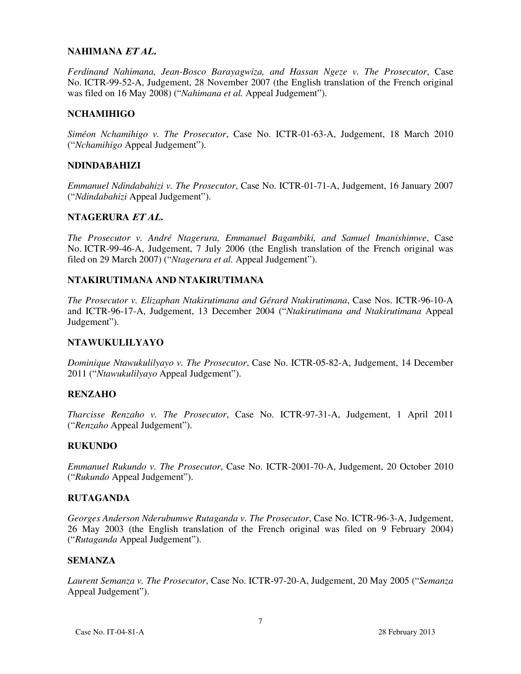# NAHIMANA ET AL.

Ferdinand Nahimana, Jean-Bosco Barayagwiza, and Hassan Ngeze v. The Prosecutor, Case No. ICTR-99-52-A, Judgement, 28 November 2007 (the English translation of the French original was filed on 16 May 2008) ("Nahimana et al. Appeal Judgement").

# NCHAMIHIGO

Siméon Nchamihigo v. The Prosecutor, Case No. ICTR-01-63-A, Judgement, 18 March 2010 ("Nchamihigo Appeal Judgement").

### NDINDABAHIZI

Emmanuel Ndindabahizi v. The Prosecutor, Case No. ICTR-01-71-A, Judgement, 16 January 2007 ("Ndindabahizi Appeal Judgement").

# NTAGERURA ET AL.

The Prosecutor v. André Ntagerura, Emmanuel Bagambiki, and Samuel Imanishimwe, Case No. ICTR-99-46-A, Judgement, 7 July 2006 (the English translation of the French original was filed on 29 March 2007) ("Ntagerura et al. Appeal Judgement").

# NTAKIRUTIMANA AND NTAKIRUTIMANA

The Prosecutor v. Elizaphan Ntakirutimana and Gérard Ntakirutimana, Case Nos. ICTR-96-10-A and ICTR-96-17-A, Judgement, 13 December 2004 ("Ntakirutimana and Ntakirutimana Appeal Judgement").

### NTAWUKULILYAYO

Dominique Ntawukulilyayo v. The Prosecutor, Case No. ICTR-05-82-A, Judgement, 14 December 2011 ("Ntawukulilyayo Appeal Judgement").

### RENZAHO

Tharcisse Renzaho v. The Prosecutor, Case No. ICTR-97-31-A, Judgement, 1 April 2011 ("Renzaho Appeal Judgement").

### RUKUNDO

Emmanuel Rukundo v. The Prosecutor, Case No. ICTR-2001-70-A, Judgement, 20 October 2010 ("Rukundo Appeal Judgement").

### RUTAGANDA

Georges Anderson Nderubumwe Rutaganda v. The Prosecutor, Case No. ICTR-96-3-A, Judgement, 26 May 2003 (the English translation of the French original was filed on 9 February 2004) ("Rutaganda Appeal Judgement").

#### **SEMANZA**

Laurent Semanza v. The Prosecutor, Case No. ICTR-97-20-A, Judgement, 20 May 2005 ("Semanza Appeal Judgement").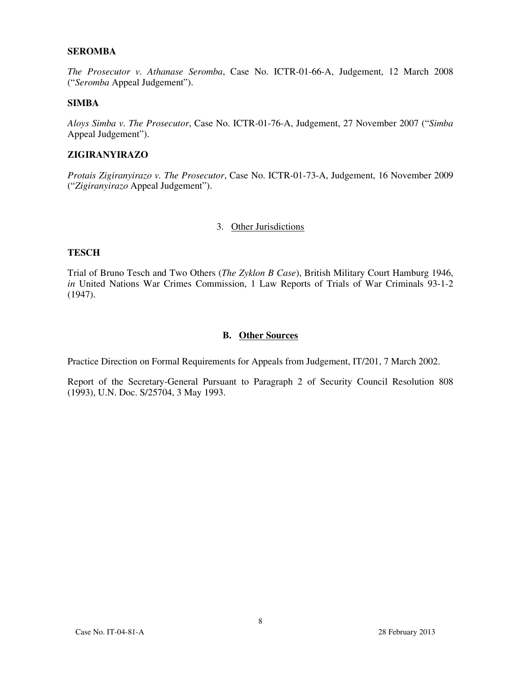### **SEROMBA**

The Prosecutor v. Athanase Seromba, Case No. ICTR-01-66-A, Judgement, 12 March 2008 ("Seromba Appeal Judgement").

### SIMBA

Aloys Simba v. The Prosecutor, Case No. ICTR-01-76-A, Judgement, 27 November 2007 ("Simba Appeal Judgement").

### ZIGIRANYIRAZO

Protais Zigiranyirazo v. The Prosecutor, Case No. ICTR-01-73-A, Judgement, 16 November 2009 ("Zigiranyirazo Appeal Judgement").

### 3. Other Jurisdictions

# **TESCH**

Trial of Bruno Tesch and Two Others (The Zyklon B Case), British Military Court Hamburg 1946, in United Nations War Crimes Commission, 1 Law Reports of Trials of War Criminals 93-1-2 (1947).

### B. Other Sources

Practice Direction on Formal Requirements for Appeals from Judgement, IT/201, 7 March 2002.

Report of the Secretary-General Pursuant to Paragraph 2 of Security Council Resolution 808 (1993), U.N. Doc. S/25704, 3 May 1993.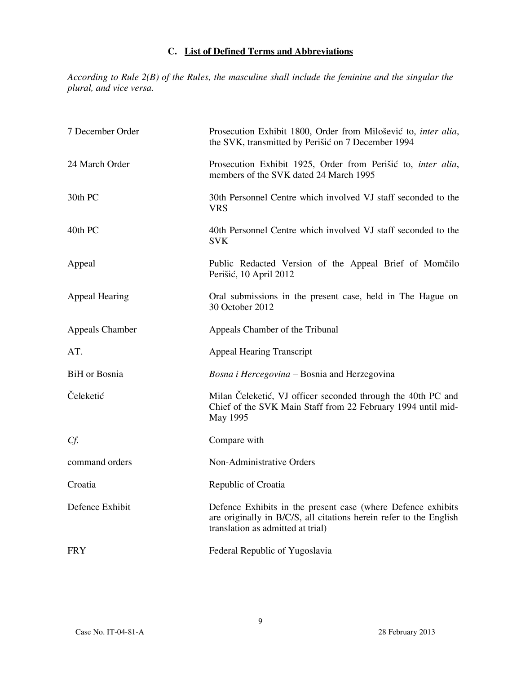# C. List of Defined Terms and Abbreviations

According to Rule 2(B) of the Rules, the masculine shall include the feminine and the singular the plural, and vice versa.

| 7 December Order     | Prosecution Exhibit 1800, Order from Milošević to, inter alia,<br>the SVK, transmitted by Perišić on 7 December 1994                                                    |
|----------------------|-------------------------------------------------------------------------------------------------------------------------------------------------------------------------|
| 24 March Order       | Prosecution Exhibit 1925, Order from Perišić to, <i>inter alia</i> ,<br>members of the SVK dated 24 March 1995                                                          |
| 30th PC              | 30th Personnel Centre which involved VJ staff seconded to the<br><b>VRS</b>                                                                                             |
| 40th PC              | 40th Personnel Centre which involved VJ staff seconded to the<br><b>SVK</b>                                                                                             |
| Appeal               | Public Redacted Version of the Appeal Brief of Momčilo<br>Perišić, 10 April 2012                                                                                        |
| Appeal Hearing       | Oral submissions in the present case, held in The Hague on<br>30 October 2012                                                                                           |
| Appeals Chamber      | Appeals Chamber of the Tribunal                                                                                                                                         |
| AT.                  | <b>Appeal Hearing Transcript</b>                                                                                                                                        |
| <b>BiH</b> or Bosnia | Bosna i Hercegovina - Bosnia and Herzegovina                                                                                                                            |
| Čeleketić            | Milan Čeleketić, VJ officer seconded through the 40th PC and<br>Chief of the SVK Main Staff from 22 February 1994 until mid-<br>May 1995                                |
| $Cf$ .               | Compare with                                                                                                                                                            |
| command orders       | Non-Administrative Orders                                                                                                                                               |
| Croatia              | Republic of Croatia                                                                                                                                                     |
| Defence Exhibit      | Defence Exhibits in the present case (where Defence exhibits<br>are originally in B/C/S, all citations herein refer to the English<br>translation as admitted at trial) |
| <b>FRY</b>           | Federal Republic of Yugoslavia                                                                                                                                          |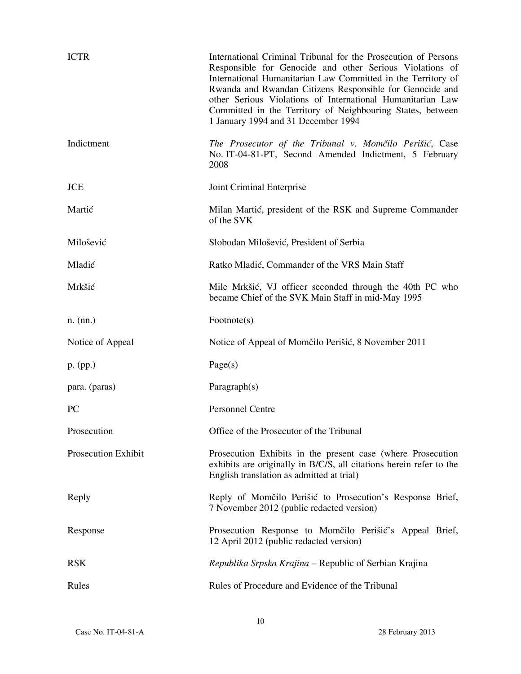| <b>ICTR</b>         | International Criminal Tribunal for the Prosecution of Persons<br>Responsible for Genocide and other Serious Violations of<br>International Humanitarian Law Committed in the Territory of<br>Rwanda and Rwandan Citizens Responsible for Genocide and<br>other Serious Violations of International Humanitarian Law<br>Committed in the Territory of Neighbouring States, between<br>1 January 1994 and 31 December 1994 |
|---------------------|---------------------------------------------------------------------------------------------------------------------------------------------------------------------------------------------------------------------------------------------------------------------------------------------------------------------------------------------------------------------------------------------------------------------------|
| Indictment          | The Prosecutor of the Tribunal v. Momčilo Perišić, Case<br>No. IT-04-81-PT, Second Amended Indictment, 5 February<br>2008                                                                                                                                                                                                                                                                                                 |
| <b>JCE</b>          | Joint Criminal Enterprise                                                                                                                                                                                                                                                                                                                                                                                                 |
| Martić              | Milan Martić, president of the RSK and Supreme Commander<br>of the SVK                                                                                                                                                                                                                                                                                                                                                    |
| Milošević           | Slobodan Milošević, President of Serbia                                                                                                                                                                                                                                                                                                                                                                                   |
| Mladić              | Ratko Mladić, Commander of the VRS Main Staff                                                                                                                                                                                                                                                                                                                                                                             |
| Mrkšić              | Mile Mrkšić, VJ officer seconded through the 40th PC who<br>became Chief of the SVK Main Staff in mid-May 1995                                                                                                                                                                                                                                                                                                            |
| $n.$ (nn.)          | Footnote(s)                                                                                                                                                                                                                                                                                                                                                                                                               |
| Notice of Appeal    | Notice of Appeal of Momčilo Perišić, 8 November 2011                                                                                                                                                                                                                                                                                                                                                                      |
| $p.$ (pp.)          | Page(s)                                                                                                                                                                                                                                                                                                                                                                                                                   |
| para. (paras)       | Paragraph(s)                                                                                                                                                                                                                                                                                                                                                                                                              |
| PC                  | <b>Personnel Centre</b>                                                                                                                                                                                                                                                                                                                                                                                                   |
| Prosecution         | Office of the Prosecutor of the Tribunal                                                                                                                                                                                                                                                                                                                                                                                  |
| Prosecution Exhibit | Prosecution Exhibits in the present case (where Prosecution<br>exhibits are originally in B/C/S, all citations herein refer to the<br>English translation as admitted at trial)                                                                                                                                                                                                                                           |
| Reply               | Reply of Momčilo Perišić to Prosecution's Response Brief,<br>7 November 2012 (public redacted version)                                                                                                                                                                                                                                                                                                                    |
| Response            | Prosecution Response to Momčilo Perišić's Appeal Brief,<br>12 April 2012 (public redacted version)                                                                                                                                                                                                                                                                                                                        |
| <b>RSK</b>          | Republika Srpska Krajina - Republic of Serbian Krajina                                                                                                                                                                                                                                                                                                                                                                    |
| Rules               | Rules of Procedure and Evidence of the Tribunal                                                                                                                                                                                                                                                                                                                                                                           |